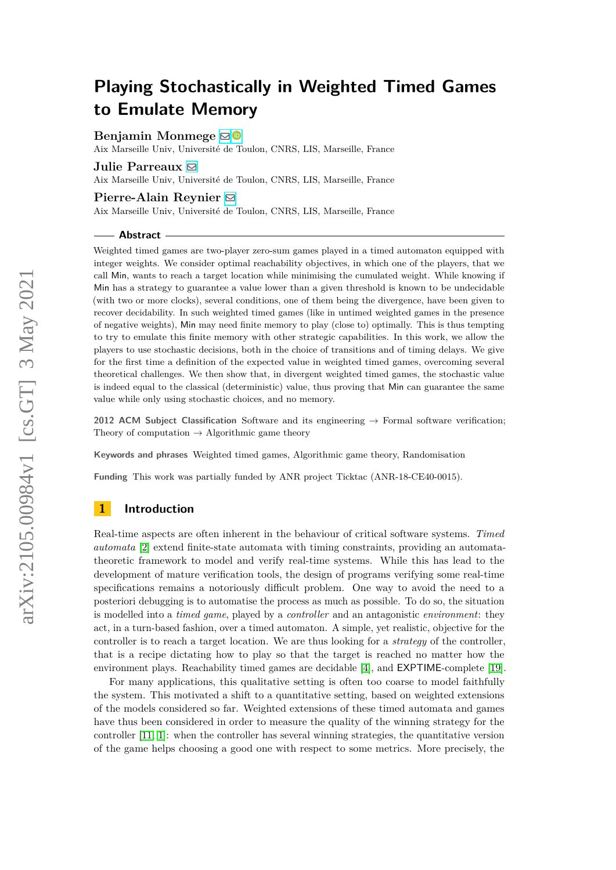# **Benjamin Monmege** ⊠<sup>■</sup>

Aix Marseille Univ, Université de Toulon, CNRS, LIS, Marseille, France

### **Julie Parreaux** [!](mailto:julie.parreaux@univ-amu.fr)

Aix Marseille Univ, Université de Toulon, CNRS, LIS, Marseille, France

# **Pierre-Alain Reynier** [!](mailto:pierre-alain.reynier@univ-amu.fr)

Aix Marseille Univ, Université de Toulon, CNRS, LIS, Marseille, France

#### **Abstract**

Weighted timed games are two-player zero-sum games played in a timed automaton equipped with integer weights. We consider optimal reachability objectives, in which one of the players, that we call Min, wants to reach a target location while minimising the cumulated weight. While knowing if Min has a strategy to guarantee a value lower than a given threshold is known to be undecidable (with two or more clocks), several conditions, one of them being the divergence, have been given to recover decidability. In such weighted timed games (like in untimed weighted games in the presence of negative weights), Min may need finite memory to play (close to) optimally. This is thus tempting to try to emulate this finite memory with other strategic capabilities. In this work, we allow the players to use stochastic decisions, both in the choice of transitions and of timing delays. We give for the first time a definition of the expected value in weighted timed games, overcoming several theoretical challenges. We then show that, in divergent weighted timed games, the stochastic value is indeed equal to the classical (deterministic) value, thus proving that Min can guarantee the same value while only using stochastic choices, and no memory.

**2012 ACM Subject Classification** Software and its engineering → Formal software verification; Theory of computation  $\rightarrow$  Algorithmic game theory

**Keywords and phrases** Weighted timed games, Algorithmic game theory, Randomisation

**Funding** This work was partially funded by ANR project Ticktac (ANR-18-CE40-0015).

# **1 Introduction**

Real-time aspects are often inherent in the behaviour of critical software systems. *Timed automata* [\[2\]](#page-15-0) extend finite-state automata with timing constraints, providing an automatatheoretic framework to model and verify real-time systems. While this has lead to the development of mature verification tools, the design of programs verifying some real-time specifications remains a notoriously difficult problem. One way to avoid the need to a posteriori debugging is to automatise the process as much as possible. To do so, the situation is modelled into a *timed game*, played by a *controller* and an antagonistic *environment*: they act, in a turn-based fashion, over a timed automaton. A simple, yet realistic, objective for the controller is to reach a target location. We are thus looking for a *strategy* of the controller, that is a recipe dictating how to play so that the target is reached no matter how the environment plays. Reachability timed games are decidable [\[4\]](#page-15-1), and EXPTIME-complete [\[19\]](#page-16-0).

For many applications, this qualitative setting is often too coarse to model faithfully the system. This motivated a shift to a quantitative setting, based on weighted extensions of the models considered so far. Weighted extensions of these timed automata and games have thus been considered in order to measure the quality of the winning strategy for the controller [\[11,](#page-15-2) [1\]](#page-15-3): when the controller has several winning strategies, the quantitative version of the game helps choosing a good one with respect to some metrics. More precisely, the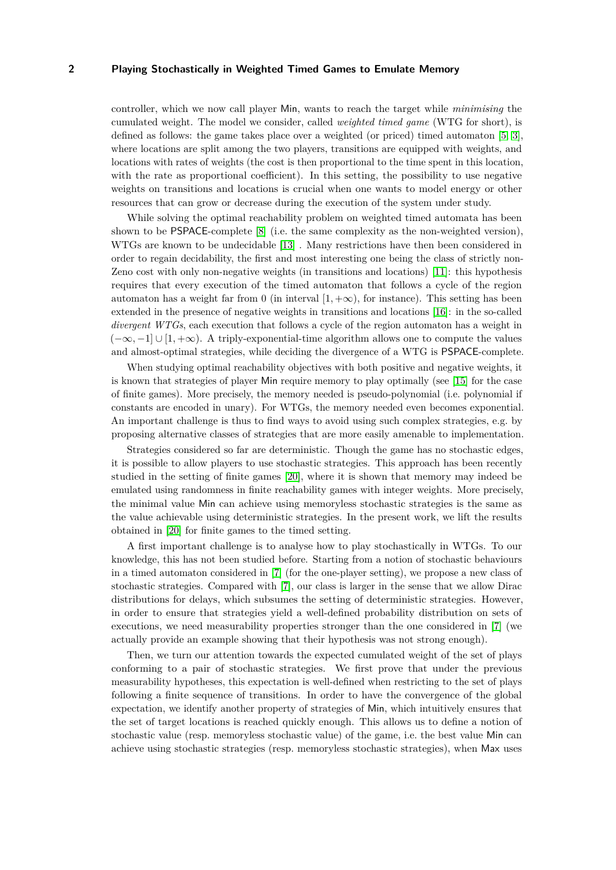controller, which we now call player Min, wants to reach the target while *minimising* the cumulated weight. The model we consider, called *weighted timed game* (WTG for short), is defined as follows: the game takes place over a weighted (or priced) timed automaton [\[5,](#page-15-4) [3\]](#page-15-5), where locations are split among the two players, transitions are equipped with weights, and locations with rates of weights (the cost is then proportional to the time spent in this location, with the rate as proportional coefficient). In this setting, the possibility to use negative weights on transitions and locations is crucial when one wants to model energy or other resources that can grow or decrease during the execution of the system under study.

While solving the optimal reachability problem on weighted timed automata has been shown to be PSPACE-complete [\[8\]](#page-15-6) (i.e. the same complexity as the non-weighted version), WTGs are known to be undecidable [\[13\]](#page-16-1) . Many restrictions have then been considered in order to regain decidability, the first and most interesting one being the class of strictly non-Zeno cost with only non-negative weights (in transitions and locations) [\[11\]](#page-15-2): this hypothesis requires that every execution of the timed automaton that follows a cycle of the region automaton has a weight far from 0 (in interval  $[1, +\infty)$ , for instance). This setting has been extended in the presence of negative weights in transitions and locations [\[16\]](#page-16-2): in the so-called *divergent WTGs*, each execution that follows a cycle of the region automaton has a weight in (−∞*,* −1] ∪ [1*,* +∞). A triply-exponential-time algorithm allows one to compute the values and almost-optimal strategies, while deciding the divergence of a WTG is PSPACE-complete.

When studying optimal reachability objectives with both positive and negative weights, it is known that strategies of player Min require memory to play optimally (see [\[15\]](#page-16-3) for the case of finite games). More precisely, the memory needed is pseudo-polynomial (i.e. polynomial if constants are encoded in unary). For WTGs, the memory needed even becomes exponential. An important challenge is thus to find ways to avoid using such complex strategies, e.g. by proposing alternative classes of strategies that are more easily amenable to implementation.

Strategies considered so far are deterministic. Though the game has no stochastic edges, it is possible to allow players to use stochastic strategies. This approach has been recently studied in the setting of finite games [\[20\]](#page-16-4), where it is shown that memory may indeed be emulated using randomness in finite reachability games with integer weights. More precisely, the minimal value Min can achieve using memoryless stochastic strategies is the same as the value achievable using deterministic strategies. In the present work, we lift the results obtained in [\[20\]](#page-16-4) for finite games to the timed setting.

A first important challenge is to analyse how to play stochastically in WTGs. To our knowledge, this has not been studied before. Starting from a notion of stochastic behaviours in a timed automaton considered in [\[7\]](#page-15-7) (for the one-player setting), we propose a new class of stochastic strategies. Compared with [\[7\]](#page-15-7), our class is larger in the sense that we allow Dirac distributions for delays, which subsumes the setting of deterministic strategies. However, in order to ensure that strategies yield a well-defined probability distribution on sets of executions, we need measurability properties stronger than the one considered in [\[7\]](#page-15-7) (we actually provide an example showing that their hypothesis was not strong enough).

Then, we turn our attention towards the expected cumulated weight of the set of plays conforming to a pair of stochastic strategies. We first prove that under the previous measurability hypotheses, this expectation is well-defined when restricting to the set of plays following a finite sequence of transitions. In order to have the convergence of the global expectation, we identify another property of strategies of Min, which intuitively ensures that the set of target locations is reached quickly enough. This allows us to define a notion of stochastic value (resp. memoryless stochastic value) of the game, i.e. the best value Min can achieve using stochastic strategies (resp. memoryless stochastic strategies), when Max uses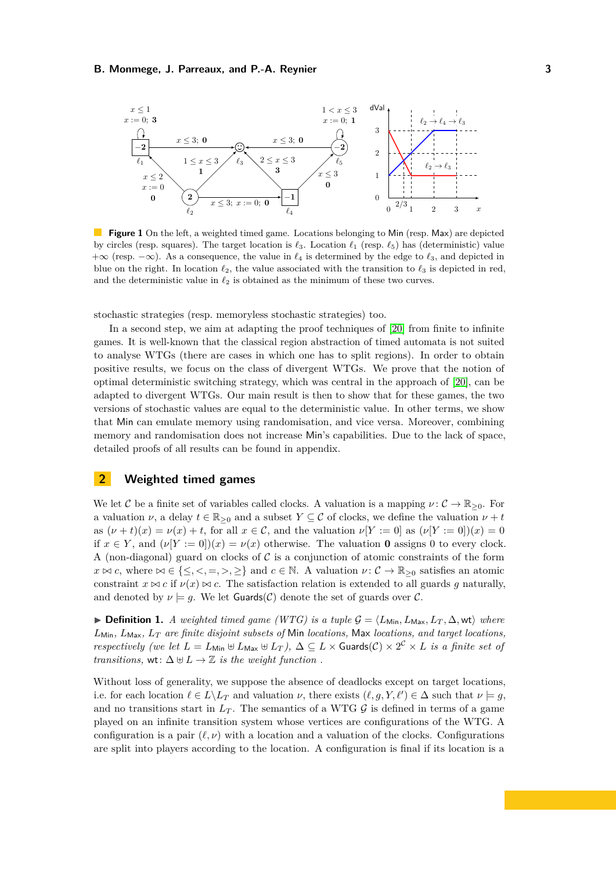<span id="page-2-0"></span>

**Figure 1** On the left, a weighted timed game. Locations belonging to Min (resp. Max) are depicted by circles (resp. squares). The target location is  $\ell_3$ . Location  $\ell_1$  (resp.  $\ell_5$ ) has (deterministic) value +∞ (resp. −∞). As a consequence, the value in *ℓ*<sup>4</sup> is determined by the edge to *ℓ*3, and depicted in blue on the right. In location  $\ell_2$ , the value associated with the transition to  $\ell_3$  is depicted in red, and the deterministic value in  $\ell_2$  is obtained as the minimum of these two curves.

stochastic strategies (resp. memoryless stochastic strategies) too.

In a second step, we aim at adapting the proof techniques of [\[20\]](#page-16-4) from finite to infinite games. It is well-known that the classical region abstraction of timed automata is not suited to analyse WTGs (there are cases in which one has to split regions). In order to obtain positive results, we focus on the class of divergent WTGs. We prove that the notion of optimal deterministic switching strategy, which was central in the approach of [\[20\]](#page-16-4), can be adapted to divergent WTGs. Our main result is then to show that for these games, the two versions of stochastic values are equal to the deterministic value. In other terms, we show that Min can emulate memory using randomisation, and vice versa. Moreover, combining memory and randomisation does not increase Min's capabilities. Due to the lack of space, detailed proofs of all results can be found in appendix.

# <span id="page-2-1"></span>**2 Weighted timed games**

We let C be a finite set of variables called clocks. A valuation is a mapping  $\nu: \mathcal{C} \to \mathbb{R}_{>0}$ . For a valuation  $\nu$ , a delay  $t \in \mathbb{R}_{\geq 0}$  and a subset  $Y \subseteq \mathcal{C}$  of clocks, we define the valuation  $\nu + t$ as  $(\nu + t)(x) = \nu(x) + t$ , for all  $x \in \mathcal{C}$ , and the valuation  $\nu[Y := 0]$  as  $(\nu[Y := 0])(x) = 0$ if  $x \in Y$ , and  $(\nu[Y := 0])(x) = \nu(x)$  otherwise. The valuation **0** assigns 0 to every clock. A (non-diagonal) guard on clocks of  $\mathcal C$  is a conjunction of atomic constraints of the form  $x \bowtie c$ , where  $\bowtie \in \{\leq, <, =, >, \geq\}$  and  $c \in \mathbb{N}$ . A valuation  $\nu : \mathcal{C} \to \mathbb{R}_{\geq 0}$  satisfies an atomic constraint  $x \bowtie c$  if  $\nu(x) \bowtie c$ . The satisfaction relation is extended to all guards q naturally, and denoted by  $\nu \models g$ . We let **Guards**(C) denote the set of guards over C.

▶ **Definition 1.** *A weighted timed game (WTG) is a tuple*  $\mathcal{G} = \langle L_{\text{Min}}, L_{\text{Max}}, L_T, \Delta, \text{wt} \rangle$  where  $L_{\text{Min}}$ ,  $L_{\text{Max}}$ ,  $L_T$  are finite disjoint subsets of Min *locations*, Max *locations*, and target *locations*, *respectively (we let*  $L = L_{\text{Min}} \oplus L_{\text{Max}} \oplus L_T$ ),  $\Delta \subseteq L \times \text{Guards}(\mathcal{C}) \times 2^{\mathcal{C}} \times L$  *is a finite set of transitions,* wt:  $\Delta \uplus L \to \mathbb{Z}$  *is the weight function*.

Without loss of generality, we suppose the absence of deadlocks except on target locations, i.e. for each location  $\ell \in L \backslash L_T$  and valuation  $\nu$ , there exists  $(\ell, g, Y, \ell') \in \Delta$  such that  $\nu \models g$ , and no transitions start in  $L_T$ . The semantics of a WTG  $\mathcal G$  is defined in terms of a game played on an infinite transition system whose vertices are configurations of the WTG. A configuration is a pair  $(\ell, \nu)$  with a location and a valuation of the clocks. Configurations are split into players according to the location. A configuration is final if its location is a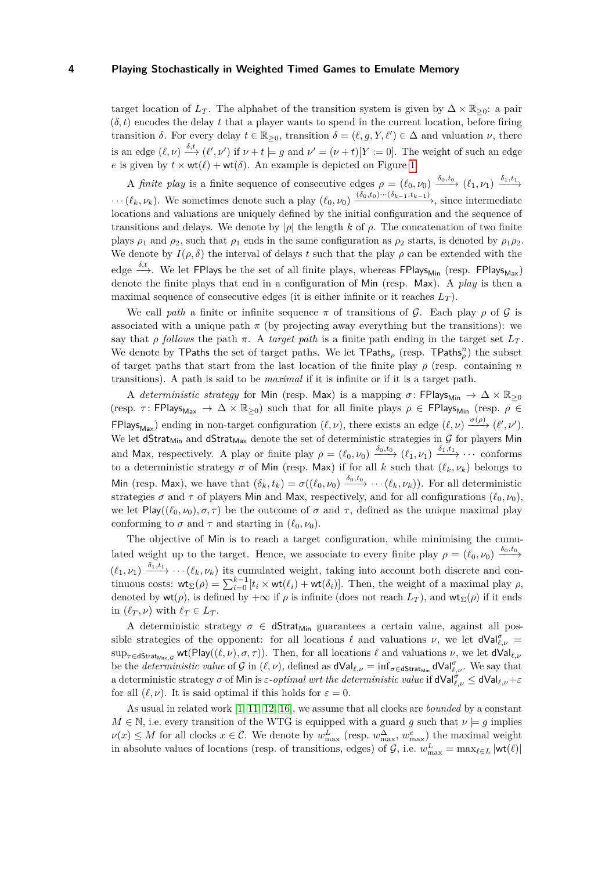target location of  $L_T$ . The alphabet of the transition system is given by  $\Delta \times \mathbb{R}_{\geq 0}$ : a pair  $(\delta, t)$  encodes the delay t that a player wants to spend in the current location, before firing transition  $\delta$ . For every delay  $t \in \mathbb{R}_{\geq 0}$ , transition  $\delta = (\ell, g, Y, \ell') \in \Delta$  and valuation  $\nu$ , there is an edge  $(\ell, \nu) \stackrel{\delta, t}{\longrightarrow} (\ell', \nu')$  if  $\nu + t \models g$  and  $\nu' = (\nu + t)[Y := 0]$ . The weight of such an edge *e* is given by  $t \times \text{wt}(\ell) + \text{wt}(\delta)$ . An example is depicted on Figure [1.](#page-2-0)

A *finite play* is a finite sequence of consecutive edges  $\rho = (\ell_0, \nu_0) \xrightarrow{\delta_0, t_0} (\ell_1, \nu_1) \xrightarrow{\delta_1, t_1}$  $\cdots (\ell_k, \nu_k)$ . We sometimes denote such a play  $(\ell_0, \nu_0) \xrightarrow{(\delta_0, t_0) \cdots (\delta_{k-1}, t_{k-1})}$ , since intermediate locations and valuations are uniquely defined by the initial configuration and the sequence of transitions and delays. We denote by |*ρ*| the length *k* of *ρ*. The concatenation of two finite plays  $\rho_1$  and  $\rho_2$ , such that  $\rho_1$  ends in the same configuration as  $\rho_2$  starts, is denoted by  $\rho_1 \rho_2$ . We denote by  $I(\rho, \delta)$  the interval of delays t such that the play  $\rho$  can be extended with the edge  $\stackrel{\delta,t}{\longrightarrow}$ . We let FPlays be the set of all finite plays, whereas FPlays<sub>Min</sub> (resp. FPlays<sub>Max</sub>) denote the finite plays that end in a configuration of Min (resp. Max). A *play* is then a maximal sequence of consecutive edges (it is either infinite or it reaches *L<sup>T</sup>* ).

We call *path* a finite or infinite sequence  $\pi$  of transitions of G. Each play  $\rho$  of G is associated with a unique path  $\pi$  (by projecting away everything but the transitions): we say that *ρ follows* the path  $\pi$ . A *target path* is a finite path ending in the target set  $L_T$ . We denote by TPaths the set of target paths. We let TPaths<sub>ρ</sub> (resp. TPaths<sub>ρ</sub><sup>n</sup>) the subset of target paths that start from the last location of the finite play *ρ* (resp. containing *n* transitions). A path is said to be *maximal* if it is infinite or if it is a target path.

A *deterministic strategy* for Min (resp. Max) is a mapping  $\sigma$ : FPlays<sub>Min</sub>  $\rightarrow \Delta \times \mathbb{R}_{\geq 0}$ (resp.  $\tau$ : FPlays<sub>Max</sub>  $\rightarrow \Delta \times \mathbb{R}_{\geq 0}$ ) such that for all finite plays  $\rho \in \text{FPlays}_{\text{Min}}$  (resp.  $\rho \in$  $FPlays_{Max}$ ) ending in non-target configuration  $(\ell, \nu)$ , there exists an edge  $(\ell, \nu) \xrightarrow{\sigma(\rho)} (\ell', \nu').$ We let dStrat<sub>Min</sub> and dStrat<sub>Max</sub> denote the set of deterministic strategies in  $\mathcal G$  for players Min and Max, respectively. A play or finite play  $\rho = (\ell_0, \nu_0) \xrightarrow{\delta_0, t_0} (\ell_1, \nu_1) \xrightarrow{\delta_1, t_1} \cdots$  conforms to a deterministic strategy  $\sigma$  of Min (resp. Max) if for all *k* such that  $(\ell_k, \nu_k)$  belongs to Min (resp. Max), we have that  $(\delta_k, t_k) = \sigma((\ell_0, \nu_0) \xrightarrow{\delta_0, t_0} \cdots (\ell_k, \nu_k)).$  For all deterministic strategies  $\sigma$  and  $\tau$  of players Min and Max, respectively, and for all configurations  $(\ell_0, \nu_0)$ , we let  $Play((\ell_0, \nu_0), \sigma, \tau)$  be the outcome of  $\sigma$  and  $\tau$ , defined as the unique maximal play conforming to  $\sigma$  and  $\tau$  and starting in  $(\ell_0, \nu_0)$ .

The objective of Min is to reach a target configuration, while minimising the cumulated weight up to the target. Hence, we associate to every finite play  $\rho = (\ell_0, \nu_0) \xrightarrow{\delta_0, t_0}$  $(\ell_1, \nu_1) \xrightarrow{\delta_1, t_1} \cdots (\ell_k, \nu_k)$  its cumulated weight, taking into account both discrete and continuous costs:  $\mathsf{wt}_{\Sigma}(\rho) = \sum_{i=0}^{k-1} [t_i \times \mathsf{wt}(\ell_i) + \mathsf{wt}(\delta_i)].$  Then, the weight of a maximal play  $\rho$ , denoted by  $\mathsf{wt}(\rho)$ , is defined by  $+\infty$  if  $\rho$  is infinite (does not reach  $L_T$ ), and  $\mathsf{wt}_\Sigma(\rho)$  if it ends in  $(\ell_T, \nu)$  with  $\ell_T \in L_T$ .

A deterministic strategy  $\sigma \in \mathsf{dStrat}_{\mathsf{Min}}$  guarantees a certain value, against all possible strategies of the opponent: for all locations  $\ell$  and valuations  $\nu$ , we let  $dVal_{\ell,\nu}^{\sigma}$  =  $\sup_{\tau \in \mathsf{dStrat}_{\mathsf{Max},\mathcal{G}}}$  wt(Play( $(\ell,\nu),\sigma,\tau)$ ). Then, for all locations  $\ell$  and valuations  $\nu$ , we let  $\mathsf{dVal}_{\ell,\nu}$ be the *deterministic value* of G in  $(\ell, \nu)$ , defined as  $dVal_{\ell, \nu} = \inf_{\sigma \in \text{dStrat}_{\text{Min}}} dVal_{\ell, \nu}^{\sigma}$ . We say that a deterministic strategy  $\sigma$  of Min is  $\varepsilon$ *-optimal wrt the deterministic value* if  $\mathsf{dVal}_{\ell,\nu}^{\sigma}\leq \mathsf{dVal}_{\ell,\nu}+\varepsilon$ for all  $(\ell, \nu)$ . It is said optimal if this holds for  $\varepsilon = 0$ .

As usual in related work [\[1,](#page-15-3) [11,](#page-15-2) [12,](#page-16-5) [16\]](#page-16-2), we assume that all clocks are *bounded* by a constant  $M \in \mathbb{N}$ , i.e. every transition of the WTG is equipped with a guard *g* such that  $\nu \models g$  implies  $\nu(x) \leq M$  for all clocks  $x \in \mathcal{C}$ . We denote by  $w_{\text{max}}^L$  (resp.  $w_{\text{max}}^{\Delta}, w_{\text{max}}^e$ ) the maximal weight in absolute values of locations (resp. of transitions, edges) of  $\mathcal{G}$ , i.e.  $w_{\text{max}}^L = \max_{\ell \in L} |\text{wt}(\ell)|$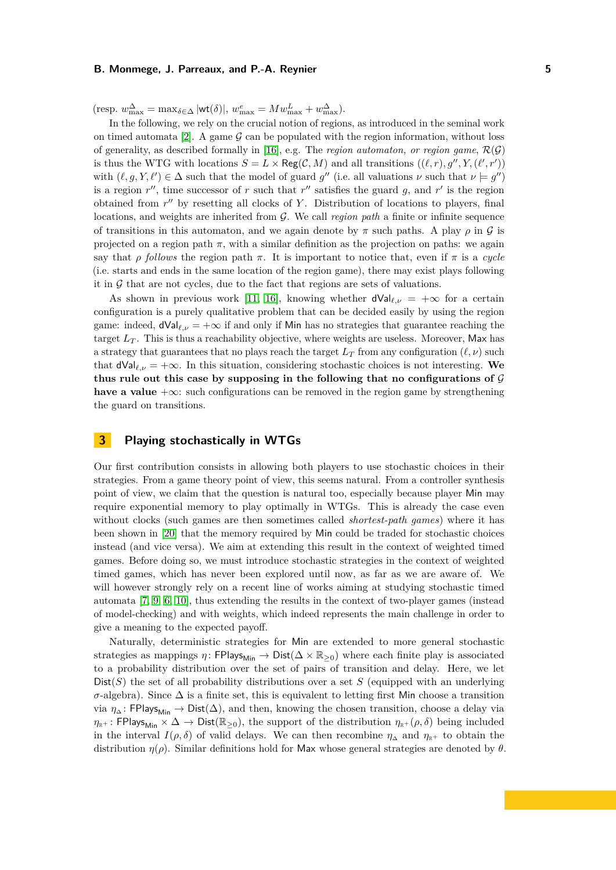$(\text{resp. } w_{\text{max}}^{\Delta} = \max_{\delta \in \Delta} |\text{wt}(\delta)|, w_{\text{max}}^e = Mw_{\text{max}}^L + w_{\text{max}}^{\Delta}).$ 

In the following, we rely on the crucial notion of regions, as introduced in the seminal work on timed automata [\[2\]](#page-15-0). A game  $\mathcal G$  can be populated with the region information, without loss of generality, as described formally in [\[16\]](#page-16-2), e.g. The *region automaton, or region game*,  $\mathcal{R}(\mathcal{G})$ is thus the WTG with locations  $S = L \times \text{Reg}(\mathcal{C}, M)$  and all transitions  $((\ell, r), g'', Y, (\ell', r'))$ with  $(\ell, g, Y, \ell') \in \Delta$  such that the model of guard  $g''$  (i.e. all valuations  $\nu$  such that  $\nu \models g''$ ) is a region  $r''$ , time successor of  $r$  such that  $r''$  satisfies the guard  $g$ , and  $r'$  is the region obtained from  $r''$  by resetting all clocks of Y. Distribution of locations to players, final locations, and weights are inherited from G. We call *region path* a finite or infinite sequence of transitions in this automaton, and we again denote by  $\pi$  such paths. A play  $\rho$  in  $\mathcal G$  is projected on a region path  $\pi$ , with a similar definition as the projection on paths: we again say that *ρ follows* the region path  $\pi$ . It is important to notice that, even if  $\pi$  is a *cycle* (i.e. starts and ends in the same location of the region game), there may exist plays following it in  $G$  that are not cycles, due to the fact that regions are sets of valuations.

As shown in previous work [\[11,](#page-15-2) [16\]](#page-16-2), knowing whether  $dVal_{\ell,\nu} = +\infty$  for a certain configuration is a purely qualitative problem that can be decided easily by using the region game: indeed,  $dVal_{\ell,\nu} = +\infty$  if and only if Min has no strategies that guarantee reaching the target  $L_T$ . This is thus a reachability objective, where weights are useless. Moreover, Max has a strategy that guarantees that no plays reach the target  $L_T$  from any configuration  $(\ell, \nu)$  such that  $dVal_{\ell,\nu} = +\infty$ . In this situation, considering stochastic choices is not interesting. We **thus rule out this case by supposing in the following that no configurations of** G **have a value** +∞: such configurations can be removed in the region game by strengthening the guard on transitions.

# **3 Playing stochastically in WTGs**

Our first contribution consists in allowing both players to use stochastic choices in their strategies. From a game theory point of view, this seems natural. From a controller synthesis point of view, we claim that the question is natural too, especially because player Min may require exponential memory to play optimally in WTGs. This is already the case even without clocks (such games are then sometimes called *shortest-path games*) where it has been shown in [\[20\]](#page-16-4) that the memory required by Min could be traded for stochastic choices instead (and vice versa). We aim at extending this result in the context of weighted timed games. Before doing so, we must introduce stochastic strategies in the context of weighted timed games, which has never been explored until now, as far as we are aware of. We will however strongly rely on a recent line of works aiming at studying stochastic timed automata [\[7,](#page-15-7) [9,](#page-15-8) [6,](#page-15-9) [10\]](#page-15-10), thus extending the results in the context of two-player games (instead of model-checking) and with weights, which indeed represents the main challenge in order to give a meaning to the expected payoff.

Naturally, deterministic strategies for Min are extended to more general stochastic strategies as mappings  $\eta$ : FPlays<sub>Min</sub> → Dist( $\Delta \times \mathbb{R}_{\geq 0}$ ) where each finite play is associated to a probability distribution over the set of pairs of transition and delay. Here, we let  $Dist(S)$  the set of all probability distributions over a set S (equipped with an underlying  $\sigma$ -algebra). Since  $\Delta$  is a finite set, this is equivalent to letting first Min choose a transition via  $\eta_{\Delta}$ : FPlays<sub>Min</sub> → Dist( $\Delta$ ), and then, knowing the chosen transition, choose a delay via  $\eta_{\mathbb{R}^+}$ : FPlays<sub>Min</sub>  $\times \Delta \to \text{Dist}(\mathbb{R}_{\geq 0})$ , the support of the distribution  $\eta_{\mathbb{R}^+}(\rho, \delta)$  being included in the interval *I*( $\rho$ ,  $\delta$ ) of valid delays. We can then recombine  $\eta_{\Delta}$  and  $\eta_{\mathbb{R}^+}$  to obtain the distribution *η*(*ρ*). Similar definitions hold for Max whose general strategies are denoted by *θ*.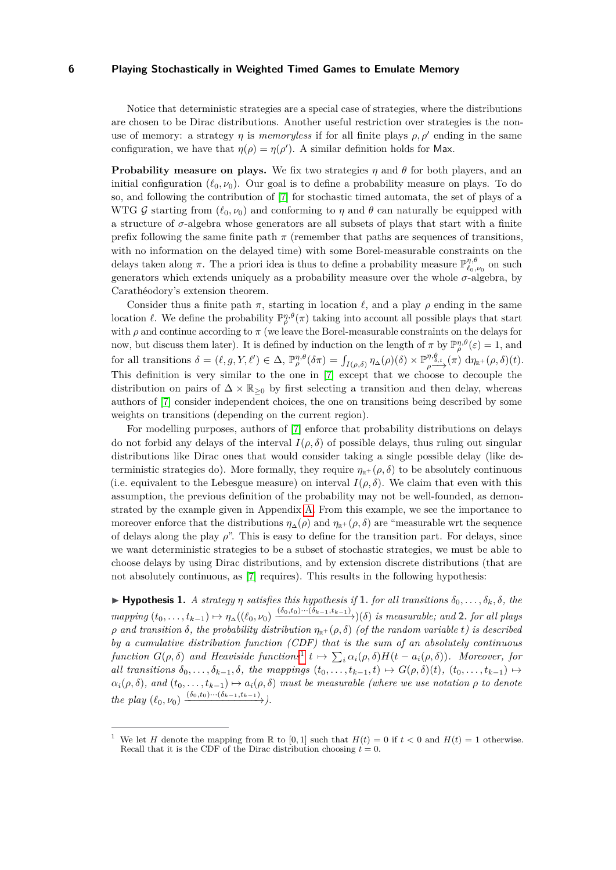Notice that deterministic strategies are a special case of strategies, where the distributions are chosen to be Dirac distributions. Another useful restriction over strategies is the nonuse of memory: a strategy  $\eta$  is *memoryless* if for all finite plays  $\rho$ ,  $\rho'$  ending in the same configuration, we have that  $\eta(\rho) = \eta(\rho')$ . A similar definition holds for Max.

**Probability measure on plays.** We fix two strategies  $\eta$  and  $\theta$  for both players, and an initial configuration  $(\ell_0, \nu_0)$ . Our goal is to define a probability measure on plays. To do so, and following the contribution of [\[7\]](#page-15-7) for stochastic timed automata, the set of plays of a WTG G starting from  $(\ell_0, \nu_0)$  and conforming to  $\eta$  and  $\theta$  can naturally be equipped with a structure of  $\sigma$ -algebra whose generators are all subsets of plays that start with a finite prefix following the same finite path  $\pi$  (remember that paths are sequences of transitions, with no information on the delayed time) with some Borel-measurable constraints on the delays taken along  $\pi$ . The a priori idea is thus to define a probability measure  $\mathbb{P}_{\ell_0,\nu_0}^{\eta,\theta}$  on such generators which extends uniquely as a probability measure over the whole  $\sigma$ -algebra, by Carathéodory's extension theorem.

Consider thus a finite path  $\pi$ , starting in location  $\ell$ , and a play  $\rho$  ending in the same location *ℓ*. We define the probability  $\mathbb{P}_{\rho}^{\eta,\theta}(\pi)$  taking into account all possible plays that start with  $\rho$  and continue according to  $\pi$  (we leave the Borel-measurable constraints on the delays for now, but discuss them later). It is defined by induction on the length of  $\pi$  by  $\mathbb{P}_{\rho}^{\eta,\theta}(\varepsilon) = 1$ , and for all transitions  $\delta = (\ell, g, Y, \ell') \in \Delta$ ,  $\mathbb{P}_{\rho}^{\eta, \theta}(\delta \pi) = \int_{I(\rho, \delta)} \eta_{\Delta}(\rho)(\delta) \times \mathbb{P}_{\rho}^{\eta, \theta}$  $\phi \rightarrow{\eta,\theta \atop \rho \longrightarrow} (\pi) \,\, \mathrm{d} \eta_{\mathbb{R}^+}(\rho, \delta)(t).$ This definition is very similar to the one in [\[7\]](#page-15-7) except that we choose to decouple the distribution on pairs of  $\Delta \times \mathbb{R}_{\geq 0}$  by first selecting a transition and then delay, whereas authors of [\[7\]](#page-15-7) consider independent choices, the one on transitions being described by some weights on transitions (depending on the current region).

For modelling purposes, authors of [\[7\]](#page-15-7) enforce that probability distributions on delays do not forbid any delays of the interval  $I(\rho, \delta)$  of possible delays, thus ruling out singular distributions like Dirac ones that would consider taking a single possible delay (like deterministic strategies do). More formally, they require  $\eta_{\mathbb{R}^+}(\rho,\delta)$  to be absolutely continuous (i.e. equivalent to the Lebesgue measure) on interval  $I(\rho, \delta)$ . We claim that even with this assumption, the previous definition of the probability may not be well-founded, as demonstrated by the example given in Appendix [A.](#page-17-0) From this example, we see the importance to moreover enforce that the distributions  $\eta_{\Delta}(\rho)$  and  $\eta_{\mathbb{R}^+}(\rho,\delta)$  are "measurable wrt the sequence of delays along the play  $\rho$ ". This is easy to define for the transition part. For delays, since we want deterministic strategies to be a subset of stochastic strategies, we must be able to choose delays by using Dirac distributions, and by extension discrete distributions (that are not absolutely continuous, as [\[7\]](#page-15-7) requires). This results in the following hypothesis:

<span id="page-5-1"></span> $\blacktriangleright$  **Hypothesis 1.** *A strategy*  $\eta$  *satisfies this hypothesis if* 1. *for all transitions*  $\delta_0, \ldots, \delta_k, \delta$ *, the* mapping  $(t_0,\ldots,t_{k-1})\mapsto \eta_\Delta((\ell_0,\nu_0)\xrightarrow{(\delta_0,t_0)\cdots(\delta_{k-1},t_{k-1})})(\delta)$  is measurable; and 2. for all plays  $\rho$  *and transition*  $\delta$ *, the probability distribution*  $\eta_{\mathbb{R}^+}(\rho, \delta)$  *(of the random variable t) is described by a cumulative distribution function (CDF) that is the sum of an absolutely continuous function*  $G(\rho, \delta)$  *and Heaviside functions*<sup>[1](#page-5-0)</sup>  $t \mapsto \sum_i \alpha_i(\rho, \delta) H(t - a_i(\rho, \delta))$ *. Moreover, for* all transitions  $\delta_0, \ldots, \delta_{k-1}, \delta$ , the mappings  $(t_0, \ldots, t_{k-1}, t) \mapsto G(\rho, \delta)(t)$ ,  $(t_0, \ldots, t_{k-1}) \mapsto$  $a_i(\rho, \delta)$ *, and*  $(t_0, \ldots, t_{k-1}) \mapsto a_i(\rho, \delta)$  *must be measurable (where we use notation*  $\rho$  *to denote*  $the \ play\ (\ell_0, \nu_0) \xrightarrow{(\delta_0, t_0) \cdots (\delta_{k-1}, t_{k-1})}$ .

<span id="page-5-0"></span>We let *H* denote the mapping from R to [0, 1] such that  $H(t) = 0$  if  $t < 0$  and  $H(t) = 1$  otherwise. Recall that it is the CDF of the Dirac distribution choosing  $t = 0$ .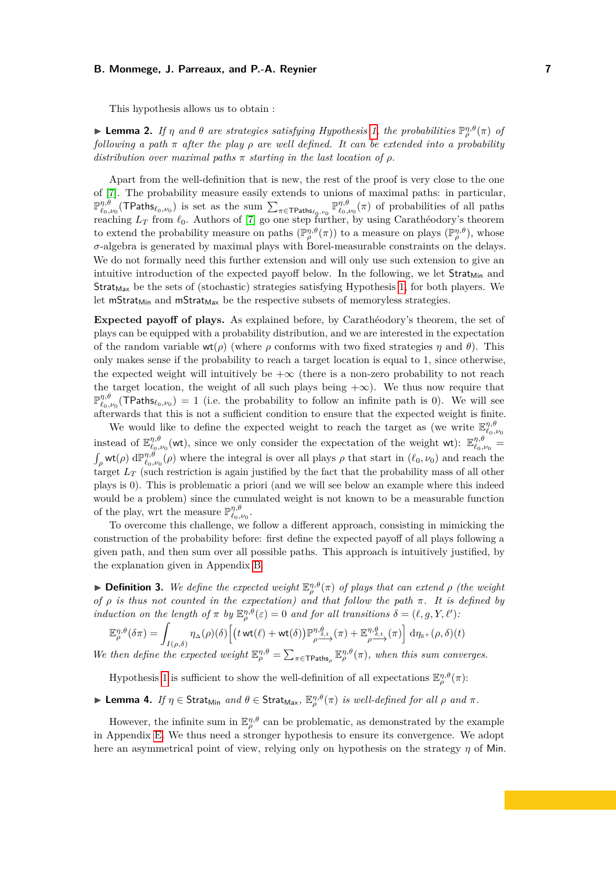This hypothesis allows us to obtain :

<span id="page-6-1"></span>**Example 12.** *If*  $\eta$  *and*  $\theta$  *are strategies satisfying Hypothesis [1,](#page-5-1) the probabilities*  $\mathbb{P}_{\rho}^{\eta,\theta}(\pi)$  *of following a path π after the play ρ are well defined. It can be extended into a probability distribution over maximal paths*  $\pi$  *starting in the last location of*  $\rho$ *.* 

Apart from the well-definition that is new, the rest of the proof is very close to the one of [\[7\]](#page-15-7). The probability measure easily extends to unions of maximal paths: in particular,  $\mathbb{P}^{\eta,\theta}_{\ell_0,\nu_0}(\text{TPaths}_{\ell_0,\nu_0})$  is set as the sum  $\sum_{\pi \in \text{TPaths}_{\ell_0,\nu_0}} \mathbb{P}^{\eta,\theta}_{\ell_0,\nu_0}(\pi)$  of probabilities of all paths reaching *L<sup>T</sup>* from *ℓ*0. Authors of [\[7\]](#page-15-7) go one step further, by using Carathéodory's theorem to extend the probability measure on paths  $(\mathbb{P}_{\rho}^{\eta,\theta}(\pi))$  to a measure on plays  $(\mathbb{P}_{\rho}^{\eta,\theta})$ , whose *σ*-algebra is generated by maximal plays with Borel-measurable constraints on the delays. We do not formally need this further extension and will only use such extension to give an intuitive introduction of the expected payoff below. In the following, we let  $Strat_{Min}$  and  $Strat_{\text{Max}}$  be the sets of (stochastic) strategies satisfying Hypothesis [1,](#page-5-1) for both players. We let mStrat<sub>Min</sub> and mStrat<sub>Max</sub> be the respective subsets of memoryless strategies.

**Expected payoff of plays.** As explained before, by Carathéodory's theorem, the set of plays can be equipped with a probability distribution, and we are interested in the expectation of the random variable  $wt(\rho)$  (where  $\rho$  conforms with two fixed strategies  $\eta$  and  $\theta$ ). This only makes sense if the probability to reach a target location is equal to 1, since otherwise, the expected weight will intuitively be  $+\infty$  (there is a non-zero probability to not reach the target location, the weight of all such plays being  $+\infty$ ). We thus now require that  $\mathbb{P}_{\ell_0,\nu_0}^{\eta,\theta}(\text{TPaths}_{\ell_0,\nu_0}) = 1$  (i.e. the probability to follow an infinite path is 0). We will see afterwards that this is not a sufficient condition to ensure that the expected weight is finite.

We would like to define the expected weight to reach the target as (we write  $\mathbb{E}_{\ell_0,\nu_0}^{\eta,\theta}$ instead of  $\mathbb{E}_{\ell_0,\nu_0}^{\eta,\theta}$  (wt), since we only consider the expectation of the weight wt):  $\mathbb{E}_{\ell_0,\nu_0}^{\eta,\theta} =$  $\int_{\rho}$  wt( $\rho$ ) d $\mathbb{P}^{\eta,\theta}_{\ell_0,\nu_0}(\rho)$  where the integral is over all plays  $\rho$  that start in  $(\ell_0,\nu_0)$  and reach the target  $L_T$  (such restriction is again justified by the fact that the probability mass of all other plays is 0). This is problematic a priori (and we will see below an example where this indeed would be a problem) since the cumulated weight is not known to be a measurable function of the play, wrt the measure  $\mathbb{P}^{\eta,\theta}_{\ell_0,\nu_0}$ .

To overcome this challenge, we follow a different approach, consisting in mimicking the construction of the probability before: first define the expected payoff of all plays following a given path, and then sum over all possible paths. This approach is intuitively justified, by the explanation given in Appendix [B.](#page-18-0)

<span id="page-6-0"></span>**• Definition 3.** We define the expected weight  $\mathbb{E}_{\rho}^{\eta,\theta}(\pi)$  of plays that can extend  $\rho$  (the weight *of ρ is thus not counted in the expectation) and that follow the path π. It is defined by induction on the length of*  $\pi$  *by*  $\mathbb{E}_{\rho}^{\eta,\theta}(\varepsilon) = 0$  *and for all transitions*  $\delta = (\ell, g, Y, \ell')$ :

$$
\mathbb{E}_{\rho}^{\eta,\theta}(\delta\pi) = \int_{I(\rho,\delta)} \eta_{\Delta}(\rho)(\delta) \left[ \left( t \text{ wt}(\ell) + \text{ wt}(\delta) \right) \mathbb{P}_{\rho}^{\eta,\theta} \xrightarrow{\mathcal{R}} (\pi) + \mathbb{E}_{\rho}^{\eta,\theta} \xrightarrow{\mathcal{R}} (\pi) \right] d\eta_{\mathbb{R}^+}(\rho,\delta)(t)
$$

*We then define the expected weight*  $\mathbb{E}_{\rho}^{\eta,\theta} = \sum_{\pi \in \text{TPaths}_{\rho}} \mathbb{E}_{\rho}^{\eta,\theta}(\pi)$ , when this sum converges.

Hypothesis [1](#page-5-1) is sufficient to show the well-definition of all expectations  $\mathbb{E}_{\rho}^{\eta,\theta}(\pi)$ :

<span id="page-6-2"></span>▶ **Lemma 4.** *If*  $η ∈$  Strat<sub>Min</sub> *and*  $θ ∈$  Strat<sub>Max</sub>,  $\mathbb{E}_{\rho}^{\eta,\theta}(\pi)$  *is well-defined for all*  $ρ$  *and*  $π$ *.* 

However, the infinite sum in  $\mathbb{E}_{\rho}^{\eta,\theta}$  can be problematic, as demonstrated by the example in Appendix [E.](#page-20-0) We thus need a stronger hypothesis to ensure its convergence. We adopt here an asymmetrical point of view, relying only on hypothesis on the strategy *η* of Min.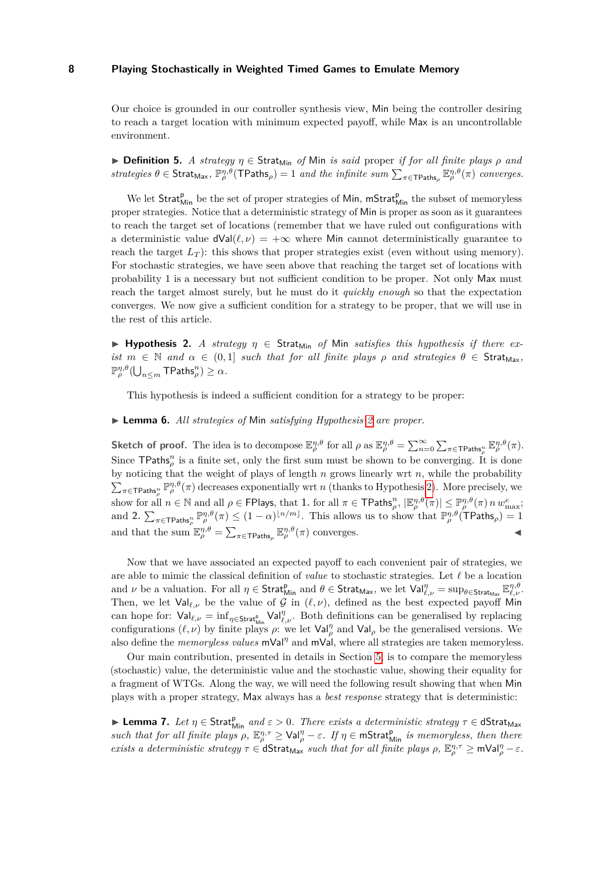Our choice is grounded in our controller synthesis view, Min being the controller desiring to reach a target location with minimum expected payoff, while Max is an uncontrollable environment.

 $\triangleright$  **Definition 5.** *A strategy*  $\eta \in \mathsf{Strat}_{\mathsf{Min}}$  *of* Min *is said* proper *if for all finite plays*  $\rho$  *and*  $strategies \theta \in \text{Strat}_{\text{Max}}, \mathbb{P}_{\rho}^{\eta,\theta}(\text{TPaths}_{\rho}) = 1 \text{ and the infinite sum } \sum_{\pi \in \text{TPaths}_{\rho}} \mathbb{E}_{\rho}^{\eta,\theta}(\pi) \text{ converges.}$ 

We let Strat<sub>Min</sub> be the set of proper strategies of Min, mStrat<sub>Min</sub> the subset of memoryless proper strategies. Notice that a deterministic strategy of Min is proper as soon as it guarantees to reach the target set of locations (remember that we have ruled out configurations with a deterministic value  $dVal(\ell, \nu) = +\infty$  where Min cannot deterministically guarantee to reach the target  $L_T$ ): this shows that proper strategies exist (even without using memory). For stochastic strategies, we have seen above that reaching the target set of locations with probability 1 is a necessary but not sufficient condition to be proper. Not only Max must reach the target almost surely, but he must do it *quickly enough* so that the expectation converges. We now give a sufficient condition for a strategy to be proper, that we will use in the rest of this article.

<span id="page-7-0"></span> $\blacktriangleright$  **Hypothesis 2.** *A strategy*  $\eta \in$  Strat<sub>Min</sub> *of* Min *satisfies this hypothesis if there exist*  $m \in \mathbb{N}$  *and*  $\alpha \in (0,1]$  *such that for all finite plays*  $\rho$  *and strategies*  $\theta \in \text{Strat}_{\text{Max}}$ ,  $\mathbb{P}_{\rho}^{\eta,\theta}(\bigcup_{n\leq m}\mathsf{TPaths}_{\rho}^n) \geq \alpha.$ 

This hypothesis is indeed a sufficient condition for a strategy to be proper:

### <span id="page-7-2"></span>▶ **Lemma 6.** *All strategies of* Min *satisfying Hypothesis [2](#page-7-0) are proper.*

**Sketch of proof.** The idea is to decompose  $\mathbb{E}_{\rho}^{\eta,\theta}$  for all  $\rho$  as  $\mathbb{E}_{\rho}^{\eta,\theta} = \sum_{n=0}^{\infty} \sum_{\pi \in \text{TPaths}_{\rho}^n} \mathbb{E}_{\rho}^{\eta,\theta}(\pi)$ . Since  $\mathsf{TPaths}_\rho^n$  is a finite set, only the first sum must be shown to be converging. It is done by noticing that the weight of plays of length *n* grows linearly wrt *n*, while the probability  $\sum_{\pi \in \text{TPaths}_\rho^n} \mathbb{P}_{\rho}^{\eta,\theta}(\pi)$  decreases exponentially wrt *n* (thanks to Hypothesis [2\)](#page-7-0). More precisely, we show for all  $n \in \mathbb{N}$  and all  $\rho \in \mathsf{FP}$  lays, that **1**. for all  $\pi \in \mathsf{TPaths}_\rho^n$ ,  $|\mathbb{E}_\rho^{\eta,\theta}(\pi)| \leq \mathbb{P}_\rho^{\eta,\theta}(\pi) n w_{\max}^e$ ; and **2.**  $\sum_{\pi \in \text{TPaths}_{\rho}^n} \mathbb{P}_{\rho}^{\eta,\theta}(\pi) \leq (1-\alpha)^{\lfloor n/m \rfloor}$ . This allows us to show that  $\mathbb{P}_{\rho}^{\eta,\theta}(\text{TPaths}_{\rho}) = 1$ and that the sum  $\mathbb{E}_{\rho}^{\eta,\theta} = \sum_{\pi \in \text{TPaths}_{\rho}} \mathbb{E}_{\rho}^{\eta,\theta}(\pi)$  converges.

Now that we have associated an expected payoff to each convenient pair of strategies, we are able to mimic the classical definition of *value* to stochastic strategies. Let *ℓ* be a location and *ν* be a valuation. For all  $\eta \in \text{Strat}_{\text{Min}}^{\text{p}}$  and  $\theta \in \text{Strat}_{\text{Max}}$ , we let  $\text{Val}_{\ell,\nu}^{\eta} = \sup_{\theta \in \text{Strat}_{\text{Max}}} \mathbb{E}_{\ell,\nu}^{\eta,\theta}$ . Then, we let  $Val_{\ell,\nu}$  be the value of G in  $(\ell,\nu)$ , defined as the best expected payoff Min can hope for:  $\text{Val}_{\ell,\nu} = \inf_{\eta \in \text{Strat}_{\text{Min}}^p} \text{Val}_{\ell,\nu}^{\eta}$ . Both definitions can be generalised by replacing configurations  $(\ell, \nu)$  by finite plays  $\rho$ : we let  $\text{Val}_{\rho}^{\eta}$  and  $\text{Val}_{\rho}$  be the generalised versions. We also define the *memoryless values* mVal*<sup>η</sup>* and mVal, where all strategies are taken memoryless.

Our main contribution, presented in details in Section [5,](#page-10-0) is to compare the memoryless (stochastic) value, the deterministic value and the stochastic value, showing their equality for a fragment of WTGs. Along the way, we will need the following result showing that when Min plays with a proper strategy, Max always has a *best response* strategy that is deterministic:

<span id="page-7-1"></span>▶ **Lemma 7.** *Let*  $η ∈$  Strat $_{Min}^{p}$  *and*  $ε > 0$ *. There exists a deterministic strategy*  $τ ∈$  dStrat<sub>Max</sub> *such that for all finite plays*  $\rho$ ,  $\mathbb{E}_{\rho}^{\eta,\tau} \geq \text{Val}_{\rho}^{\eta} - \varepsilon$ . If  $\eta \in \text{mStrat}_{\text{Min}}^p$  *is memoryless, then there exists a deterministic strategy*  $\tau \in \mathsf{dStrat}_{\mathsf{Max}}$  *such that for all finite plays*  $\rho$ ,  $\mathbb{E}_{\rho}^{\eta,\tau} \geq \mathsf{mVal}_{\rho}^{\eta} - \varepsilon$ .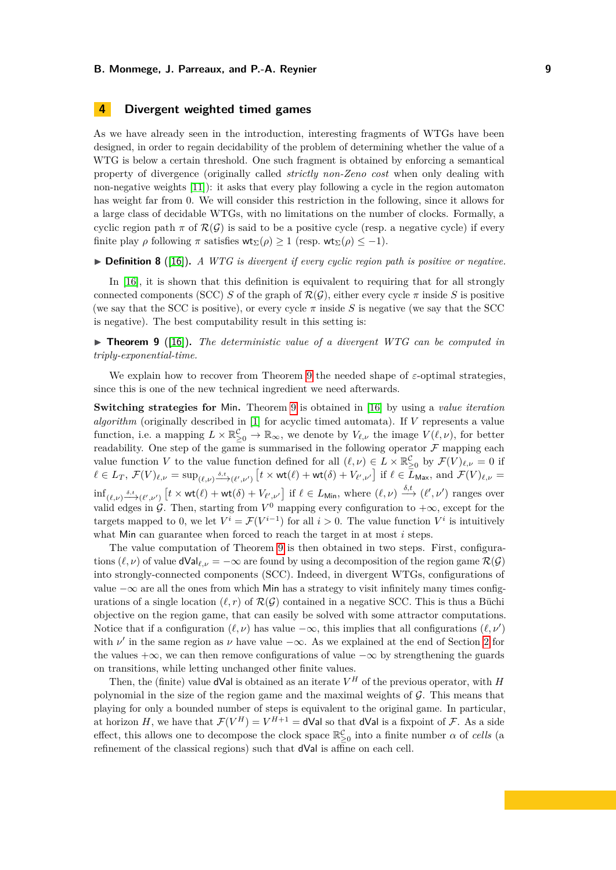# <span id="page-8-1"></span>**4 Divergent weighted timed games**

As we have already seen in the introduction, interesting fragments of WTGs have been designed, in order to regain decidability of the problem of determining whether the value of a WTG is below a certain threshold. One such fragment is obtained by enforcing a semantical property of divergence (originally called *strictly non-Zeno cost* when only dealing with non-negative weights [\[11\]](#page-15-2)): it asks that every play following a cycle in the region automaton has weight far from 0. We will consider this restriction in the following, since it allows for a large class of decidable WTGs, with no limitations on the number of clocks. Formally, a cyclic region path  $\pi$  of  $\mathcal{R}(\mathcal{G})$  is said to be a positive cycle (resp. a negative cycle) if every finite play  $\rho$  following  $\pi$  satisfies  $\mathsf{wt}_{\Sigma}(\rho) \geq 1$  (resp.  $\mathsf{wt}_{\Sigma}(\rho) \leq -1$ ).

▶ **Definition 8** ([\[16\]](#page-16-2))**.** *A WTG is divergent if every cyclic region path is positive or negative.*

In [\[16\]](#page-16-2), it is shown that this definition is equivalent to requiring that for all strongly connected components (SCC) *S* of the graph of  $\mathcal{R}(\mathcal{G})$ , either every cycle  $\pi$  inside *S* is positive (we say that the SCC is positive), or every cycle  $\pi$  inside *S* is negative (we say that the SCC is negative). The best computability result in this setting is:

<span id="page-8-0"></span>▶ **Theorem 9** ([\[16\]](#page-16-2))**.** *The deterministic value of a divergent WTG can be computed in triply-exponential-time.*

We explain how to recover from Theorem [9](#page-8-0) the needed shape of *ε*-optimal strategies, since this is one of the new technical ingredient we need afterwards.

**Switching strategies for** Min**.** Theorem [9](#page-8-0) is obtained in [\[16\]](#page-16-2) by using a *value iteration algorithm* (originally described in [\[1\]](#page-15-3) for acyclic timed automata). If *V* represents a value function, i.e. a mapping  $L \times \mathbb{R}_{\geq 0}^{\mathcal{C}} \to \mathbb{R}_{\infty}$ , we denote by  $V_{\ell,\nu}$  the image  $V(\ell,\nu)$ , for better readability. One step of the game is summarised in the following operator  $\mathcal F$  mapping each value function *V* to the value function defined for all  $(\ell, \nu) \in L \times \mathbb{R}_{\geq 0}^{\mathcal{C}}$  by  $\mathcal{F}(V)_{\ell, \nu} = 0$  if  $\ell \in L_T$ ,  $\mathcal{F}(V)_{\ell,\nu} = \sup_{(\ell,\nu) \xrightarrow{\delta,t} (\ell',\nu')} [t \times \text{wt}(\ell) + \text{wt}(\delta) + V_{\ell',\nu'}]$  if  $\ell \in L_{\text{Max}}$ , and  $\mathcal{F}(V)_{\ell,\nu} =$  $\inf_{(\ell,\nu)\xrightarrow{\delta,t}(\ell',\nu')} [t \times \text{wt}(\ell) + \text{wt}(\delta) + V_{\ell',\nu'}]$  if  $\ell \in L_{\text{Min}}$ , where  $(\ell,\nu)\xrightarrow{\delta,t} (\ell',\nu')$  ranges over valid edges in G. Then, starting from  $V^0$  mapping every configuration to  $+\infty$ , except for the targets mapped to 0, we let  $V^i = \mathcal{F}(V^{i-1})$  for all  $i > 0$ . The value function  $V^i$  is intuitively what Min can guarantee when forced to reach the target in at most *i* steps.

The value computation of Theorem [9](#page-8-0) is then obtained in two steps. First, configurations  $(\ell, \nu)$  of value dVal<sub> $\ell, \nu$ </sub> =  $-\infty$  are found by using a decomposition of the region game  $\mathcal{R}(\mathcal{G})$ into strongly-connected components (SCC). Indeed, in divergent WTGs, configurations of value  $-\infty$  are all the ones from which Min has a strategy to visit infinitely many times configurations of a single location  $(\ell, r)$  of  $\mathcal{R}(\mathcal{G})$  contained in a negative SCC. This is thus a Büchi objective on the region game, that can easily be solved with some attractor computations. Notice that if a configuration  $(\ell, \nu)$  has value  $-\infty$ , this implies that all configurations  $(\ell, \nu')$ with  $\nu'$  in the same region as  $\nu$  have value  $-\infty$ . As we explained at the end of Section [2](#page-2-1) for the values + $\infty$ , we can then remove configurations of value  $-\infty$  by strengthening the guards on transitions, while letting unchanged other finite values.

Then, the (finite) value **dVal** is obtained as an iterate  $V^H$  of the previous operator, with *H* polynomial in the size of the region game and the maximal weights of  $G$ . This means that playing for only a bounded number of steps is equivalent to the original game. In particular, at horizon *H*, we have that  $\mathcal{F}(V^H) = V^{H+1} = d$ Val so that dVal is a fixpoint of *F*. As a side effect, this allows one to decompose the clock space  $\mathbb{R}_{\geq 0}^{\mathcal{C}}$  into a finite number  $\alpha$  of *cells* (a refinement of the classical regions) such that dVal is affine on each cell.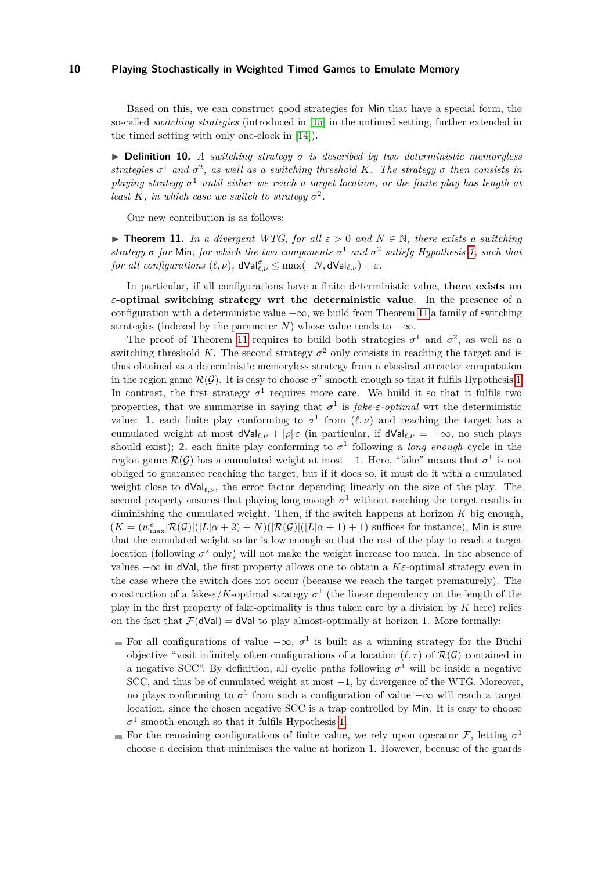Based on this, we can construct good strategies for Min that have a special form, the so-called *switching strategies* (introduced in [\[15\]](#page-16-3) in the untimed setting, further extended in the timed setting with only one-clock in [\[14\]](#page-16-6)).

 $\triangleright$  **Definition 10.** *A switching strategy*  $\sigma$  *is described by two deterministic memoryless strategies*  $\sigma^1$  *and*  $\sigma^2$ , *as well as a switching threshold K. The strategy*  $\sigma$  *then consists in playing strategy*  $\sigma$ <sup>1</sup> *until either we reach a target location, or the finite play has length at least K*, *in which case we switch to strategy*  $\sigma^2$ .

Our new contribution is as follows:

<span id="page-9-0"></span>**► Theorem 11.** *In a divergent WTG, for all*  $\varepsilon > 0$  *and*  $N \in \mathbb{N}$ *, there exists a switching strategy*  $\sigma$  *for* Min, *for which the two components*  $\sigma$ <sup>1</sup> and  $\sigma$ <sup>2</sup> *satisfy Hypothesis* [1,](#page-5-1) *such that for all configurations*  $(\ell, \nu)$ ,  $dVal_{\ell, \nu}^{\sigma} \leq \max(-N, dVal_{\ell, \nu}) + \varepsilon$ .

In particular, if all configurations have a finite deterministic value, **there exists an** *ε***-optimal switching strategy wrt the deterministic value**. In the presence of a configuration with a deterministic value  $-\infty$ , we build from Theorem [11](#page-9-0) a family of switching strategies (indexed by the parameter *N*) whose value tends to  $-\infty$ .

The proof of Theorem [11](#page-9-0) requires to build both strategies  $\sigma^1$  and  $\sigma^2$ , as well as a switching threshold *K*. The second strategy  $\sigma^2$  only consists in reaching the target and is thus obtained as a deterministic memoryless strategy from a classical attractor computation in the region game  $\mathcal{R}(\mathcal{G})$ . It is easy to choose  $\sigma^2$  smooth enough so that it fulfils Hypothesis [1.](#page-5-1) In contrast, the first strategy  $\sigma^1$  requires more care. We build it so that it fulfils two properties, that we summarise in saying that  $\sigma^1$  is *fake-* $\varepsilon$ *-optimal* wrt the deterministic value: 1. each finite play conforming to  $\sigma^1$  from  $(\ell, \nu)$  and reaching the target has a cumulated weight at most  $dVal_{\ell,\nu} + |\rho| \varepsilon$  (in particular, if  $dVal_{\ell,\nu} = -\infty$ , no such plays should exist); **2.** each finite play conforming to  $\sigma^1$  following a *long enough* cycle in the region game  $\mathcal{R}(\mathcal{G})$  has a cumulated weight at most  $-1$ . Here, "fake" means that  $\sigma^1$  is not obliged to guarantee reaching the target, but if it does so, it must do it with a cumulated weight close to  $dVal_{\ell,\nu}$ , the error factor depending linearly on the size of the play. The second property ensures that playing long enough  $\sigma^1$  without reaching the target results in diminishing the cumulated weight. Then, if the switch happens at horizon *K* big enough,  $(K = (w_{\text{max}}^e | \mathcal{R}(\mathcal{G})|(|L|\alpha + 2) + N(|\mathcal{R}(\mathcal{G})|(|L|\alpha + 1) + 1)$  suffices for instance), Min is sure that the cumulated weight so far is low enough so that the rest of the play to reach a target location (following  $\sigma^2$  only) will not make the weight increase too much. In the absence of values  $-\infty$  in dVal, the first property allows one to obtain a *K* $\varepsilon$ -optimal strategy even in the case where the switch does not occur (because we reach the target prematurely). The construction of a fake- $\varepsilon/K$ -optimal strategy  $\sigma^1$  (the linear dependency on the length of the play in the first property of fake-optimality is thus taken care by a division by *K* here) relies on the fact that  $\mathcal{F}(\text{dVal}) = \text{dVal}$  to play almost-optimally at horizon 1. More formally:

- For all configurations of value  $-\infty$ ,  $\sigma^1$  is built as a winning strategy for the Büchi objective "visit infinitely often configurations of a location  $(\ell, r)$  of  $\mathcal{R}(\mathcal{G})$  contained in a negative SCC". By definition, all cyclic paths following  $\sigma^1$  will be inside a negative SCC, and thus be of cumulated weight at most −1, by divergence of the WTG. Moreover, no plays conforming to  $\sigma^1$  from such a configuration of value  $-\infty$  will reach a target location, since the chosen negative SCC is a trap controlled by Min. It is easy to choose  $\sigma$ <sup>1</sup> smooth enough so that it fulfils Hypothesis [1.](#page-5-1)
- For the remaining configurations of finite value, we rely upon operator  $\mathcal{F}$ , letting  $\sigma^1$ choose a decision that minimises the value at horizon 1. However, because of the guards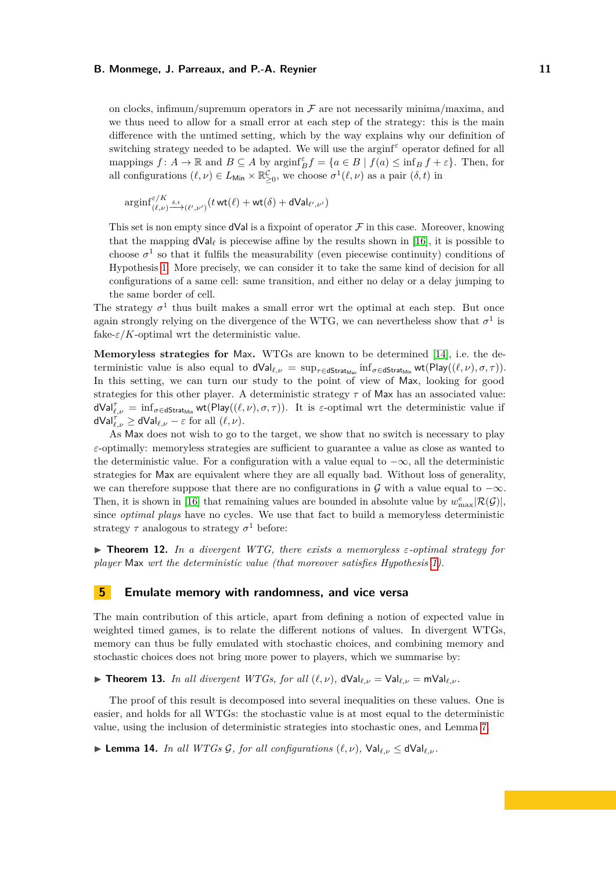on clocks, infimum/supremum operators in  $\mathcal F$  are not necessarily minima/maxima, and we thus need to allow for a small error at each step of the strategy: this is the main difference with the untimed setting, which by the way explains why our definition of switching strategy needed to be adapted. We will use the arginf*<sup>ε</sup>* operator defined for all mappings  $f: A \to \mathbb{R}$  and  $B \subseteq A$  by  $\operatorname{arginf}_{B}^{\varepsilon} f = \{a \in B \mid f(a) \leq \inf_{B} f + \varepsilon\}$ . Then, for all configurations  $(\ell, \nu) \in L_{\text{Min}} \times \mathbb{R}^{\mathcal{C}}_{\geq 0}$ , we choose  $\sigma^1(\ell, \nu)$  as a pair  $(\delta, t)$  in

$$
\mathop{\rm arginf}\nolimits_{(\ell, \nu)}^{\varepsilon/K} \xrightarrow{\delta, t} {(\ell', \nu')} (t \mathop{\rm wt}(\ell) + \mathop{\rm wt}(\delta) + {\mathsf{dVal}}_{\ell', \nu'})
$$

This set is non empty since  $dVal$  is a fixpoint of operator  $\mathcal F$  in this case. Moreover, knowing that the mapping  $dVal_\ell$  is piecewise affine by the results shown in [\[16\]](#page-16-2), it is possible to choose  $\sigma^1$  so that it fulfils the measurability (even piecewise continuity) conditions of Hypothesis [1.](#page-5-1) More precisely, we can consider it to take the same kind of decision for all configurations of a same cell: same transition, and either no delay or a delay jumping to the same border of cell.

The strategy  $\sigma^1$  thus built makes a small error wrt the optimal at each step. But once again strongly relying on the divergence of the WTG, we can nevertheless show that  $\sigma^1$  is fake- $\varepsilon/K$ -optimal wrt the deterministic value.

**Memoryless strategies for** Max**.** WTGs are known to be determined [\[14\]](#page-16-6), i.e. the deterministic value is also equal to  $dVal_{\ell,\nu} = \sup_{\tau \in dStrat_{Max}} inf_{\sigma \in dStrat_{Min}} wt(Play(\ell, \nu), \sigma, \tau)).$ In this setting, we can turn our study to the point of view of Max, looking for good strategies for this other player. A deterministic strategy *τ* of Max has an associated value:  $dVal_{\ell,\nu}^{\tau} = \inf_{\sigma \in \mathsf{dStrat}_{\mathsf{Min}}} \mathsf{wt}(\mathsf{Play}(\ell,\nu),\sigma,\tau)).$  It is *ε*-optimal wrt the deterministic value if  $dVal_{\ell,\nu}^{\tau'} \geq dVal_{\ell,\nu} - \varepsilon$  for all  $(\ell,\nu)$ .

As Max does not wish to go to the target, we show that no switch is necessary to play *ε*-optimally: memoryless strategies are sufficient to guarantee a value as close as wanted to the deterministic value. For a configuration with a value equal to  $-\infty$ , all the deterministic strategies for Max are equivalent where they are all equally bad. Without loss of generality, we can therefore suppose that there are no configurations in G with a value equal to  $-\infty$ . Then, it is shown in [\[16\]](#page-16-2) that remaining values are bounded in absolute value by  $w_{\text{max}}^e|\mathcal{R}(\mathcal{G})|$ , since *optimal plays* have no cycles. We use that fact to build a memoryless deterministic strategy  $\tau$  analogous to strategy  $\sigma^1$  before:

<span id="page-10-1"></span> $\blacktriangleright$  **Theorem 12.** In a divergent WTG, there exists a memoryless  $\varepsilon$ -optimal strategy for *player* Max *wrt the deterministic value (that moreover satisfies Hypothesis [1\)](#page-5-1).*

# <span id="page-10-0"></span>**5 Emulate memory with randomness, and vice versa**

The main contribution of this article, apart from defining a notion of expected value in weighted timed games, is to relate the different notions of values. In divergent WTGs, memory can thus be fully emulated with stochastic choices, and combining memory and stochastic choices does not bring more power to players, which we summarise by:

<span id="page-10-3"></span>▶ **Theorem 13.** *In all divergent WTGs, for all*  $(\ell, \nu)$ ,  $dVal_{\ell\nu} = Val_{\ell\nu} = mVal_{\ell\nu}$ .

The proof of this result is decomposed into several inequalities on these values. One is easier, and holds for all WTGs: the stochastic value is at most equal to the deterministic value, using the inclusion of deterministic strategies into stochastic ones, and Lemma [7.](#page-7-1)

<span id="page-10-2"></span>▶ **Lemma 14.** *In all WTGs G, for all configurations*  $(\ell, \nu)$ ,  $\text{Val}_{\ell, \nu}$  ≤ dVal<sub> $\ell, \nu$ </sub>.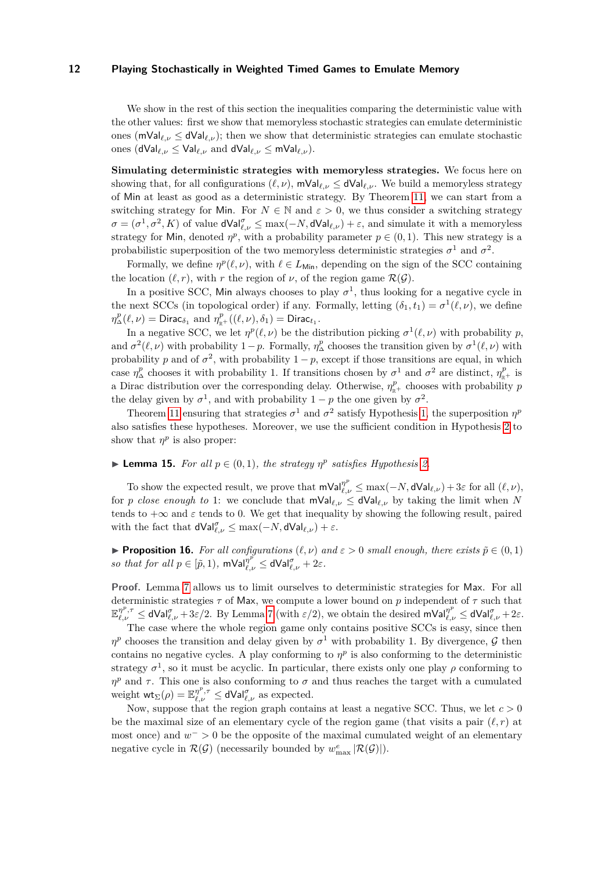We show in the rest of this section the inequalities comparing the deterministic value with the other values: first we show that memoryless stochastic strategies can emulate deterministic ones ( $\mathsf{mVal}_{\ell,\nu} \leq \mathsf{dVal}_{\ell,\nu}$ ); then we show that deterministic strategies can emulate stochastic ones (dVal*ℓ,ν* ≤ Val*ℓ,ν* and dVal*ℓ,ν* ≤ mVal*ℓ,ν*).

**Simulating deterministic strategies with memoryless strategies.** We focus here on showing that, for all configurations  $(\ell, \nu)$ , mVal $_{\ell, \nu} \leq d$ Val $_{\ell, \nu}$ . We build a memoryless strategy of Min at least as good as a deterministic strategy. By Theorem [11,](#page-9-0) we can start from a switching strategy for Min. For  $N \in \mathbb{N}$  and  $\varepsilon > 0$ , we thus consider a switching strategy  $\sigma = (\sigma^1, \sigma^2, K)$  of value  $dVal_{\ell,\nu}^{\sigma} \leq \max(-N, dVal_{\ell,\nu}) + \varepsilon$ , and simulate it with a memoryless strategy for Min, denoted  $\eta^p$ , with a probability parameter  $p \in (0,1)$ . This new strategy is a probabilistic superposition of the two memoryless deterministic strategies  $\sigma^1$  and  $\sigma^2$ .

Formally, we define  $\eta^p(\ell, \nu)$ , with  $\ell \in L_{\text{Min}}$ , depending on the sign of the SCC containing the location  $(\ell, r)$ , with *r* the region of *ν*, of the region game  $\mathcal{R}(\mathcal{G})$ .

In a positive SCC, Min always chooses to play  $\sigma^1$ , thus looking for a negative cycle in the next SCCs (in topological order) if any. Formally, letting  $(\delta_1, t_1) = \sigma^1(\ell, \nu)$ , we define  $\eta^p_\Delta(\ell,\nu) = \text{Dirac}_{\delta_1} \text{ and } \eta^p_{\mathbb{R}^+}((\ell,\nu),\delta_1) = \text{Dirac}_{t_1}.$ 

In a negative SCC, we let  $\eta^p(\ell,\nu)$  be the distribution picking  $\sigma^1(\ell,\nu)$  with probability p, and  $\sigma^2(\ell, \nu)$  with probability 1 – *p*. Formally,  $\eta_{\Delta}^p$  chooses the transition given by  $\sigma^1(\ell, \nu)$  with probability *p* and of  $\sigma^2$ , with probability  $1 - p$ , except if those transitions are equal, in which case  $\eta^p_\Delta$  chooses it with probability 1. If transitions chosen by  $\sigma^1$  and  $\sigma^2$  are distinct,  $\eta^p_{\mathbb{R}^+}$  is a Dirac distribution over the corresponding delay. Otherwise,  $\eta_{\mathbb{R}^+}^p$  chooses with probability *p* the delay given by  $\sigma^1$ , and with probability  $1 - p$  the one given by  $\sigma^2$ .

Theorem [11](#page-9-0) ensuring that strategies  $\sigma^1$  and  $\sigma^2$  satisfy Hypothesis [1,](#page-5-1) the superposition  $\eta^p$ also satisfies these hypotheses. Moreover, we use the sufficient condition in Hypothesis [2](#page-7-0) to show that  $\eta^p$  is also proper:

# <span id="page-11-0"></span>▶ **Lemma 15.** *For all*  $p \in (0,1)$ *, the strategy*  $\eta^p$  *satisfies Hypothesis* [2.](#page-7-0)

To show the expected result, we prove that  $mVal_{\ell,\nu}^{\eta^p} \leq \max(-N, dVal_{\ell,\nu}) + 3\varepsilon$  for all  $(\ell, \nu)$ , for *p close enough to* 1: we conclude that  $mVal_{\ell,\nu} \leq dVal_{\ell,\nu}$  by taking the limit when N tends to  $+\infty$  and  $\varepsilon$  tends to 0. We get that inequality by showing the following result, paired with the fact that  $dVal_{\ell,\nu}^{\sigma} \leq \max(-N, dVal_{\ell,\nu}) + \varepsilon$ .

<span id="page-11-1"></span>**• Proposition 16.** For all configurations  $(\ell, \nu)$  and  $\varepsilon > 0$  small enough, there exists  $\tilde{p} \in (0, 1)$ *so that for all*  $p \in [\tilde{p}, 1)$ *,*  $m\text{Val}_{\ell, \nu}^{p^{\nu}} \leq d\text{Val}_{\ell, \nu}^{\sigma} + 2\varepsilon$ *.* 

**Proof.** Lemma [7](#page-7-1) allows us to limit ourselves to deterministic strategies for Max. For all deterministic strategies *τ* of Max, we compute a lower bound on *p* independent of *τ* such that  $\mathbb{E}_{\ell,\nu}^{\eta^p,\tau} \leq d\text{Val}_{\ell,\nu}^{\sigma} + 3\varepsilon/2$ . By Lemma [7](#page-7-1) (with  $\varepsilon/2$ ), we obtain the desired  $\text{mVal}_{\ell,\nu}^{\eta^p} \leq d\text{Val}_{\ell,\nu}^{\sigma} + 2\varepsilon$ .

The case where the whole region game only contains positive SCCs is easy, since then  $\eta^p$  chooses the transition and delay given by  $\sigma^1$  with probability 1. By divergence, G then contains no negative cycles. A play conforming to  $\eta^p$  is also conforming to the deterministic strategy  $\sigma^1$ , so it must be acyclic. In particular, there exists only one play  $\rho$  conforming to *η*<sup>*p*</sup> and *τ*. This one is also conforming to *σ* and thus reaches the target with a cumulated weight  $\mathsf{wt}_{\Sigma}(\rho) = \mathbb{E}_{\ell,\nu}^{\eta^p,\tau} \leq \mathsf{dVal}_{\ell,\nu}^{\sigma}$  as expected.

Now, suppose that the region graph contains at least a negative SCC. Thus, we let  $c > 0$ be the maximal size of an elementary cycle of the region game (that visits a pair  $(\ell, r)$ ) at most once) and  $w^-$  > 0 be the opposite of the maximal cumulated weight of an elementary negative cycle in  $\mathcal{R}(\mathcal{G})$  (necessarily bounded by  $w^e_{\text{max}}|\mathcal{R}(\mathcal{G})|$ ).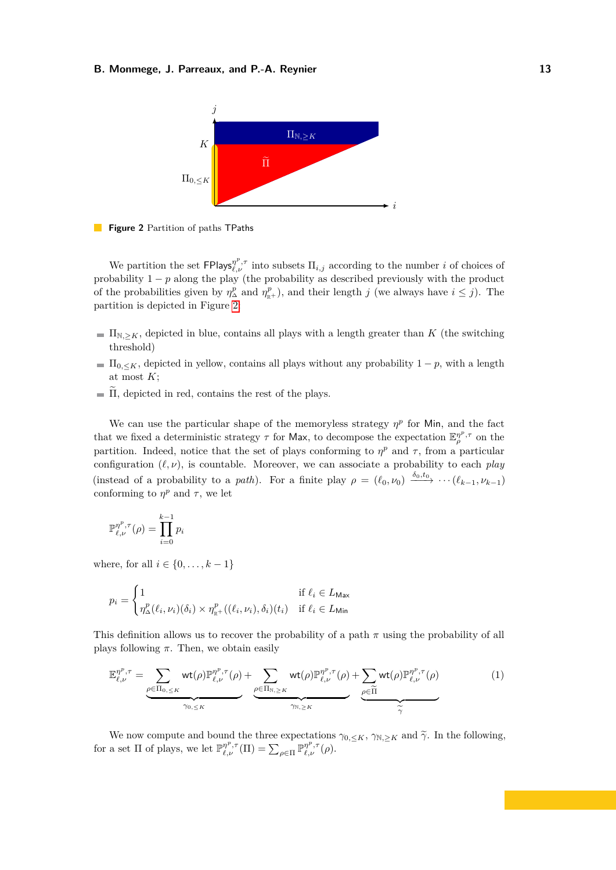<span id="page-12-0"></span>



We partition the set  $\text{FPlays}_{\ell,\nu}^{\eta^p,\tau}$  into subsets  $\Pi_{i,j}$  according to the number *i* of choices of probability  $1 - p$  along the play (the probability as described previously with the product of the probabilities given by  $\eta_{\Delta}^p$  and  $\eta_{\mathbb{R}^+}^p$ , and their length *j* (we always have  $i \leq j$ ). The partition is depicted in Figure [2:](#page-12-0)

- $\Pi_{N,\geq K}$ , depicted in blue, contains all plays with a length greater than *K* (the switching threshold)
- $\Pi_{0,\leq K}$ , depicted in yellow, contains all plays without any probability  $1-p$ , with a length at most *K*;
- $\tilde{\Pi}$ , depicted in red, contains the rest of the plays.

We can use the particular shape of the memoryless strategy  $\eta^p$  for Min, and the fact that we fixed a deterministic strategy  $\tau$  for Max, to decompose the expectation  $\mathbb{E}_{\rho}^{\eta^p,\tau}$  on the partition. Indeed, notice that the set of plays conforming to  $\eta^p$  and  $\tau$ , from a particular configuration  $(\ell, \nu)$ , is countable. Moreover, we can associate a probability to each *play* (instead of a probability to a *path*). For a finite play  $\rho = (\ell_0, \nu_0) \xrightarrow{\delta_0, t_0} \cdots (\ell_{k-1}, \nu_{k-1})$ conforming to  $\eta^p$  and  $\tau$ , we let

$$
\mathbb{P}_{\ell,\nu}^{\eta^p,\tau}(\rho) = \prod_{i=0}^{k-1} p_i
$$

where, for all  $i \in \{0, \ldots, k-1\}$ 

$$
p_i = \begin{cases} 1 & \text{if } \ell_i \in L_{\text{Max}} \\ \eta_{\Delta}^p(\ell_i, \nu_i)(\delta_i) \times \eta_{\mathbb{R}^+}^p((\ell_i, \nu_i), \delta_i)(t_i) & \text{if } \ell_i \in L_{\text{Min}} \end{cases}
$$

This definition allows us to recover the probability of a path *π* using the probability of all plays following  $\pi$ . Then, we obtain easily

<span id="page-12-1"></span>
$$
\mathbb{E}_{\ell,\nu}^{\eta^{p},\tau} = \underbrace{\sum_{\rho \in \Pi_{0,\leq K}} \text{wt}(\rho) \mathbb{P}_{\ell,\nu}^{\eta^{p},\tau}(\rho)}_{\gamma_{0,\leq K}} + \underbrace{\sum_{\rho \in \Pi_{\mathbb{N},\geq K}} \text{wt}(\rho) \mathbb{P}_{\ell,\nu}^{\eta^{p},\tau}(\rho)}_{\gamma_{\mathbb{N},\geq K}} + \underbrace{\sum_{\rho \in \widetilde{\Pi}} \text{wt}(\rho) \mathbb{P}_{\ell,\nu}^{\eta^{p},\tau}(\rho)}_{\widetilde{\gamma}} \qquad (1)
$$

We now compute and bound the three expectations  $\gamma_{0,\leq K}$ ,  $\gamma_{\mathbb{N},\geq K}$  and  $\widetilde{\gamma}$ . In the following, for a set  $\Pi$  of plays, we let  $\mathbb{P}_{\ell,\nu}^{n^p,\tau}(\Pi) = \sum_{\rho \in \Pi} \mathbb{P}_{\ell,\nu}^{n^p,\tau}(\rho)$ .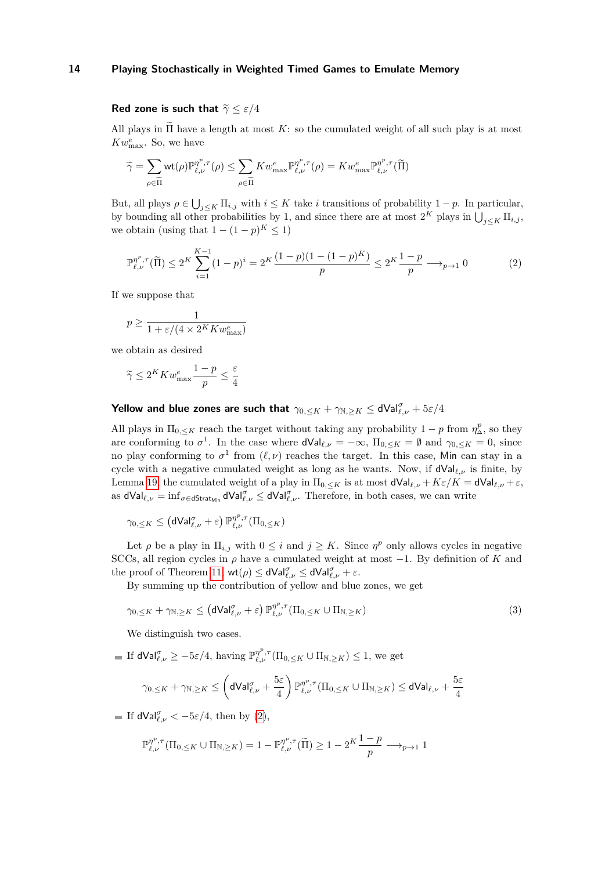# **Red zone is such that**  $\tilde{\gamma} \leq \varepsilon/4$

All plays in  $\tilde{\Pi}$  have a length at most *K*: so the cumulated weight of all such play is at most  $Kw_{\text{max}}^e$ . So, we have

$$
\widetilde{\gamma} = \sum_{\rho \in \widetilde{\Pi}} \mathrm{wt}(\rho) \mathbb{P}_{\ell, \nu}^{\eta^p, \tau}(\rho) \le \sum_{\rho \in \widetilde{\Pi}} K w_{\max}^e \mathbb{P}_{\ell, \nu}^{\eta^p, \tau}(\rho) = K w_{\max}^e \mathbb{P}_{\ell, \nu}^{\eta^p, \tau}(\widetilde{\Pi})
$$

But, all plays  $\rho \in \bigcup_{j \leq K} \Pi_{i,j}$  with  $i \leq K$  take *i* transitions of probability  $1 - p$ . In particular, by bounding all other probabilities by 1, and since there are at most  $2^K$  plays in  $\bigcup_{j\leq K} \prod_{i,j}$ , we obtain (using that  $1 - (1 - p)^K \leq 1$ )

<span id="page-13-0"></span>
$$
\mathbb{P}_{\ell,\nu}^{\eta^p,\tau}(\widetilde{\Pi}) \le 2^K \sum_{i=1}^{K-1} (1-p)^i = 2^K \frac{(1-p)(1-(1-p)^K)}{p} \le 2^K \frac{1-p}{p} \longrightarrow_{p \to 1} 0
$$
 (2)

If we suppose that

$$
p \ge \frac{1}{1 + \varepsilon / (4 \times 2^K K w_{\text{max}}^e)}
$$

we obtain as desired

$$
\widetilde{\gamma} \le 2^K K w_{\max}^e \frac{1-p}{p} \le \frac{\varepsilon}{4}
$$

# **Yellow and blue zones are such that**  $\gamma_{0, \leq K} + \gamma_{\mathbb{N}, \geq K} \leq d \mathsf{Val}_{\ell, \nu}^{\sigma} + 5\varepsilon/4$

All plays in  $\Pi_{0,\leq K}$  reach the target without taking any probability  $1-p$  from  $\eta^p_\Delta$ , so they are conforming to  $\sigma^1$ . In the case where  $dVal_{\ell,\nu} = -\infty$ ,  $\Pi_{0,\leq K} = \emptyset$  and  $\gamma_{0,\leq K} = 0$ , since no play conforming to  $\sigma^1$  from  $(\ell, \nu)$  reaches the target. In this case, Min can stay in a cycle with a negative cumulated weight as long as he wants. Now, if dVal*ℓ,ν* is finite, by Lemma [19,](#page-27-0) the cumulated weight of a play in  $\Pi_{0,\leq K}$  is at most  $dVal_{\ell,\nu} + K\epsilon/K = dVal_{\ell,\nu} + \epsilon$ , as  $dVal_{\ell,\nu} = \inf_{\sigma \in \mathsf{dStrat}_{\mathsf{Min}}} dVal_{\ell,\nu}^{\sigma} \leq dVal_{\ell,\nu}^{\sigma}$ . Therefore, in both cases, we can write

$$
\gamma_{0,\leq K} \leq \left(\mathsf{dVal}_{\ell,\nu}^{\sigma} + \varepsilon\right) \mathbb{P}_{\ell,\nu}^{\eta^p,\tau}(\Pi_{0,\leq K})
$$

Let  $\rho$  be a play in  $\Pi_{i,j}$  with  $0 \leq i$  and  $j \geq K$ . Since  $\eta^p$  only allows cycles in negative SCCs, all region cycles in  $\rho$  have a cumulated weight at most  $-1$ . By definition of *K* and the proof of Theorem [11,](#page-9-0)  $\mathsf{wt}(\rho) \leq \mathsf{dVal}_{\ell,\nu}^{\sigma} \leq \mathsf{dVal}_{\ell,\nu}^{\sigma} + \varepsilon$ .

By summing up the contribution of yellow and blue zones, we get

$$
\gamma_{0,\leq K} + \gamma_{\mathbb{N},\geq K} \leq (\mathsf{dVal}_{\ell,\nu}^{\sigma} + \varepsilon) \, \mathbb{P}_{\ell,\nu}^{\eta^p,\tau}(\Pi_{0,\leq K} \cup \Pi_{\mathbb{N},\geq K}) \tag{3}
$$

We distinguish two cases.

If  $dVal_{\ell,\nu}^{\sigma} \ge -5\varepsilon/4$ , having  $\mathbb{P}_{\ell,\nu}^{\eta^p,\tau}(\Pi_{0,\leq K} \cup \Pi_{\mathbb{N},\geq K}) \leq 1$ , we get

<span id="page-13-1"></span>
$$
\gamma_{0,\leq K} + \gamma_{\mathbb{N},\geq K} \leq \left(\mathsf{dVal}_{\ell,\nu}^{\sigma} + \frac{5\varepsilon}{4}\right) \mathbb{P}_{\ell,\nu}^{\eta^p,\tau}(\Pi_{0,\leq K} \cup \Pi_{\mathbb{N},\geq K}) \leq \mathsf{dVal}_{\ell,\nu} + \frac{5\varepsilon}{4}
$$

If  $dVal_{\ell,\nu}^{\sigma} < -5\varepsilon/4$ , then by [\(2\)](#page-13-0),

$$
\mathbb{P}^{\eta^p,\tau}_{\ell,\nu}(\Pi_{0,\leq K} \cup \Pi_{\mathbb{N},\geq K}) = 1 - \mathbb{P}^{\eta^p,\tau}_{\ell,\nu}(\widetilde{\Pi}) \geq 1 - 2^{K} \frac{1-p}{p} \longrightarrow_{p \to 1} 1
$$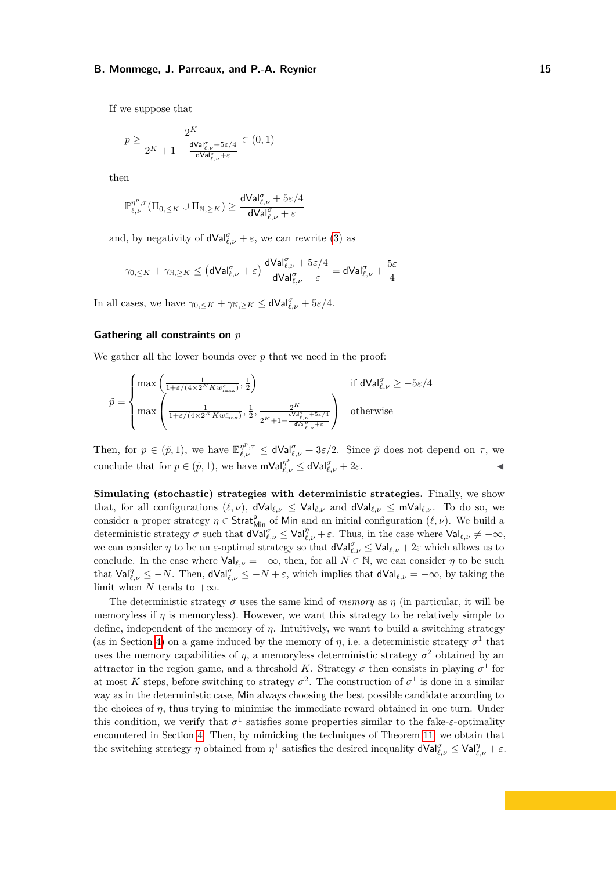If we suppose that

$$
p \geq \frac{2^K}{2^{K} + 1 - \frac{\mathrm{d} \mathrm{Val}_{\ell,\nu}^{\sigma} + 5\varepsilon/4}{\mathrm{d} \mathrm{Val}_{\ell,\nu}^{\sigma} + \varepsilon}} \in (0,1)
$$

then

$$
\mathbb{P}^{\eta^p,\tau}_{\ell,\nu}(\Pi_{0,\leq K} \cup \Pi_{\mathbb{N},\geq K}) \geq \frac{\mathsf{dVal}_{\ell,\nu}^\sigma + 5\varepsilon/4}{\mathsf{dVal}_{\ell,\nu}^\sigma + \varepsilon}
$$

and, by negativity of  $dVal_{\ell,\nu}^{\sigma} + \varepsilon$ , we can rewrite [\(3\)](#page-13-1) as

$$
\gamma_{0,\leq K}+\gamma_{\mathbb{N},\geq K}\leq \left(\mathsf{dVal}_{\ell,\nu}^{\sigma}+\varepsilon\right)\frac{\mathsf{dVal}_{\ell,\nu}^{\sigma}+5\varepsilon/4}{\mathsf{dVal}_{\ell,\nu}^{\sigma}+\varepsilon}=\mathsf{dVal}_{\ell,\nu}^{\sigma}+\frac{5\varepsilon}{4}
$$

In all cases, we have  $\gamma_{0,\leq K} + \gamma_{\mathbb{N},\geq K} \leq \mathsf{dVal}_{\ell,\nu}^{\sigma} + 5\varepsilon/4.$ 

# **Gathering all constraints on** *p*

We gather all the lower bounds over *p* that we need in the proof:

$$
\tilde{p} = \begin{cases}\n\max\left(\frac{1}{1+\varepsilon/(4\times 2^K K w_{\text{max}}^e)}, \frac{1}{2}\right) & \text{if dVal}_{\ell, \nu}^{\sigma} \ge -5\varepsilon/4 \\
\max\left(\frac{1}{1+\varepsilon/(4\times 2^K K w_{\text{max}}^e)}, \frac{1}{2}, \frac{2^K}{2^K + 1 - \frac{dVol_{\ell, \nu}^{\sigma} + 5\varepsilon/4}{dVol_{\ell, \nu}^{\sigma} + \varepsilon}}\right) & \text{otherwise}\n\end{cases}
$$

Then, for  $p \in (\tilde{p}, 1)$ , we have  $\mathbb{E}_{\ell,\nu}^{\eta^p,\tau} \leq d\text{Val}_{\ell,\nu}^{\sigma} + 3\varepsilon/2$ . Since  $\tilde{p}$  does not depend on  $\tau$ , we conclude that for  $p \in (\tilde{p}, 1)$ , we have  $mVal_{\ell, \nu}^{\eta^p} \leq dVal_{\ell, \nu}^{\sigma} + 2\varepsilon$ .

**Simulating (stochastic) strategies with deterministic strategies.** Finally, we show that, for all configurations  $(\ell, \nu)$ , dVal<sub> $\ell, \nu \leq$ Val<sub> $\ell, \nu$ </sub> and dVal<sub> $\ell, \nu \leq$  mVal $\ell, \nu$ . To do so, we</sub></sub> consider a proper strategy  $\eta \in \text{Strat}_{\text{Min}}^p$  of Min and an initial configuration  $(\ell, \nu)$ . We build a deterministic strategy  $\sigma$  such that  $dVal_{\ell,\nu}^{\sigma} \le Val_{\ell,\nu}^{\eta} + \varepsilon$ . Thus, in the case where  $Val_{\ell,\nu} \neq -\infty$ , we can consider  $\eta$  to be an *ε*-optimal strategy so that  $dVal_{\ell,\nu}^{\sigma} \le Val_{\ell,\nu} + 2\varepsilon$  which allows us to conclude. In the case where  $Val_{\ell,\nu} = -\infty$ , then, for all  $N \in \mathbb{N}$ , we can consider  $\eta$  to be such that  $\text{Val}_{\ell,\nu}^{\eta} \leq -N$ . Then,  $\text{dVal}_{\ell,\nu}^{\sigma} \leq -N + \varepsilon$ , which implies that  $\text{dVal}_{\ell,\nu} = -\infty$ , by taking the limit when *N* tends to  $+\infty$ .

The deterministic strategy  $\sigma$  uses the same kind of *memory* as  $\eta$  (in particular, it will be memoryless if *η* is memoryless). However, we want this strategy to be relatively simple to define, independent of the memory of *η*. Intuitively, we want to build a switching strategy (as in Section [4\)](#page-8-1) on a game induced by the memory of  $\eta$ , i.e. a deterministic strategy  $\sigma^1$  that uses the memory capabilities of  $\eta$ , a memoryless deterministic strategy  $\sigma^2$  obtained by an attractor in the region game, and a threshold *K*. Strategy  $\sigma$  then consists in playing  $\sigma^1$  for at most *K* steps, before switching to strategy  $\sigma^2$ . The construction of  $\sigma^1$  is done in a similar way as in the deterministic case, Min always choosing the best possible candidate according to the choices of *η*, thus trying to minimise the immediate reward obtained in one turn. Under this condition, we verify that  $\sigma^1$  satisfies some properties similar to the fake-*ε*-optimality encountered in Section [4.](#page-8-1) Then, by mimicking the techniques of Theorem [11,](#page-9-0) we obtain that the switching strategy *η* obtained from  $\eta$ <sup>1</sup> satisfies the desired inequality  $dVal_{\ell,\nu}^{\sigma} \le Val_{\ell,\nu}^{\eta} + \varepsilon$ .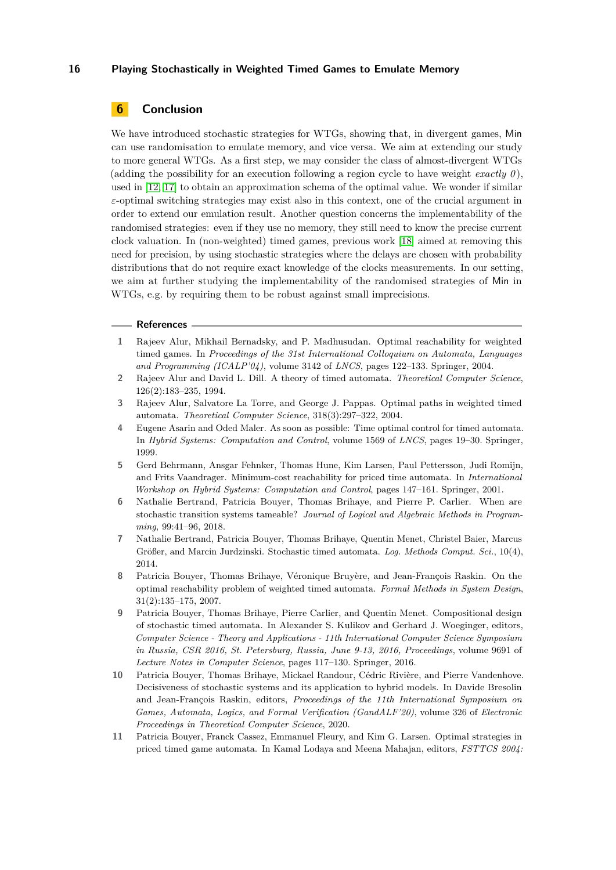# **6 Conclusion**

We have introduced stochastic strategies for WTGs, showing that, in divergent games, Min can use randomisation to emulate memory, and vice versa. We aim at extending our study to more general WTGs. As a first step, we may consider the class of almost-divergent WTGs (adding the possibility for an execution following a region cycle to have weight *exactly*  $\theta$ ), used in [\[12,](#page-16-5) [17\]](#page-16-7) to obtain an approximation schema of the optimal value. We wonder if similar *ε*-optimal switching strategies may exist also in this context, one of the crucial argument in order to extend our emulation result. Another question concerns the implementability of the randomised strategies: even if they use no memory, they still need to know the precise current clock valuation. In (non-weighted) timed games, previous work [\[18\]](#page-16-8) aimed at removing this need for precision, by using stochastic strategies where the delays are chosen with probability distributions that do not require exact knowledge of the clocks measurements. In our setting, we aim at further studying the implementability of the randomised strategies of Min in WTGs, e.g. by requiring them to be robust against small imprecisions.

#### **References**

- <span id="page-15-3"></span>**1** Rajeev Alur, Mikhail Bernadsky, and P. Madhusudan. Optimal reachability for weighted timed games. In *Proceedings of the 31st International Colloquium on Automata, Languages and Programming (ICALP'04)*, volume 3142 of *LNCS*, pages 122–133. Springer, 2004.
- <span id="page-15-0"></span>**2** Rajeev Alur and David L. Dill. A theory of timed automata. *Theoretical Computer Science*, 126(2):183–235, 1994.
- <span id="page-15-5"></span>**3** Rajeev Alur, Salvatore La Torre, and George J. Pappas. Optimal paths in weighted timed automata. *Theoretical Computer Science*, 318(3):297–322, 2004.
- <span id="page-15-1"></span>**4** Eugene Asarin and Oded Maler. As soon as possible: Time optimal control for timed automata. In *Hybrid Systems: Computation and Control*, volume 1569 of *LNCS*, pages 19–30. Springer, 1999.
- <span id="page-15-4"></span>**5** Gerd Behrmann, Ansgar Fehnker, Thomas Hune, Kim Larsen, Paul Pettersson, Judi Romijn, and Frits Vaandrager. Minimum-cost reachability for priced time automata. In *International Workshop on Hybrid Systems: Computation and Control*, pages 147–161. Springer, 2001.
- <span id="page-15-9"></span>**6** Nathalie Bertrand, Patricia Bouyer, Thomas Brihaye, and Pierre P. Carlier. When are stochastic transition systems tameable? *Journal of Logical and Algebraic Methods in Programming*, 99:41–96, 2018.
- <span id="page-15-7"></span>**7** Nathalie Bertrand, Patricia Bouyer, Thomas Brihaye, Quentin Menet, Christel Baier, Marcus Größer, and Marcin Jurdzinski. Stochastic timed automata. *Log. Methods Comput. Sci.*, 10(4), 2014.
- <span id="page-15-6"></span>**8** Patricia Bouyer, Thomas Brihaye, Véronique Bruyère, and Jean-François Raskin. On the optimal reachability problem of weighted timed automata. *Formal Methods in System Design*, 31(2):135–175, 2007.
- <span id="page-15-8"></span>**9** Patricia Bouyer, Thomas Brihaye, Pierre Carlier, and Quentin Menet. Compositional design of stochastic timed automata. In Alexander S. Kulikov and Gerhard J. Woeginger, editors, *Computer Science - Theory and Applications - 11th International Computer Science Symposium in Russia, CSR 2016, St. Petersburg, Russia, June 9-13, 2016, Proceedings*, volume 9691 of *Lecture Notes in Computer Science*, pages 117–130. Springer, 2016.
- <span id="page-15-10"></span>**10** Patricia Bouyer, Thomas Brihaye, Mickael Randour, Cédric Rivière, and Pierre Vandenhove. Decisiveness of stochastic systems and its application to hybrid models. In Davide Bresolin and Jean-François Raskin, editors, *Proceedings of the 11th International Symposium on Games, Automata, Logics, and Formal Verification (GandALF'20)*, volume 326 of *Electronic Proceedings in Theoretical Computer Science*, 2020.
- <span id="page-15-2"></span>**11** Patricia Bouyer, Franck Cassez, Emmanuel Fleury, and Kim G. Larsen. Optimal strategies in priced timed game automata. In Kamal Lodaya and Meena Mahajan, editors, *FSTTCS 2004:*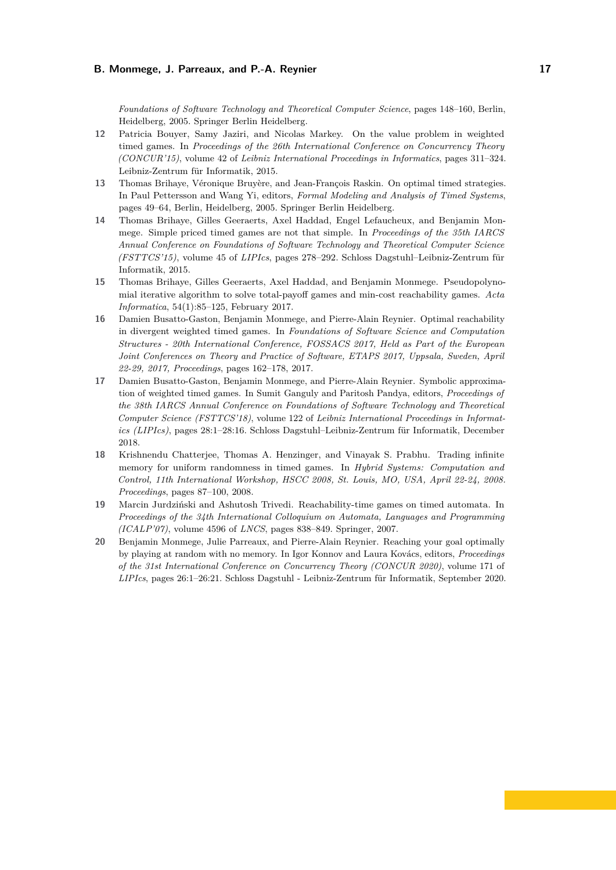*Foundations of Software Technology and Theoretical Computer Science*, pages 148–160, Berlin, Heidelberg, 2005. Springer Berlin Heidelberg.

- <span id="page-16-5"></span>**12** Patricia Bouyer, Samy Jaziri, and Nicolas Markey. On the value problem in weighted timed games. In *Proceedings of the 26th International Conference on Concurrency Theory (CONCUR'15)*, volume 42 of *Leibniz International Proceedings in Informatics*, pages 311–324. Leibniz-Zentrum für Informatik, 2015.
- <span id="page-16-1"></span>**13** Thomas Brihaye, Véronique Bruyère, and Jean-François Raskin. On optimal timed strategies. In Paul Pettersson and Wang Yi, editors, *Formal Modeling and Analysis of Timed Systems*, pages 49–64, Berlin, Heidelberg, 2005. Springer Berlin Heidelberg.
- <span id="page-16-6"></span>**14** Thomas Brihaye, Gilles Geeraerts, Axel Haddad, Engel Lefaucheux, and Benjamin Monmege. Simple priced timed games are not that simple. In *Proceedings of the 35th IARCS Annual Conference on Foundations of Software Technology and Theoretical Computer Science (FSTTCS'15)*, volume 45 of *LIPIcs*, pages 278–292. Schloss Dagstuhl–Leibniz-Zentrum für Informatik, 2015.
- <span id="page-16-3"></span>**15** Thomas Brihaye, Gilles Geeraerts, Axel Haddad, and Benjamin Monmege. Pseudopolynomial iterative algorithm to solve total-payoff games and min-cost reachability games. *Acta Informatica*, 54(1):85–125, February 2017.
- <span id="page-16-2"></span>**16** Damien Busatto-Gaston, Benjamin Monmege, and Pierre-Alain Reynier. Optimal reachability in divergent weighted timed games. In *Foundations of Software Science and Computation Structures - 20th International Conference, FOSSACS 2017, Held as Part of the European Joint Conferences on Theory and Practice of Software, ETAPS 2017, Uppsala, Sweden, April 22-29, 2017, Proceedings*, pages 162–178, 2017.
- <span id="page-16-7"></span>**17** Damien Busatto-Gaston, Benjamin Monmege, and Pierre-Alain Reynier. Symbolic approximation of weighted timed games. In Sumit Ganguly and Paritosh Pandya, editors, *Proceedings of the 38th IARCS Annual Conference on Foundations of Software Technology and Theoretical Computer Science (FSTTCS'18)*, volume 122 of *Leibniz International Proceedings in Informatics (LIPIcs)*, pages 28:1–28:16. Schloss Dagstuhl–Leibniz-Zentrum für Informatik, December 2018.
- <span id="page-16-8"></span>**18** Krishnendu Chatterjee, Thomas A. Henzinger, and Vinayak S. Prabhu. Trading infinite memory for uniform randomness in timed games. In *Hybrid Systems: Computation and Control, 11th International Workshop, HSCC 2008, St. Louis, MO, USA, April 22-24, 2008. Proceedings*, pages 87–100, 2008.
- <span id="page-16-0"></span>**19** Marcin Jurdziński and Ashutosh Trivedi. Reachability-time games on timed automata. In *Proceedings of the 34th International Colloquium on Automata, Languages and Programming (ICALP'07)*, volume 4596 of *LNCS*, pages 838–849. Springer, 2007.
- <span id="page-16-4"></span>**20** Benjamin Monmege, Julie Parreaux, and Pierre-Alain Reynier. Reaching your goal optimally by playing at random with no memory. In Igor Konnov and Laura Kovács, editors, *Proceedings of the 31st International Conference on Concurrency Theory (CONCUR 2020)*, volume 171 of *LIPIcs*, pages 26:1–26:21. Schloss Dagstuhl - Leibniz-Zentrum für Informatik, September 2020.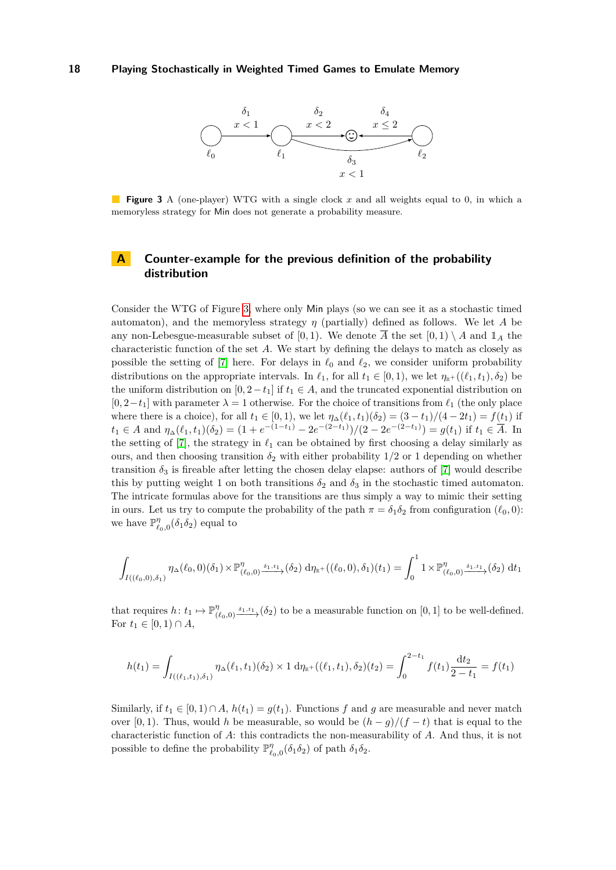<span id="page-17-1"></span>

**Figure 3** A (one-player) WTG with a single clock *x* and all weights equal to 0, in which a memoryless strategy for Min does not generate a probability measure.

# <span id="page-17-0"></span>**A Counter-example for the previous definition of the probability distribution**

Consider the WTG of Figure [3,](#page-17-1) where only Min plays (so we can see it as a stochastic timed automaton), and the memoryless strategy *η* (partially) defined as follows. We let *A* be any non-Lebesgue-measurable subset of  $[0, 1)$ . We denote  $\overline{A}$  the set  $[0, 1) \setminus A$  and  $\mathbb{1}_A$  the characteristic function of the set *A*. We start by defining the delays to match as closely as possible the setting of [\[7\]](#page-15-7) here. For delays in  $\ell_0$  and  $\ell_2$ , we consider uniform probability distributions on the appropriate intervals. In  $\ell_1$ , for all  $t_1 \in [0,1)$ , we let  $\eta_{\mathbb{R}^+}((\ell_1, t_1), \delta_2)$  be the uniform distribution on  $[0, 2-t_1]$  if  $t_1 \in A$ , and the truncated exponential distribution on  $[0, 2-t_1]$  with parameter  $\lambda = 1$  otherwise. For the choice of transitions from  $\ell_1$  (the only place where there is a choice), for all  $t_1 \in [0, 1)$ , we let  $\eta_{\Delta}(\ell_1, t_1)(\delta_2) = (3 - t_1)/(4 - 2t_1) = f(t_1)$  if  $t_1 \in A$  and  $\eta_{\Delta}(\ell_1, t_1)(\delta_2) = (1 + e^{-(1-t_1)} - 2e^{-(2-t_1)})/(2 - 2e^{-(2-t_1)}) = g(t_1)$  if  $t_1 \in \overline{A}$ . In the setting of [\[7\]](#page-15-7), the strategy in  $\ell_1$  can be obtained by first choosing a delay similarly as ours, and then choosing transition  $\delta_2$  with either probability  $1/2$  or 1 depending on whether transition  $\delta_3$  is fireable after letting the chosen delay elapse: authors of [\[7\]](#page-15-7) would describe this by putting weight 1 on both transitions  $\delta_2$  and  $\delta_3$  in the stochastic timed automaton. The intricate formulas above for the transitions are thus simply a way to mimic their setting in ours. Let us try to compute the probability of the path  $\pi = \delta_1 \delta_2$  from configuration  $(\ell_0, 0)$ : we have  $\mathbb{P}^{\eta}_{\ell_0,0}(\delta_1 \delta_2)$  equal to

$$
\int_{I((\ell_0,0),\delta_1)} \eta_{\Delta}(\ell_0,0)(\delta_1) \times \mathbb{P}^{\eta}_{(\ell_0,0)} \xrightarrow{\delta_1,t_1} (\delta_2) d\eta_{\mathbb{R}^+}((\ell_0,0),\delta_1)(t_1) = \int_0^1 1 \times \mathbb{P}^{\eta}_{(\ell_0,0)} \xrightarrow{\delta_1,t_1} (\delta_2) dt_1
$$

that requires  $h: t_1 \mapsto \mathbb{P}^{\eta}_0$  $(\ell_{0,0}) \xrightarrow{\delta_{1},t_1} (\delta_{2})$  to be a measurable function on [0, 1] to be well-defined. For *t*<sub>1</sub> ∈ [0, 1) ∩ *A*,

$$
h(t_1) = \int_{I((\ell_1, t_1), \delta_1)} \eta_{\Delta}(\ell_1, t_1)(\delta_2) \times 1 \, d\eta_{\mathbb{R}^+}((\ell_1, t_1), \delta_2)(t_2) = \int_0^{2-t_1} f(t_1) \frac{dt_2}{2-t_1} = f(t_1)
$$

Similarly, if  $t_1 \in [0, 1] \cap A$ ,  $h(t_1) = g(t_1)$ . Functions f and g are measurable and never match over [0, 1). Thus, would *h* be measurable, so would be  $(h - g)/(f - t)$  that is equal to the characteristic function of *A*: this contradicts the non-measurability of *A*. And thus, it is not possible to define the probability  $\mathbb{P}^{\eta}_{\ell_0,0}(\delta_1\delta_2)$  of path  $\delta_1\delta_2$ .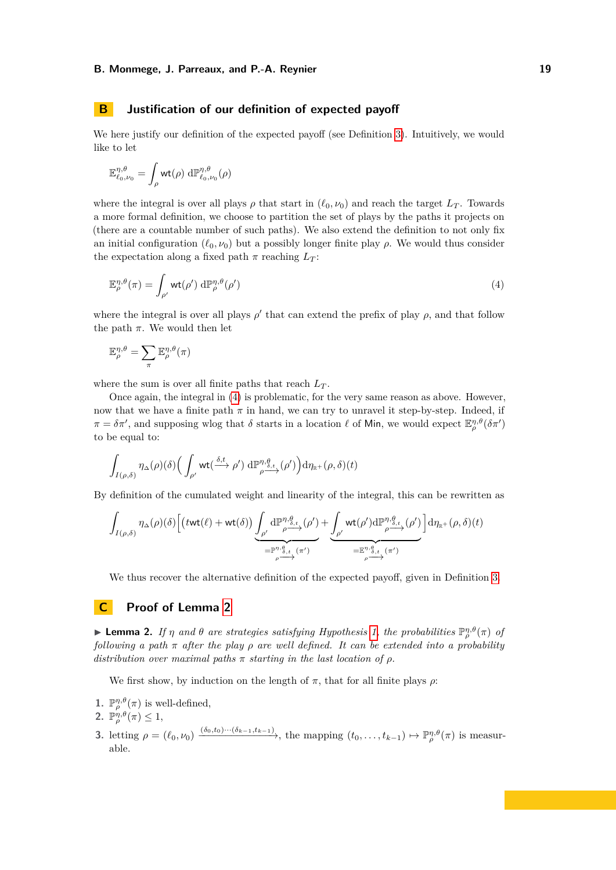# <span id="page-18-0"></span>**B Justification of our definition of expected payoff**

We here justify our definition of the expected payoff (see Definition [3\)](#page-6-0). Intuitively, we would like to let

$$
\mathbb{E}^{\eta,\theta}_{\ell_0,\nu_0} = \int_{\rho} \mathsf{wt}(\rho) \; \mathrm{d} \mathbb{P}^{\eta,\theta}_{\ell_0,\nu_0}(\rho)
$$

where the integral is over all plays  $\rho$  that start in  $(\ell_0, \nu_0)$  and reach the target  $L_T$ . Towards a more formal definition, we choose to partition the set of plays by the paths it projects on (there are a countable number of such paths). We also extend the definition to not only fix an initial configuration  $(\ell_0, \nu_0)$  but a possibly longer finite play  $\rho$ . We would thus consider the expectation along a fixed path  $\pi$  reaching  $L_T$ :

<span id="page-18-1"></span>
$$
\mathbb{E}_{\rho}^{\eta,\theta}(\pi) = \int_{\rho'} \mathrm{wt}(\rho') \, \mathrm{d}\mathbb{P}_{\rho}^{\eta,\theta}(\rho') \tag{4}
$$

where the integral is over all plays  $\rho'$  that can extend the prefix of play  $\rho$ , and that follow the path  $\pi$ . We would then let

$$
\mathbb{E}_{\rho}^{\eta,\theta} = \sum_{\pi} \mathbb{E}_{\rho}^{\eta,\theta}(\pi)
$$

where the sum is over all finite paths that reach  $L_T$ .

Once again, the integral in [\(4\)](#page-18-1) is problematic, for the very same reason as above. However, now that we have a finite path  $\pi$  in hand, we can try to unravel it step-by-step. Indeed, if  $\pi = \delta \pi'$ , and supposing wlog that  $\delta$  starts in a location  $\ell$  of Min, we would expect  $\mathbb{E}_{\rho}^{\eta,\theta}(\delta \pi')$ to be equal to:

$$
\int_{I(\rho,\delta)} \eta_{\Delta}(\rho)(\delta) \Big( \int_{\rho'} \mathrm{wt}(\xrightarrow{\delta,t} \rho') \mathrm{d} \mathbb{P}^{\eta,\theta}_{\rho \xrightarrow{\alpha}}(\rho') \Big) \mathrm{d} \eta_{\mathbb{R}^+}(\rho,\delta)(t)
$$

By definition of the cumulated weight and linearity of the integral, this can be rewritten as

$$
\int_{I(\rho,\delta)} \eta_{\Delta}(\rho)(\delta) \Big[ \big(t \textsf{wt}(\ell) + \textsf{wt}(\delta) \big) \underbrace{\int_{\rho'} \mathrm{d} \mathbb{P}^{\eta,\theta}_{\rho \xrightarrow{\delta,t}}(\rho') }_{= \mathbb{P}^{\eta,\theta}_{\rho,\xi}} + \underbrace{\int_{\rho'} \textsf{wt}(\rho') \mathrm{d} \mathbb{P}^{\eta,\theta}_{\rho \xrightarrow{\delta,t}}(\rho') }_{= \mathbb{E}^{\eta,\theta}_{\rho,\xi}(\pi')} \Big] \mathrm{d} \eta_{\mathbb{R}^+}(\rho,\delta)(t)
$$

We thus recover the alternative definition of the expected payoff, given in Definition [3.](#page-6-0)

# **C Proof of Lemma [2](#page-6-1)**

**Example 12.** *If*  $\eta$  *and*  $\theta$  *are strategies satisfying Hypothesis [1,](#page-5-1) the probabilities*  $\mathbb{P}_{\rho}^{\eta,\theta}(\pi)$  *of following a path π after the play ρ are well defined. It can be extended into a probability distribution over maximal paths*  $\pi$  *starting in the last location of*  $\rho$ *.* 

We first show, by induction on the length of  $\pi$ , that for all finite plays  $\rho$ :

- **1.**  $\mathbb{P}_{\rho}^{\eta,\theta}(\pi)$  is well-defined,
- **2.**  $\mathbb{P}_{\rho}^{\eta,\theta}(\pi) \leq 1$ ,
- 3. letting  $\rho = (\ell_0, \nu_0) \xrightarrow{(\delta_0, t_0) \cdots (\delta_{k-1}, t_{k-1})}$ , the mapping  $(t_0, \ldots, t_{k-1}) \mapsto \mathbb{P}_{\rho}^{\eta, \theta}(\pi)$  is measurable.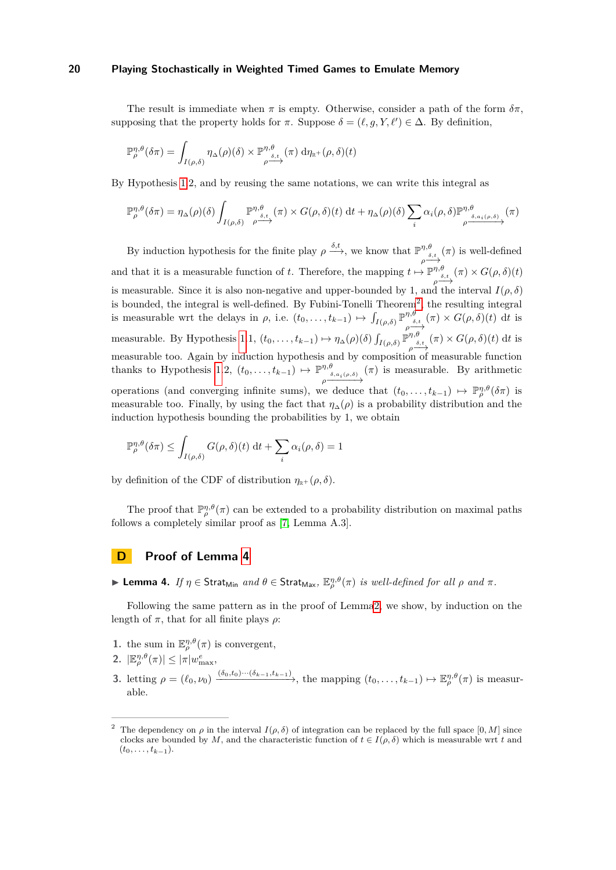The result is immediate when  $\pi$  is empty. Otherwise, consider a path of the form  $\delta \pi$ , supposing that the property holds for  $\pi$ . Suppose  $\delta = (\ell, g, Y, \ell') \in \Delta$ . By definition,

$$
\mathbb{P}^{\eta,\theta}_{\rho}(\delta\pi) = \int_{I(\rho,\delta)} \eta_{\Delta}(\rho)(\delta) \times \mathbb{P}^{\eta,\theta}_{\rho \xrightarrow{\delta,t}} (\pi) d\eta_{\mathbb{R}^+}(\rho,\delta)(t)
$$

By Hypothesis [1.](#page-5-1)2, and by reusing the same notations, we can write this integral as

$$
\mathbb{P}_{\rho}^{\eta,\theta}(\delta\pi) = \eta_{\Delta}(\rho)(\delta) \int_{I(\rho,\delta)} \mathbb{P}_{\rho \to \delta, t}^{\eta,\theta}(\pi) \times G(\rho,\delta)(t) \, \mathrm{d}t + \eta_{\Delta}(\rho)(\delta) \sum_{i} \alpha_{i}(\rho,\delta) \mathbb{P}_{\rho \to \delta, a_{i}(\rho,\delta)}^{\eta,\theta}(\pi)
$$

By induction hypothesis for the finite play  $\rho \xrightarrow{\delta,t}$ , we know that  $\mathbb{P}^{\eta,\theta}$  $\rho \xrightarrow{\delta, t} (\pi)$  is well-defined and that it is a measurable function of *t*. Therefore, the mapping  $t \mapsto \mathbb{P}^{\eta,\theta}$  $\rho \xrightarrow{\delta, t} (\pi) \times G(\rho, \delta)(t)$ is measurable. Since it is also non-negative and upper-bounded by 1, and the interval  $I(\rho, \delta)$ is bounded, the integral is well-defined. By Fubini-Tonelli Theorem<sup>[2](#page-19-0)</sup>, the resulting integral is measurable wrt the delays in  $\rho$ , i.e.  $(t_0, \ldots, t_{k-1}) \mapsto \int_{I(\rho,\delta)} \mathbb{P}^{\eta,\theta}$  $\phi \stackrel{\eta, \theta}{\longrightarrow} (\pi) \times G(\rho, \delta)(t)$  dt is measurable. By Hypothesis [1.](#page-5-1)1,  $(t_0, \ldots, t_{k-1}) \mapsto \eta_\Delta(\rho)(\delta) \int_{I(\rho,\delta)} \mathbb{P}^{\eta,\theta}$  $\rho \xrightarrow{\delta, t} (\pi) \times G(\rho, \delta)(t) \text{ d}t$  is measurable too. Again by induction hypothesis and by composition of measurable function thanks to Hypothesis [1.](#page-5-1)2,  $(t_0, \ldots, t_{k-1}) \mapsto \mathbb{P}^{\eta, \theta}$  $\rho \xrightarrow{\delta, a_i(\rho, \delta)}$  $(\pi)$  is measurable. By arithmetic operations (and converging infinite sums), we deduce that  $(t_0, \ldots, t_{k-1}) \mapsto \mathbb{P}_{\rho}^{\eta,\theta}(\delta \pi)$  is measurable too. Finally, by using the fact that  $\eta_{\Delta}(\rho)$  is a probability distribution and the induction hypothesis bounding the probabilities by 1, we obtain

$$
\mathbb{P}_{\rho}^{\eta,\theta}(\delta\pi) \leq \int_{I(\rho,\delta)} G(\rho,\delta)(t) dt + \sum_{i} \alpha_i(\rho,\delta) = 1
$$

by definition of the CDF of distribution  $\eta_{\mathbb{R}^+}(\rho,\delta)$ .

The proof that  $\mathbb{P}_{\rho}^{\eta,\theta}(\pi)$  can be extended to a probability distribution on maximal paths follows a completely similar proof as [\[7,](#page-15-7) Lemma A.3].

# **D Proof of Lemma [4](#page-6-2)**

▶ **Lemma 4.** *If*  $η ∈$  Strat<sub>Min</sub> *and*  $θ ∈$  Strat<sub>Max</sub>,  $\mathbb{E}_{\rho}^{\eta,\theta}(\pi)$  *is well-defined for all*  $ρ$  *and*  $π$ *.* 

Following the same pattern as in the proof of Lemm[a2,](#page-6-1) we show, by induction on the length of  $\pi$ , that for all finite plays  $\rho$ :

- **1.** the sum in  $\mathbb{E}_{\rho}^{\eta,\theta}(\pi)$  is convergent,
- 2.  $|\mathbb{E}_{\rho}^{\eta,\theta}(\pi)| \leq |\pi| w_{\max}^e,$
- 3. letting  $\rho = (\ell_0, \nu_0) \xrightarrow{(\delta_0, t_0) \cdots (\delta_{k-1}, t_{k-1})}$ , the mapping  $(t_0, \ldots, t_{k-1}) \mapsto \mathbb{E}_{\rho}^{\eta, \theta}(\pi)$  is measurable.

<span id="page-19-0"></span>The dependency on  $\rho$  in the interval  $I(\rho, \delta)$  of integration can be replaced by the full space [0, M] since clocks are bounded by *M*, and the characteristic function of  $t \in I(\rho, \delta)$  which is measurable wrt *t* and  $(t_0, \ldots, t_{k-1}).$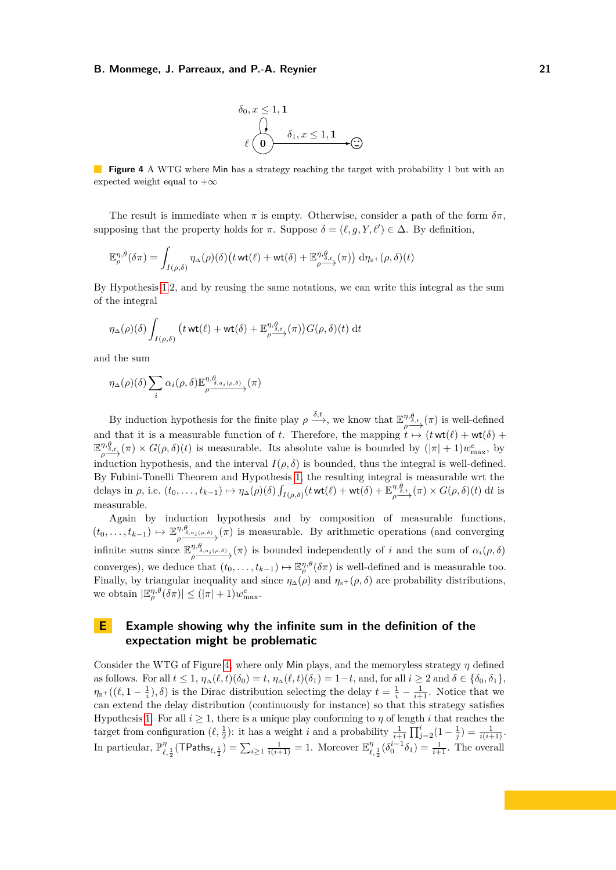$$
\delta_0, x \le 1, 1
$$
\n
$$
\bigcap_{\ell \text{ odd}} \delta_1, x \le 1, 1
$$
\n
$$
\bigoplus_{\ell \text{ odd}} \delta_2
$$

<span id="page-20-1"></span>**Figure 4** A WTG where Min has a strategy reaching the target with probability 1 but with an expected weight equal to  $+\infty$ 

The result is immediate when  $\pi$  is empty. Otherwise, consider a path of the form  $\delta \pi$ , supposing that the property holds for  $\pi$ . Suppose  $\delta = (\ell, g, Y, \ell') \in \Delta$ . By definition,

$$
\mathbb{E}_{\rho}^{\eta,\theta}(\delta \pi) = \int_{I(\rho,\delta)} \eta_{\Delta}(\rho)(\delta) \big( t \text{ wt}(\ell) + \text{wt}(\delta) + \mathbb{E}_{\rho \xrightarrow{\rho,\delta,t}}^{\eta,\theta}(\pi) \big) d\eta_{\mathbb{R}^+}(\rho,\delta)(t)
$$

By Hypothesis [1.](#page-5-1)2, and by reusing the same notations, we can write this integral as the sum of the integral

$$
\eta_{\Delta}(\rho)(\delta) \int_{I(\rho,\delta)} \left( t \operatorname{wt}(\ell) + \operatorname{wt}(\delta) + \mathbb{E}_{\rho}^{\eta,\mathcal{G}_{t}}(\pi) \right) G(\rho,\delta)(t) \, \mathrm{d}t
$$

and the sum

$$
\eta_{\Delta}(\rho)(\delta) \sum_{i} \alpha_{i}(\rho,\delta) \mathbb{E}^{\eta,\theta}_{\rho} \longrightarrow (\pi)
$$

By induction hypothesis for the finite play  $\rho \xrightarrow{\delta,t}$ , we know that  $\mathbb{E}^{\eta,\theta}$  $\phi \rightarrow{\eta, \theta, t}_{\rho}(\pi)$  is well-defined and that it is a measurable function of *t*. Therefore, the mapping  $\overrightarrow{t} \mapsto (t \text{ wt}(\ell) + \text{ wt}(\delta) +$  $\mathbb{E}^{\eta,\theta}$  $\phi \to \phi$ <sup>*n*</sup>, $\theta$ <sub>*e*</sub>,  $(\pi) \times G(\rho, \delta)(t)$  is measurable. Its absolute value is bounded by  $(|\pi| + 1)w_{\text{max}}^e$ , by induction hypothesis, and the interval  $I(\rho, \delta)$  is bounded, thus the integral is well-defined. By Fubini-Tonelli Theorem and Hypothesis [1,](#page-5-1) the resulting integral is measurable wrt the delays in  $\rho$ , i.e.  $(t_0, \ldots, t_{k-1}) \mapsto \eta_\Delta(\rho)(\delta) \int_{I(\rho, \delta)} (t \text{ wt}(\ell) + \text{wt}(\delta) + \mathbb{E}_{\rho}^{\eta, \theta})$  $p \xrightarrow{\eta, \theta, t} (\pi) \times G(\rho, \delta)(t)$  dt is measurable.

Again by induction hypothesis and by composition of measurable functions,  $(t_0, \ldots, t_{k-1}) \mapsto \mathbb{E}^{\eta, \theta_{\delta}}$  $\varphi$ <sup>*n*, $g$ <sub>*<sub><i>n*</sub></sup><sub>*a*<sub>*a*</sub><sub>*i*</sub>(*π*)</sub> is measurable. By arithmetic operations (and converging</sup></sub> infinite sums since E *η,θ*  $\phi$ <sup>*n*, $\phi$ <sub>*ρ*,*a<sub>i</sub>*(*ρ,δ*</sup>) is bounded independently of *i* and the sum of  $\alpha$ <sup>*i*</sup>(*ρ*, *δ*)</sup></sub> converges), we deduce that  $(t_0, \ldots, t_{k-1}) \mapsto \mathbb{E}_{\rho}^{\eta,\theta}(\delta \pi)$  is well-defined and is measurable too. Finally, by triangular inequality and since  $\eta_{\Delta}(\rho)$  and  $\eta_{\mathbb{R}^+}(\rho,\delta)$  are probability distributions, we obtain  $|\mathbb{E}_{\rho}^{\eta,\theta}(\delta\pi)| \leq (|\pi|+1)w_{\max}^e$ .

# <span id="page-20-0"></span>**E Example showing why the infinite sum in the definition of the expectation might be problematic**

Consider the WTG of Figure [4,](#page-20-1) where only Min plays, and the memoryless strategy *η* defined as follows. For all  $t \leq 1$ ,  $\eta_{\Delta}(\ell, t)(\delta_0) = t$ ,  $\eta_{\Delta}(\ell, t)(\delta_1) = 1 - t$ , and, for all  $i \geq 2$  and  $\delta \in {\delta_0, \delta_1}$ ,  $\eta_{\mathbb{R}^+}((\ell,1-\frac{1}{i}),\delta)$  is the Dirac distribution selecting the delay  $t=\frac{1}{i}-\frac{1}{i+1}$ . Notice that we can extend the delay distribution (continuously for instance) so that this strategy satisfies Hypothesis [1.](#page-5-1) For all  $i \geq 1$ , there is a unique play conforming to  $\eta$  of length  $i$  that reaches the target from configuration  $(\ell, \frac{1}{2})$ : it has a weight *i* and a probability  $\frac{1}{i+1} \prod_{j=2}^{i} (1 - \frac{1}{j}) = \frac{1}{i(i+1)}$ . In particular,  $\mathbb{P}_{\ell,\frac{1}{2}}^{\eta}(\text{TPaths}_{\ell,\frac{1}{2}}) = \sum_{i\geq 1} \frac{1}{i(i+1)} = 1$ . Moreover  $\mathbb{E}_{\ell,\frac{1}{2}}^{\eta}(\delta_0^{i-1}\delta_1) = \frac{1}{i+1}$ . The overall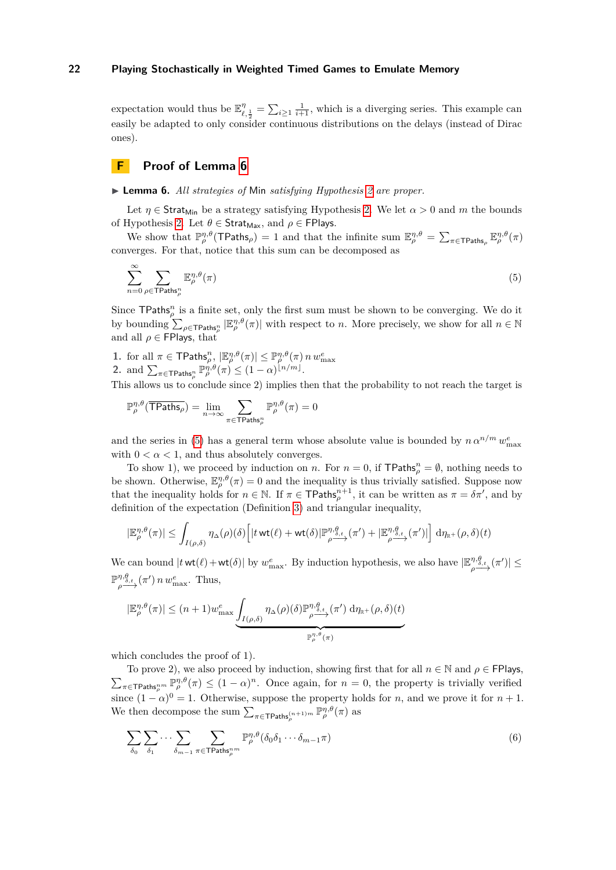expectation would thus be  $\mathbb{E}^{\eta}_{\ell, \frac{1}{2}} = \sum_{i \geq 1} \frac{1}{i+1}$ , which is a diverging series. This example can easily be adapted to only consider continuous distributions on the delays (instead of Dirac ones).

# **F Proof of Lemma [6](#page-7-2)**

▶ **Lemma 6.** *All strategies of* Min *satisfying Hypothesis [2](#page-7-0) are proper.*

Let  $\eta \in \text{Strat}_{\text{Min}}$  be a strategy satisfying Hypothesis [2.](#page-7-0) We let  $\alpha > 0$  and m the bounds of Hypothesis [2.](#page-7-0) Let  $\theta \in \mathsf{Strat}_{\mathsf{Max}},$  and  $\rho \in \mathsf{FPlays}.$ 

We show that  $\mathbb{P}_{\rho}^{\eta,\theta}(\text{TPaths}_{\rho}) = 1$  and that the infinite sum  $\mathbb{E}_{\rho}^{\eta,\theta} = \sum_{\pi \in \text{TPaths}_{\rho}} \mathbb{E}_{\rho}^{\eta,\theta}(\pi)$ converges. For that, notice that this sum can be decomposed as

<span id="page-21-0"></span>
$$
\sum_{n=0}^{\infty} \sum_{\rho \in \text{TPaths}_\rho^n} \mathbb{E}_{\rho}^{\eta, \theta}(\pi) \tag{5}
$$

Since  $\mathsf{TPaths}_o^n$  is a finite set, only the first sum must be shown to be converging. We do it by bounding  $\sum_{\rho \in \text{TPaths}_{\rho}^n} |\mathbb{E}_{\rho}^{\eta,\theta}(\pi)|$  with respect to *n*. More precisely, we show for all  $n \in \mathbb{N}$ and all  $\rho \in \mathsf{FPlays}$ , that

1. for all  $\pi \in \mathsf{TPaths}_\rho^n$ ,  $|\mathbb{E}_\rho^{\eta,\theta}(\pi)| \leq \mathbb{P}_\rho^{\eta,\theta}(\pi) n w_{\max}^e$ <br>2. and  $\sum_{\pi \in \mathsf{TPaths}_\rho^n} \mathbb{P}_\rho^{\eta,\theta}(\pi) \leq (1-\alpha)^{\lfloor n/m \rfloor}$ .

This allows us to conclude since 2) implies then that the probability to not reach the target is

$$
\mathbb{P}^{\eta,\theta}_\rho(\overline{\text{TPaths}_\rho}) = \lim_{n \to \infty} \sum_{\pi \in \text{TPaths}^n_\rho} \mathbb{P}^{\eta,\theta}_\rho(\pi) = 0
$$

and the series in [\(5\)](#page-21-0) has a general term whose absolute value is bounded by  $n \alpha^{n/m} w_{\text{max}}^e$ with  $0 < \alpha < 1$ , and thus absolutely converges.

To show 1), we proceed by induction on *n*. For  $n = 0$ , if TPaths<sub> $\rho$ </sub><sup>n</sup> =  $\emptyset$ , nothing needs to be shown. Otherwise,  $\mathbb{E}_{\rho}^{\eta,\theta}(\pi) = 0$  and the inequality is thus trivially satisfied. Suppose now that the inequality holds for  $n \in \mathbb{N}$ . If  $\pi \in \text{TPaths}_{\rho}^{n+1}$ , it can be written as  $\pi = \delta \pi'$ , and by definition of the expectation (Definition [3\)](#page-6-0) and triangular inequality,

$$
|\mathbb{E}_{\rho}^{\eta,\theta}(\pi)| \leq \int_{I(\rho,\delta)} \eta_{\Delta}(\rho)(\delta) \Big[|t \text{ wt}(\ell)+\text{ wt}(\delta)|\mathbb{P}^{\eta,\theta}_{\rho}\mathop{\longrightarrow}\limits^{\eta,\theta}(\pi') + |\mathbb{E}_{\rho}^{\eta,\theta}\mathop{\longrightarrow}\limits^{\eta,\theta}(\pi')|\Big] d\eta_{\mathbb{R}^+}(\rho,\delta)(t)
$$

We can bound  $|t \text{ wt}(\ell) + \text{wt}(\delta)|$  by  $w_{\text{max}}^e$ . By induction hypothesis, we also have  $|\mathbb{E}_{q}^{\eta,\theta}$  $\int\limits_{\rho}^{\eta,\theta_{\delta,t}}\left( \pi^{\prime}\right) \right\vert \leq$  $\mathbb{P}^{\eta,\theta}$  $\int_{\rho}^{\eta,\theta} \frac{\partial f}{\partial t}(\pi') \, n \, w_{\text{max}}^e$ . Thus,

$$
|\mathbb{E}_{\rho}^{\eta,\theta}(\pi)| \leq (n+1)w_{\max}^e \underbrace{\int_{I(\rho,\delta)} \eta_{\Delta}(\rho)(\delta) \mathbb{P}_{\rho \xrightarrow{\mathbb{P}_{\rho}^{\eta,\theta}}(\pi)}^{\eta,\theta} d\eta_{\mathbb{R}^+}(\rho,\delta)(t)}_{\mathbb{P}_{\rho}^{\eta,\theta}(\pi)}
$$

which concludes the proof of 1).

To prove 2), we also proceed by induction, showing first that for all  $n \in \mathbb{N}$  and  $\rho \in \mathsf{FPlays}$ ,  $\sum_{\pi \in \text{TPaths}_{\rho}^{nm}} \mathbb{P}_{\rho}^{\eta,\theta}(\pi) \leq (1-\alpha)^n$ . Once again, for  $n=0$ , the property is trivially verified since  $(1 - \alpha)^0 = 1$ . Otherwise, suppose the property holds for *n*, and we prove it for  $n + 1$ . We then decompose the sum  $\sum_{\pi \in \text{TPaths}_{\rho}^{(n+1)m}} \mathbb{P}_{\rho}^{\eta,\theta}(\pi)$  as

<span id="page-21-1"></span>
$$
\sum_{\delta_0} \sum_{\delta_1} \cdots \sum_{\delta_{m-1}} \sum_{\pi \in \mathsf{TPaths}_\rho^m} \mathbb{P}^{\eta,\theta}_\rho(\delta_0 \delta_1 \cdots \delta_{m-1} \pi) \tag{6}
$$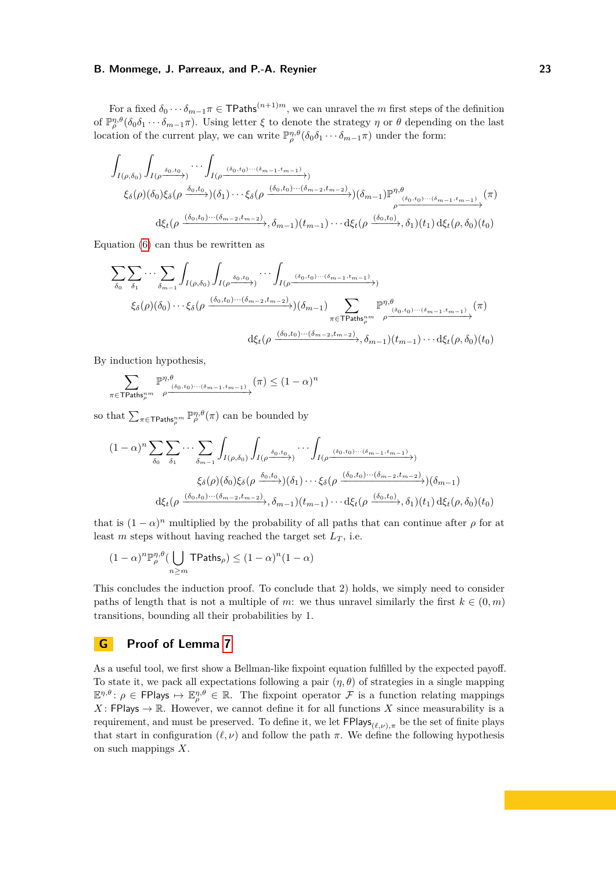For a fixed  $\delta_0 \cdots \delta_{m-1} \pi \in \mathsf{TPaths}^{(n+1)m}$ , we can unravel the *m* first steps of the definition of  $\mathbb{P}_{\rho}^{\eta,\theta}(\delta_0\delta_1\cdots\delta_{m-1}\pi)$ . Using letter  $\xi$  to denote the strategy  $\eta$  or  $\theta$  depending on the last location of the current play, we can write  $\mathbb{P}_{\rho}^{\eta,\theta}(\delta_0\delta_1\cdots\delta_{m-1}\pi)$  under the form:

$$
\int_{I(\rho,\delta_0)} \int_{I(\rho \frac{\delta_0, t_0}{\lambda})} \cdots \int_{I(\rho \frac{(\delta_0, t_0) \cdots (\delta_{m-1}, t_{m-1})}{\lambda})} \times \xi_{\delta}(\rho) (\delta_0) \xi_{\delta}(\rho \frac{\delta_0, t_0}{\lambda}) (\delta_1) \cdots \xi_{\delta}(\rho \frac{(\delta_0, t_0) \cdots (\delta_{m-2}, t_{m-2})}{\lambda}) (\delta_{m-1}) \mathbb{P}^{\eta, \theta}_{\rho \frac{(\delta_0, t_0) \cdots (\delta_{m-1}, t_{m-1})}{\lambda}} (\pi) \times \xi_{\delta}(\rho \frac{(\delta_0, t_0) \cdots (\delta_{m-2}, t_{m-2})}{\lambda}) (\delta_{m-1}) \cdots d\xi_{t}(\rho \frac{(\delta_0, t_0)}{\lambda}) (\delta_1) d\xi_{t}(\rho, \delta_0) (t_0)
$$

Equation [\(6\)](#page-21-1) can thus be rewritten as

$$
\sum_{\delta_{0}} \sum_{\delta_{1}} \cdots \sum_{\delta_{m-1}} \int_{I(\rho,\delta_{0})} \int_{I(\rho^{\delta_{0},t_{0}})} \cdots \int_{I(\rho^{\delta_{0},t_{0})\cdots(\delta_{m-1},t_{m-1})}} \int_{I(\rho^{\delta_{0},t_{0})\cdots(\delta_{m-2},t_{m-2})})} \left(\delta_{m-1}\right) \sum_{\pi \in \text{TPaths}_{\rho}^{nm}} \mathbb{P}^{\eta,\theta}_{\rho^{\delta_{0},t_{0})\cdots(\delta_{m-1},t_{m-1})}}(\pi)
$$

$$
\mathrm{d}\xi_{t}(\rho^{\delta_{0},t_{0})\cdots(\delta_{m-2},t_{m-2})},\delta_{m-1})(t_{m-1})\cdots \mathrm{d}\xi_{t}(\rho,\delta_{0})(t_{0})
$$

By induction hypothesis,

$$
\sum_{\pi \in \mathsf{TPaths}_\rho^{nm}} \mathbb{P}^{\eta,\theta}_{\rho} \xrightarrow{(\delta_0,t_0)\cdots(\delta_{m-1},t_{m-1})} (\pi) \leq (1-\alpha)^n
$$

so that  $\sum_{\pi \in \text{TPaths}_{\rho}^{nm}} \mathbb{P}_{\rho}^{\eta,\theta}(\pi)$  can be bounded by

$$
(1 - \alpha)^n \sum_{\delta_0} \sum_{\delta_1} \cdots \sum_{\delta_{m-1}} \int_{I(\rho, \delta_0)} \int_{I(\rho \frac{\delta_0, t_0}{\sqrt{\gamma}})} \cdots \int_{I(\rho \frac{(\delta_0, t_0) \cdots (\delta_{m-1}, t_{m-1})}{\sqrt{\gamma}})} \zeta_{\delta}(\rho) (\delta_0) \xi_{\delta}(\rho \frac{\delta_0, t_0}{\sqrt{\gamma}}) (\delta_1) \cdots \xi_{\delta}(\rho \frac{(\delta_0, t_0) \cdots (\delta_{m-2}, t_{m-2})}{\sqrt{\gamma}}) (\delta_{m-1})
$$

$$
\mathrm{d}\xi_t(\rho \frac{(\delta_0, t_0) \cdots (\delta_{m-2}, t_{m-2})}{\sqrt{\gamma}}), \delta_{m-1}) (t_{m-1}) \cdots \mathrm{d}\xi_t(\rho \frac{(\delta_0, t_0)}{\sqrt{\gamma}}, \delta_1) (t_1) \, \mathrm{d}\xi_t(\rho, \delta_0) (t_0)
$$

that is  $(1 - \alpha)^n$  multiplied by the probability of all paths that can continue after  $\rho$  for at least *m* steps without having reached the target set  $L_T$ , i.e.

$$
(1 - \alpha)^n \mathbb{P}_{\rho}^{\eta, \theta} \left( \bigcup_{n \ge m} \mathsf{TPaths}_{\rho} \right) \le (1 - \alpha)^n (1 - \alpha)
$$

This concludes the induction proof. To conclude that 2) holds, we simply need to consider paths of length that is not a multiple of *m*: we thus unravel similarly the first  $k \in (0, m)$ transitions, bounding all their probabilities by 1.

# **G Proof of Lemma [7](#page-7-1)**

<span id="page-22-0"></span>As a useful tool, we first show a Bellman-like fixpoint equation fulfilled by the expected payoff. To state it, we pack all expectations following a pair  $(\eta, \theta)$  of strategies in a single mapping  $\mathbb{E}^{\eta,\theta}$ :  $\rho \in \mathsf{FPlays} \mapsto \mathbb{E}^{\eta,\theta}_{\rho} \in \mathbb{R}$ . The fixpoint operator  $\mathcal F$  is a function relating mappings  $X:$  FPlays  $\rightarrow \mathbb{R}$ . However, we cannot define it for all functions X since measurability is a requirement, and must be preserved. To define it, we let  $FPlays_{(\ell,\nu),\pi}$  be the set of finite plays that start in configuration  $(\ell, \nu)$  and follow the path  $\pi$ . We define the following hypothesis on such mappings *X*.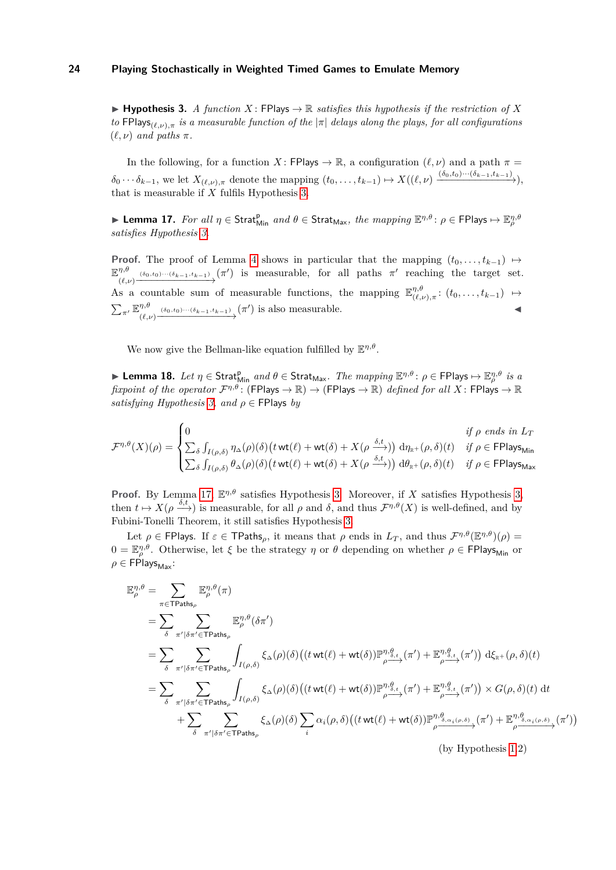$\blacktriangleright$  **Hypothesis 3.** *A function X*: FPlays  $\rightarrow \mathbb{R}$  *satisfies this hypothesis if the restriction of X to* FPlays<sub>(*ℓ,ν*)</sub> $\pi$  *is a measurable function of the*  $|\pi|$  *delays along the plays, for all configurations*  $(\ell, \nu)$  *and paths*  $\pi$ *.* 

In the following, for a function *X* : FPlays  $\rightarrow \mathbb{R}$ , a configuration  $(\ell, \nu)$  and a path  $\pi =$  $\delta_0 \cdots \delta_{k-1}$ , we let  $X_{(\ell,\nu),\pi}$  denote the mapping  $(t_0,\ldots,t_{k-1}) \mapsto X((\ell,\nu) \xrightarrow{(\delta_0,t_0)\cdots(\delta_{k-1},t_{k-1})})$ , that is measurable if *X* fulfils Hypothesis [3.](#page-22-0)

<span id="page-23-0"></span> $▶$  **Lemma 17.** For all  $η ∈$  Strat $_{Min}^{p}$  and  $θ ∈$  Strat<sub>Max</sub>, the mapping  $\mathbb{E}^{\eta, \theta}$ :  $ρ ∈$  FPlays  $→$   $\mathbb{E}^{\eta, \theta}_{\rho}$ *satisfies Hypothesis [3.](#page-22-0)*

**Proof.** The proof of Lemma [4](#page-6-2) shows in particular that the mapping  $(t_0, \ldots, t_{k-1}) \mapsto$ E *η,θ*  $\overline{\gamma}$ <sup>*n*,*θ*</sup>  $\overline{\gamma}$ <sub>(*δ0*</sub>,*t*<sub>0</sub>) ···(*δ<sub>k</sub>*-1,*t<sub>k</sub>*-1)</sub> (*π*<sup>*'*</sup>) is measurable, for all paths *π*<sup>*'*</sup> reaching the target set. As a countable sum of measurable functions, the mapping  $\mathbb{E}_{\ell}^{\eta,\theta}$  $\big( \begin{smallmatrix} \eta,\theta\ (\ell,\nu),\pi \end{smallmatrix} \colon (t_0,\ldots,t_{k-1}) \hspace{0.2cm} \mapsto \hspace{0.2cm}$  $\sum_{\pi'} \mathbb{E}^{\eta,\theta}_{\scriptscriptstyle (\ell)}$  $\overbrace{(\ell,\nu)}^{ \eta,\theta} \xrightarrow{(\delta_0,t_0)\cdots(\delta_{k-1},t_{k-1})} (\pi')$  is also measurable.

We now give the Bellman-like equation fulfilled by  $\mathbb{E}^{\eta,\theta}$ .

<span id="page-23-1"></span> $▶$  **Lemma 18.** Let  $η$  ∈ Strat $_{Min}^{p}$  and  $θ$  ∈ Strat<sub>Max</sub>. The mapping  $\mathbb{E}^{η,θ}$ :  $ρ$  ∈ FPlays  $\mapsto \mathbb{E}^{η,θ}_{ρ}$  is a *fixpoint of the operator*  $\mathcal{F}^{\eta,\theta}$ : (FPlays  $\to \mathbb{R}$ )  $\to$  (FPlays  $\to \mathbb{R}$ ) *defined for all*  $X$ : FPlays  $\to \mathbb{R}$ *satisfying Hypothesis*  $3$ *, and*  $\rho \in$  FPlays *by* 

$$
\mathcal{F}^{\eta,\theta}(X)(\rho) = \begin{cases} 0 & \text{if } \rho \text{ ends in } L_T \\ \sum_{\delta} \int_{I(\rho,\delta)} \eta_{\Delta}(\rho)(\delta) \big(t \text{ wt}(\ell) + \text{ wt}(\delta) + X(\rho \xrightarrow{\delta,t})) \ d\eta_{\mathbb{R}^+}(\rho,\delta)(t) & \text{if } \rho \in \text{FPlays}_{\text{Min}} \\ \sum_{\delta} \int_{I(\rho,\delta)} \theta_{\Delta}(\rho)(\delta) \big(t \text{ wt}(\ell) + \text{ wt}(\delta) + X(\rho \xrightarrow{\delta,t})) \ d\theta_{\mathbb{R}^+}(\rho,\delta)(t) & \text{if } \rho \in \text{FPlays}_{\text{Max}} \end{cases}
$$

**Proof.** By Lemma [17,](#page-23-0)  $\mathbb{E}^{\eta,\theta}$  satisfies Hypothesis [3.](#page-22-0) Moreover, if *X* satisfies Hypothesis [3,](#page-22-0) then  $t \mapsto X(\rho \xrightarrow{\delta,t})$  is measurable, for all  $\rho$  and  $\delta$ , and thus  $\mathcal{F}^{\eta,\theta}(X)$  is well-defined, and by Fubini-Tonelli Theorem, it still satisfies Hypothesis [3.](#page-22-0)

Let  $\rho \in \text{FPlays. If } \varepsilon \in \text{TPaths}_\rho$ , it means that  $\rho$  ends in  $L_T$ , and thus  $\mathcal{F}^{\eta,\theta}(\mathbb{E}^{\eta,\theta})(\rho) =$  $0 = \mathbb{E}_{\rho}^{\eta,\theta}$ . Otherwise, let  $\xi$  be the strategy  $\eta$  or  $\theta$  depending on whether  $\rho \in \text{FPlays}_{\text{Min}}$  or  $\rho \in \mathsf{FP}$ lays<sub>Max</sub>:

$$
\mathbb{E}_{\rho}^{\eta,\theta} = \sum_{\pi \in \text{TPaths}_{\rho}} \mathbb{E}_{\rho}^{\eta,\theta}(\pi)
$$
\n
$$
= \sum_{\delta} \sum_{\pi' \mid \delta \pi' \in \text{TPaths}_{\rho}} \mathbb{E}_{\rho}^{\eta,\theta}(\delta \pi')
$$
\n
$$
= \sum_{\delta} \sum_{\pi' \mid \delta \pi' \in \text{TPaths}_{\rho}} \int_{I(\rho,\delta)} \xi_{\Delta}(\rho)(\delta) \left( (t \text{ wt}(\ell) + \text{ wt}(\delta)) \mathbb{P}_{\rho}^{\eta,\theta}(\xi_{\Delta},\pi') + \mathbb{E}_{\rho}^{\eta,\theta}(\xi_{\Delta},\pi') \right) d\xi_{\mathbb{R}^{+}}(\rho,\delta)(t)
$$
\n
$$
= \sum_{\delta} \sum_{\pi' \mid \delta \pi' \in \text{TPaths}_{\rho}} \int_{I(\rho,\delta)} \xi_{\Delta}(\rho)(\delta) \left( (t \text{ wt}(\ell) + \text{ wt}(\delta)) \mathbb{P}_{\rho}^{\eta,\theta}(\xi_{\Delta},\pi') + \mathbb{E}_{\rho}^{\eta,\theta}(\xi_{\Delta},\pi') \right) \times G(\rho,\delta)(t) dt
$$
\n
$$
+ \sum_{\delta} \sum_{\pi' \mid \delta \pi' \in \text{TPaths}_{\rho}} \xi_{\Delta}(\rho)(\delta) \sum_{i} \alpha_{i}(\rho,\delta) \left( (t \text{ wt}(\ell) + \text{ wt}(\delta)) \mathbb{P}_{\rho}^{\eta,\theta}(\xi_{\Delta, \alpha, \rho,\delta)}(\pi') + \mathbb{E}_{\rho}^{\eta,\theta}(\xi_{\Delta, \alpha, \rho,\delta)}(\pi') \right)
$$

(by Hypothesis [1.](#page-5-1)2)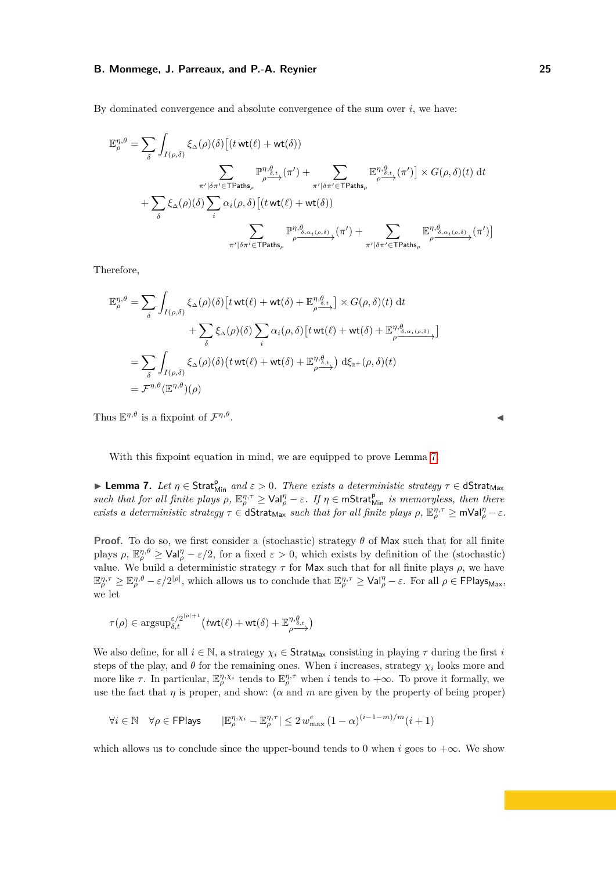By dominated convergence and absolute convergence of the sum over  $i$ , we have:

$$
\mathbb{E}_{\rho}^{\eta,\theta} = \sum_{\delta} \int_{I(\rho,\delta)} \xi_{\Delta}(\rho)(\delta) \left[ (t \text{ wt}(\ell) + \text{ wt}(\delta)) \right]
$$
\n
$$
\sum_{\pi' \mid \delta \pi' \in \text{Paths}_{\rho}} \mathbb{P}_{\rho \xrightarrow{\alpha, \xi} (\mathcal{T}) + \sum_{\pi' \mid \delta \pi' \in \text{TPaths}_{\rho}} \mathbb{E}_{\rho \xrightarrow{\alpha, \xi} (\pi')}^{\eta, \theta} \left[ (\pi' \text{ wt}(\ell) + \text{ wt}(\delta)) \right]
$$
\n
$$
+ \sum_{\delta} \xi_{\Delta}(\rho)(\delta) \sum_{i} \alpha_{i}(\rho, \delta) \left[ (t \text{ wt}(\ell) + \text{ wt}(\delta)) \right]
$$
\n
$$
\sum_{\pi' \mid \delta \pi' \in \text{TPaths}_{\rho}} \mathbb{P}_{\rho \xrightarrow{\alpha, \alpha(\rho,\delta)} (\pi')}^{\eta, \theta} (\pi') + \sum_{\pi' \mid \delta \pi' \in \text{TPaths}_{\rho}} \mathbb{E}_{\rho \xrightarrow{\alpha, \xi(\rho,\delta)} (\pi')}^{\eta, \theta} (\pi') \right]
$$

Therefore,

$$
\mathbb{E}_{\rho}^{\eta,\theta} = \sum_{\delta} \int_{I(\rho,\delta)} \xi_{\Delta}(\rho)(\delta) \left[ t \operatorname{wt}(\ell) + \operatorname{wt}(\delta) + \mathbb{E}_{\rho}^{\eta,\theta_{\delta,t}} \right] \times G(\rho,\delta)(t) dt \n+ \sum_{\delta} \xi_{\Delta}(\rho)(\delta) \sum_{i} \alpha_{i}(\rho,\delta) \left[ t \operatorname{wt}(\ell) + \operatorname{wt}(\delta) + \mathbb{E}_{\rho}^{\eta,\theta_{\delta,\alpha_{i}(\rho,\delta)}} \right] \n= \sum_{\delta} \int_{I(\rho,\delta)} \xi_{\Delta}(\rho)(\delta) \left( t \operatorname{wt}(\ell) + \operatorname{wt}(\delta) + \mathbb{E}_{\rho}^{\eta,\theta_{\delta,t}} \right) d\xi_{\mathbb{R}^{+}}(\rho,\delta)(t) \n= \mathcal{F}^{\eta,\theta}(\mathbb{E}^{\eta,\theta})(\rho)
$$

Thus  $\mathbb{E}^{\eta,\theta}$  is a fixpoint of  $\mathcal{F}^{\eta,\theta}$ . ◀

With this fixpoint equation in mind, we are equipped to prove Lemma [7.](#page-7-1)

▶ **Lemma 7.** *Let*  $η ∈$  Strat $_{Min}^p$  *and*  $ε > 0$ *. There exists a deterministic strategy*  $τ ∈$  dStrat<sub>Max</sub> *such that for all finite plays*  $\rho$ ,  $\mathbb{E}_{\rho}^{\eta,\tau} \geq \text{Val}_{\rho}^{\eta} - \varepsilon$ . If  $\eta \in \text{mStrat}_{\text{Min}}^{\text{p}}$  *is memoryless, then there exists a deterministic strategy*  $\tau \in \mathsf{dStrat}_{\mathsf{Max}}$  *such that for all finite plays*  $\rho$ ,  $\mathbb{E}_{\rho}^{\eta,\tau} \geq \mathsf{mVal}_{\rho}^{\eta} - \varepsilon$ .

**Proof.** To do so, we first consider a (stochastic) strategy *θ* of Max such that for all finite plays  $\rho$ ,  $\mathbb{E}_{\rho}^{\eta,\theta} \geq \text{Val}_{\rho}^{\eta} - \varepsilon/2$ , for a fixed  $\varepsilon > 0$ , which exists by definition of the (stochastic) value. We build a deterministic strategy  $\tau$  for Max such that for all finite plays  $\rho$ , we have  $\mathbb{E}_{\rho}^{\eta,\tau} \geq \mathbb{E}_{\rho}^{\eta,\theta} - \varepsilon/2^{|\rho|}$ , which allows us to conclude that  $\mathbb{E}_{\rho}^{\eta,\tau} \geq \mathrm{Val}_{\rho}^{\eta} - \varepsilon$ . For all  $\rho \in \mathrm{FPlays}_{\mathrm{Max}}$ , we let

$$
\tau(\rho)\in \text{argsup}^{\varepsilon/2^{|\rho|+1}}_{\delta,t}\big(t\textsf{wt}(\ell)+\textsf{wt}(\delta)+\mathbb{E}^{\eta,\theta}_{\rho\overbrace{\delta,t}}\big)
$$

We also define, for all  $i \in \mathbb{N}$ , a strategy  $\chi_i \in \text{Strat}_{\text{Max}}$  consisting in playing  $\tau$  during the first *i* steps of the play, and  $\theta$  for the remaining ones. When *i* increases, strategy  $\chi_i$  looks more and more like  $\tau$ . In particular,  $\mathbb{E}_{\rho}^{\eta,\chi_i}$  tends to  $\mathbb{E}_{\rho}^{\eta,\tau}$  when *i* tends to  $+\infty$ . To prove it formally, we use the fact that  $\eta$  is proper, and show: ( $\alpha$  and  $m$  are given by the property of being proper)

$$
\forall i \in \mathbb{N} \quad \forall \rho \in \mathsf{FPlays} \qquad |\mathbb{E}_{\rho}^{\eta, \chi_i} - \mathbb{E}_{\rho}^{\eta, \tau}| \le 2 w_{\max}^e \left(1 - \alpha\right)^{(i-1-m)/m} (i+1)
$$

which allows us to conclude since the upper-bound tends to 0 when *i* goes to  $+\infty$ . We show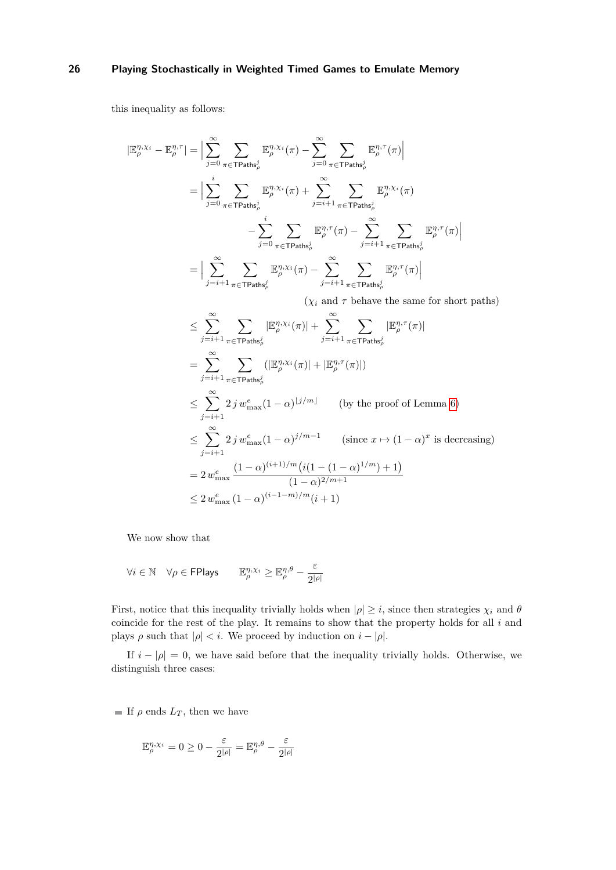this inequality as follows:

$$
\begin{split} |\mathbb{E}^{\eta,\chi_i}_\rho-\mathbb{E}^{\eta,\tau}_\rho| &= \Big|\sum_{j=0}^\infty\sum_{\pi\in\mathsf{TPaths}_\rho^j} \mathbb{E}^{\eta,\chi_i}_\rho(\pi) - \sum_{j=0}^\infty\sum_{\pi\in\mathsf{TPaths}_\rho^j} \mathbb{E}^{\eta,\tau}_\rho(\pi) \Big| \\ &= \Big|\sum_{j=0}^i\sum_{\pi\in\mathsf{TPaths}_\rho^j} \mathbb{E}^{\eta,\chi_i}_\rho(\pi) + \sum_{j=i+1}^\infty\sum_{\pi\in\mathsf{TPaths}_\rho^j} \mathbb{E}^{\eta,\chi_i}_\rho(\pi) \\ &\quad - \sum_{j=0}^i\sum_{\pi\in\mathsf{TPaths}_\rho^j} \mathbb{E}^{\eta,\tau}_\rho(\pi) - \sum_{j=i+1}^\infty\sum_{\pi\in\mathsf{TPaths}_\rho^j} \mathbb{E}^{\eta,\tau}_\rho(\pi) \Big| \\ &= \Big|\sum_{j=i+1}^\infty\sum_{\pi\in\mathsf{TPaths}_\rho^j} \mathbb{E}^{\eta,\chi_i}_\rho(\pi) - \sum_{j=i+1}^\infty\sum_{\pi\in\mathsf{TPaths}_\rho^j} \mathbb{E}^{\eta,\tau}_\rho(\pi) \Big| \\ \end{split}
$$

 $(\chi_i$  and  $\tau$  behave the same for short paths)

$$
\leq \sum_{j=i+1}^{\infty} \sum_{\pi \in \text{TPaths}_\rho^j} |\mathbb{E}_{\rho}^{\eta, \chi_i}(\pi)| + \sum_{j=i+1}^{\infty} \sum_{\pi \in \text{TPaths}_\rho^j} |\mathbb{E}_{\rho}^{\eta, \tau}(\pi)|
$$
\n
$$
= \sum_{j=i+1}^{\infty} \sum_{\pi \in \text{TPaths}_\rho^j} (|\mathbb{E}_{\rho}^{\eta, \chi_i}(\pi)| + |\mathbb{E}_{\rho}^{\eta, \tau}(\pi)|)
$$
\n
$$
\leq \sum_{j=i+1}^{\infty} 2j w_{\text{max}}^e (1-\alpha)^{j/m} \qquad \text{(by the proof of Lemma 6)}
$$
\n
$$
\leq \sum_{j=i+1}^{\infty} 2j w_{\text{max}}^e (1-\alpha)^{j/m-1} \qquad \text{(since } x \mapsto (1-\alpha)^x \text{ is decreasing)}
$$
\n
$$
= 2 w_{\text{max}}^e \frac{(1-\alpha)^{(i+1)/m} (i(1-(1-\alpha)^{1/m}) + 1)}{(1-\alpha)^{2/m+1}}
$$
\n
$$
\leq 2 w_{\text{max}}^e (1-\alpha)^{(i-1-m)/m} (i+1)
$$

We now show that

$$
\forall i \in \mathbb{N} \quad \forall \rho \in \mathsf{FPlays} \qquad \mathbb{E}^{\eta,\chi_i}_\rho \geq \mathbb{E}^{\eta,\theta}_\rho - \frac{\varepsilon}{2^{|\rho|}}
$$

First, notice that this inequality trivially holds when  $|\rho| \geq i$ , since then strategies  $\chi_i$  and  $\theta$ coincide for the rest of the play. It remains to show that the property holds for all *i* and plays  $\rho$  such that  $|\rho| < i$ . We proceed by induction on  $i - |\rho|$ .

If  $i - |\rho| = 0$ , we have said before that the inequality trivially holds. Otherwise, we distinguish three cases:

If  $\rho$  ends  $L_T$ , then we have

$$
\mathbb{E}^{\eta,\chi_i}_\rho=0\geq 0-\frac{\varepsilon}{2^{|\rho|}}=\mathbb{E}^{\eta,\theta}_\rho-\frac{\varepsilon}{2^{|\rho|}}
$$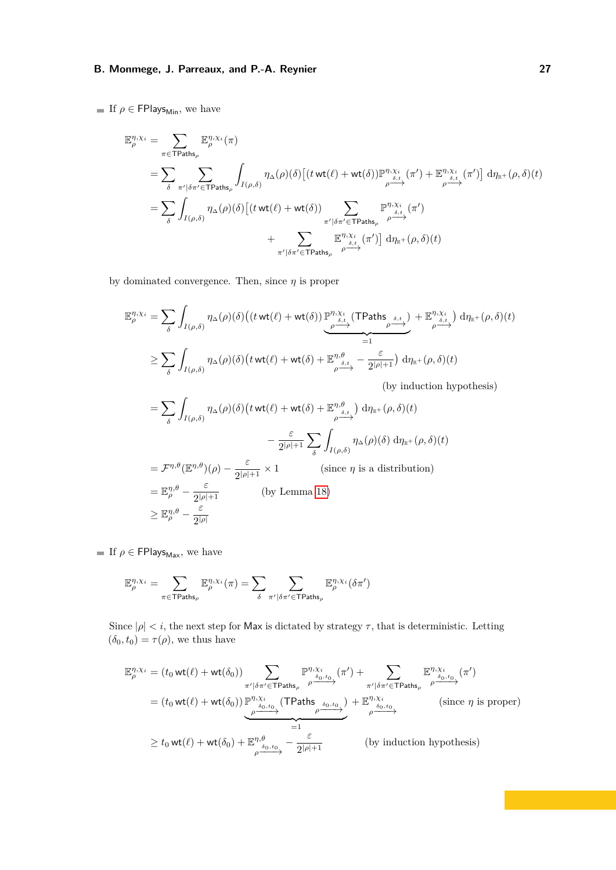If  $\rho \in \text{FPlays}_{\text{Min}}$ , we have

$$
\mathbb{E}_{\rho}^{\eta, \chi_{i}} = \sum_{\pi \in \text{TPaths}_{\rho}} \mathbb{E}_{\rho}^{\eta, \chi_{i}}(\pi)
$$
\n
$$
= \sum_{\delta} \sum_{\pi' \mid \delta\pi' \in \text{TPaths}_{\rho}} \int_{I(\rho,\delta)} \eta_{\Delta}(\rho)(\delta) \left[ (t \text{ wt}(\ell) + \text{wt}(\delta)) \mathbb{P}_{\rho}^{\eta, \chi_{i}}(\pi') + \mathbb{E}_{\rho}^{\eta, \chi_{i}}(\pi') \right] d\eta_{\mathbb{R}^{+}}(\rho, \delta)(t)
$$
\n
$$
= \sum_{\delta} \int_{I(\rho,\delta)} \eta_{\Delta}(\rho)(\delta) \left[ (t \text{ wt}(\ell) + \text{wt}(\delta)) \sum_{\pi' \mid \delta\pi' \in \text{TPaths}_{\rho}} \mathbb{P}_{\rho \to \gamma}^{\eta, \chi_{i}}(\pi') \right] d\eta_{\mathbb{R}^{+}}(\rho, \delta)(t)
$$
\n
$$
+ \sum_{\pi' \mid \delta\pi' \in \text{TPaths}_{\rho}} \mathbb{E}_{\rho \to \gamma}^{\eta, \chi_{i}}(\pi') \right] d\eta_{\mathbb{R}^{+}}(\rho, \delta)(t)
$$

by dominated convergence. Then, since *η* is proper

$$
\mathbb{E}_{\rho}^{\eta,\chi_{i}} = \sum_{\delta} \int_{I(\rho,\delta)} \eta_{\Delta}(\rho)(\delta) \big( (t \text{ wt}(\ell) + \text{ wt}(\delta)) \mathbb{P}_{\substack{\rho \to \chi_{i} \\ \rho \to \gamma}}^{\eta,\chi_{i}} \text{(TPaths}_{\rho \delta, t})} + \mathbb{E}_{\rho \delta, t}^{\eta,\chi_{i}} \big) d\eta_{\mathbb{R}^{+}}(\rho, \delta)(t)
$$

$$
\geq \sum_{\delta} \int_{I(\rho,\delta)} \eta_{\Delta}(\rho)(\delta) \big( t \text{ wt}(\ell) + \text{ wt}(\delta) + \mathbb{E}_{\rho \delta, t}^{\eta, \theta} - \frac{\varepsilon}{2^{|\rho|+1}} \big) d\eta_{\mathbb{R}^{+}}(\rho, \delta)(t)
$$

(by induction hypothesis)

$$
= \sum_{\delta} \int_{I(\rho,\delta)} \eta_{\Delta}(\rho)(\delta) \left( t \text{ wt}(\ell) + \text{wt}(\delta) + \mathbb{E}_{\rho}^{\eta,\theta} \right) d\eta_{\mathbb{R}^+}(\rho,\delta)(t)
$$

$$
- \frac{\varepsilon}{2^{|\rho|+1}} \sum_{\delta} \int_{I(\rho,\delta)} \eta_{\Delta}(\rho)(\delta) d\eta_{\mathbb{R}^+}(\rho,\delta)(t)
$$

$$
= \mathcal{F}^{\eta,\theta}(\mathbb{E}^{\eta,\theta})(\rho) - \frac{\varepsilon}{2^{|\rho|+1}} \times 1 \qquad \text{(since } \eta \text{ is a distribution)}
$$

$$
= \mathbb{E}_{\rho}^{\eta,\theta} - \frac{\varepsilon}{2^{|\rho|+1}} \qquad \text{(by Lemma 18)}
$$

$$
\geq \mathbb{E}_{\rho}^{\eta,\theta} - \frac{\varepsilon}{2^{|\rho|}}
$$

If  $\rho \in \text{FPlays}_{\text{Max}}$ , we have

$$
\mathbb{E}_{\rho}^{\eta,\chi_i} = \sum_{\pi \in \mathsf{TPaths}_{\rho}} \mathbb{E}_{\rho}^{\eta,\chi_i}(\pi) = \sum_{\delta} \sum_{\pi' \mid \delta \pi' \in \mathsf{TPaths}_{\rho}} \mathbb{E}_{\rho}^{\eta,\chi_i}(\delta \pi')
$$

Since  $|\rho| < i$ , the next step for Max is dictated by strategy  $\tau$ , that is deterministic. Letting  $(\delta_0, t_0) = \tau(\rho)$ , we thus have

$$
\mathbb{E}_{\rho}^{\eta, \chi_i} = (t_0 \text{ wt}(\ell) + \text{ wt}(\delta_0)) \sum_{\substack{\pi' \mid \delta \pi' \in \text{TPaths}_{\rho} \\ \delta_0, t_0}} \mathbb{P}^{\eta, \chi_i}_{\delta_0, t_0} (\pi') + \sum_{\substack{\pi' \mid \delta \pi' \in \text{TPaths}_{\rho} \\ \delta_0, t_0}} \mathbb{E}^{\eta, \chi_i}_{\gamma' \in \text{TPaths}_{\rho}} (\pi')
$$
\n
$$
= (t_0 \text{ wt}(\ell) + \text{ wt}(\delta_0)) \underbrace{\mathbb{P}^{\eta, \chi_i}_{\delta_0, t_0}}_{\rho \delta_0, t_0} (\text{TPaths}_{\rho \delta_0, t_0})} + \mathbb{E}_{\rho \delta_0, t_0}^{\eta, \chi_i} \text{ (since } \eta \text{ is proper)}
$$
\n
$$
\geq t_0 \text{ wt}(\ell) + \text{ wt}(\delta_0) + \mathbb{E}_{\rho \delta_0, t_0}^{\eta, \theta} - \frac{\varepsilon}{2^{|\rho|+1}} \qquad \text{(by induction hypothesis)}
$$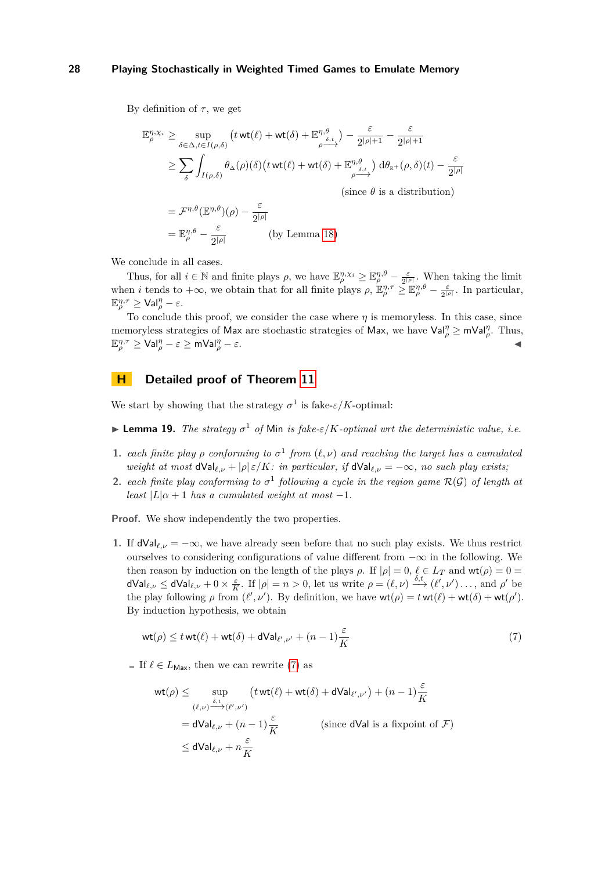By definition of  $\tau$ , we get

$$
\mathbb{E}_{\rho}^{\eta, \chi_i} \ge \sup_{\delta \in \Delta, t \in I(\rho, \delta)} \left( t \operatorname{wt}(\ell) + \operatorname{wt}(\delta) + \mathbb{E}_{\rho \xrightarrow{\delta, t}}^{\eta, \theta} \right) - \frac{\varepsilon}{2^{|\rho|+1}} - \frac{\varepsilon}{2^{|\rho|+1}}
$$
  
\n
$$
\ge \sum_{\delta} \int_{I(\rho, \delta)} \theta_{\Delta}(\rho)(\delta) \left( t \operatorname{wt}(\ell) + \operatorname{wt}(\delta) + \mathbb{E}_{\rho \xrightarrow{\delta, t}}^{\eta, \theta} \right) d\theta_{\mathbb{R}^+}(\rho, \delta)(t) - \frac{\varepsilon}{2^{|\rho|}}
$$
  
\n(since  $\theta$  is a distribution)  
\n
$$
= \mathcal{F}^{\eta, \theta}(\mathbb{E}^{\eta, \theta})(\rho) - \frac{\varepsilon}{2^{|\rho|}}
$$
  
\n
$$
= \mathbb{E}_{\rho}^{\eta, \theta} - \frac{\varepsilon}{2^{|\rho|}} \qquad \text{(by Lemma 18)}
$$

We conclude in all cases.

Thus, for all  $i \in \mathbb{N}$  and finite plays  $\rho$ , we have  $\mathbb{E}_{\rho}^{\eta,\chi_i} \geq \mathbb{E}_{\rho}^{\eta,\theta} - \frac{\varepsilon}{2^{|\rho|}}$ . When taking the limit when *i* tends to  $+\infty$ , we obtain that for all finite plays  $\rho$ ,  $\mathbb{E}_{\rho}^{\eta,\tau} \geq \mathbb{E}_{\rho}^{\eta,\theta} - \frac{\varepsilon}{2^{|\rho|}}$ . In particular,  $\mathbb{E}_{\rho}^{\eta,\tau} \geq \mathsf{Val}_{\rho}^{\eta} - \varepsilon.$ 

To conclude this proof, we consider the case where  $\eta$  is memoryless. In this case, since memoryless strategies of Max are stochastic strategies of Max, we have  $Val_{\rho}^{\eta} \geq mVal_{\rho}^{\eta}$ . Thus,  $\mathbb{E}_{\rho}^{\eta,\tau} \geq \mathsf{Val}_{\rho}^{\eta} - \varepsilon \geq \mathsf{mVal}_{\rho}^{\eta}$  $\frac{\eta}{\rho} - \varepsilon$ .

# **H Detailed proof of Theorem [11](#page-9-0)**

We start by showing that the strategy  $\sigma^1$  is fake- $\varepsilon/K$ -optimal:

- **Example 19.** The strategy  $\sigma^1$  of Min is fake- $\varepsilon/K$ -optimal wrt the deterministic value, i.e.
- **1.** *each finite play*  $\rho$  *conforming to*  $\sigma^1$  *from*  $(\ell, \nu)$  *and reaching the target has a cumulated weight at most*  $dVal_{\ell,\nu} + |\rho| \varepsilon/K$ *: in particular, if*  $dVal_{\ell,\nu} = -\infty$ *, no such play exists*;
- <span id="page-27-0"></span>**2.** each finite play conforming to  $\sigma^1$  following a cycle in the region game  $\mathcal{R}(\mathcal{G})$  of length at *least*  $|L| \alpha + 1$  *has a cumulated weight at most*  $-1$ *.*

**Proof.** We show independently the two properties.

**1.** If  $dVal_{\ell,\nu} = -\infty$ , we have already seen before that no such play exists. We thus restrict ourselves to considering configurations of value different from  $-\infty$  in the following. We then reason by induction on the length of the plays  $\rho$ . If  $|\rho| = 0$ ,  $\ell \in L_T$  and  $wt(\rho) = 0$  $dVal_{\ell,\nu} \leq dVal_{\ell,\nu} + 0 \times \frac{\varepsilon}{K}$ . If  $|\rho| = n > 0$ , let us write  $\rho = (\ell,\nu) \stackrel{\delta,t}{\longrightarrow} (\ell',\nu') \dots$ , and  $\rho'$  be the play following  $\rho$  from  $(\ell', \nu')$ . By definition, we have  $wt(\rho) = twt(\ell) + wt(\delta) + wt(\rho')$ . By induction hypothesis, we obtain

<span id="page-27-1"></span>
$$
\operatorname{wt}(\rho) \le t \operatorname{wt}(\ell) + \operatorname{wt}(\delta) + \operatorname{dVal}_{\ell',\nu'} + (n-1)\frac{\varepsilon}{K} \tag{7}
$$

If  $\ell \in L_{\text{Max}}$ , then we can rewrite [\(7\)](#page-27-1) as

$$
wt(\rho) \le \sup_{(\ell,\nu)\xrightarrow{\delta,t}(\ell',\nu')} (t \text{ wt}(\ell) + \text{ wt}(\delta) + d\text{Val}_{\ell',\nu'}) + (n-1)\frac{\varepsilon}{K}
$$
  
=  $d\text{Val}_{\ell,\nu} + (n-1)\frac{\varepsilon}{K}$  (since dVal is a fixpoint of  $\mathcal{F}$ )  
 $\le d\text{Val}_{\ell,\nu} + n\frac{\varepsilon}{K}$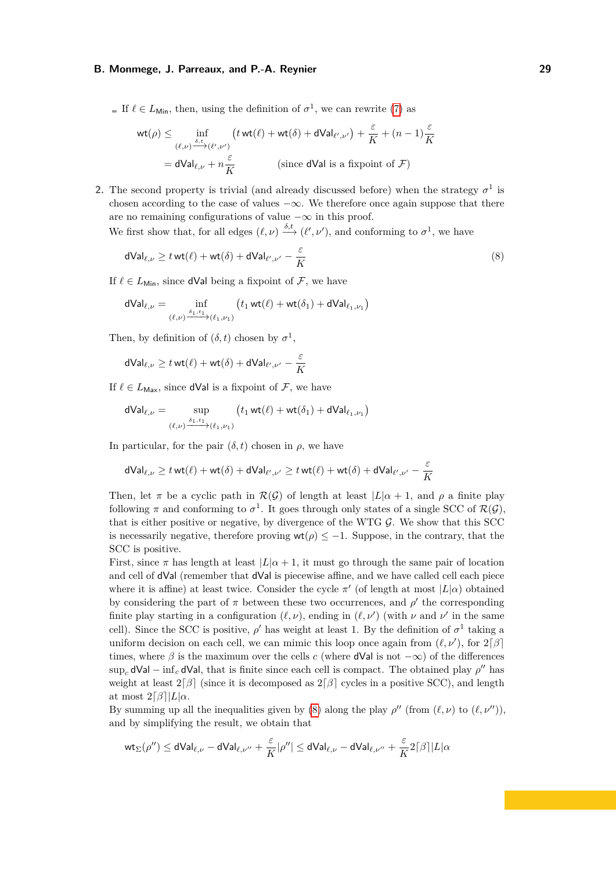If  $\ell \in L_{\text{Min}}$ , then, using the definition of  $\sigma^1$ , we can rewrite [\(7\)](#page-27-1) as

$$
\mathsf{wt}(\rho) \le \inf_{(\ell,\nu)\xrightarrow{\delta,t}(\ell',\nu')} \left(t\,\mathsf{wt}(\ell) + \mathsf{wt}(\delta) + \mathsf{dVal}_{\ell',\nu'}\right) + \frac{\varepsilon}{K} + (n-1)\frac{\varepsilon}{K}
$$
\n
$$
= \mathsf{dVal}_{\ell,\nu} + n\frac{\varepsilon}{K} \qquad \text{(since dVal is a fixpoint of } \mathcal{F})
$$

**2.** The second property is trivial (and already discussed before) when the strategy  $\sigma^1$  is chosen according to the case of values  $-\infty$ . We therefore once again suppose that there are no remaining configurations of value  $-\infty$  in this proof.

We first show that, for all edges  $(\ell, \nu) \xrightarrow{\delta, t} (\ell', \nu')$ , and conforming to  $\sigma^1$ , we have

<span id="page-28-0"></span>
$$
\mathsf{dVal}_{\ell,\nu} \ge t \mathsf{wt}(\ell) + \mathsf{wt}(\delta) + \mathsf{dVal}_{\ell',\nu'} - \frac{\varepsilon}{K} \tag{8}
$$

If  $\ell \in L_{\text{Min}}$ , since dVal being a fixpoint of F, we have

$$
\mathsf{dVal}_{\ell,\nu} = \inf_{(\ell,\nu) \xrightarrow{\delta_1,t_1} (\ell_1,\nu_1)} \left( t_1 \mathsf{wt}(\ell) + \mathsf{wt}(\delta_1) + \mathsf{dVal}_{\ell_1,\nu_1} \right)
$$

Then, by definition of  $(\delta, t)$  chosen by  $\sigma^1$ ,

$$
\mathsf{dVal}_{\ell,\nu} \geq t \mathsf{wt}(\ell) + \mathsf{wt}(\delta) + \mathsf{dVal}_{\ell',\nu'} - \frac{\varepsilon}{K}
$$

If  $\ell \in L_{\text{Max}}$ , since **dVal** is a fixpoint of F, we have

$$
dVal_{\ell,\nu} = \sup_{(\ell,\nu) \xrightarrow{\delta_1,t_1} (\ell_1,\nu_1)} (t_1 wt(\ell) + wt(\delta_1) + dVal_{\ell_1,\nu_1})
$$

In particular, for the pair  $(\delta, t)$  chosen in  $\rho$ , we have

$$
\mathsf{dVal}_{\ell,\nu} \ge t \mathop{\mathrm{wt}}(\ell) + \mathop{\mathrm{wt}}(\delta) + \mathsf{dVal}_{\ell',\nu'} \ge t \mathop{\mathrm{wt}}(\ell) + \mathop{\mathrm{wt}}(\delta) + \mathsf{dVal}_{\ell',\nu'} - \frac{\varepsilon}{K}
$$

Then, let  $\pi$  be a cyclic path in  $\mathcal{R}(\mathcal{G})$  of length at least  $|L|\alpha + 1$ , and  $\rho$  a finite play following  $\pi$  and conforming to  $\sigma^1$ . It goes through only states of a single SCC of  $\mathcal{R}(\mathcal{G})$ , that is either positive or negative, by divergence of the WTG  $G$ . We show that this SCC is necessarily negative, therefore proving  $wt(\rho) \leq -1$ . Suppose, in the contrary, that the SCC is positive.

First, since  $\pi$  has length at least  $|L|\alpha + 1$ , it must go through the same pair of location and cell of dVal (remember that dVal is piecewise affine, and we have called cell each piece where it is affine) at least twice. Consider the cycle  $\pi'$  (of length at most  $|L(\alpha)|$  obtained by considering the part of  $\pi$  between these two occurrences, and  $\rho'$  the corresponding finite play starting in a configuration  $(\ell, \nu)$ , ending in  $(\ell, \nu')$  (with  $\nu$  and  $\nu'$  in the same cell). Since the SCC is positive,  $\rho'$  has weight at least 1. By the definition of  $\sigma^1$  taking a uniform decision on each cell, we can mimic this loop once again from  $(\ell, \nu')$ , for  $2\lceil \beta \rceil$ times, where  $\beta$  is the maximum over the cells *c* (where **dVal** is not  $-\infty$ ) of the differences  $\sup_c dVal - \inf_c dVal$ , that is finite since each cell is compact. The obtained play  $\rho''$  has weight at least  $2\lceil \beta \rceil$  (since it is decomposed as  $2\lceil \beta \rceil$  cycles in a positive SCC), and length at most  $2\lceil\beta\rceil|L|\alpha$ .

By summing up all the inequalities given by [\(8\)](#page-28-0) along the play  $\rho''$  (from  $(\ell, \nu)$  to  $(\ell, \nu'')$ ), and by simplifying the result, we obtain that

$$
\mathsf{wt}_\Sigma(\rho'')\leq \mathsf{dVal}_{\ell,\nu}-\mathsf{dVal}_{\ell,\nu''}+\frac{\varepsilon}{K}|\rho''|\leq \mathsf{dVal}_{\ell,\nu}-\mathsf{dVal}_{\ell,\nu''}+\frac{\varepsilon}{K}2\lceil\beta\rceil|L|\alpha
$$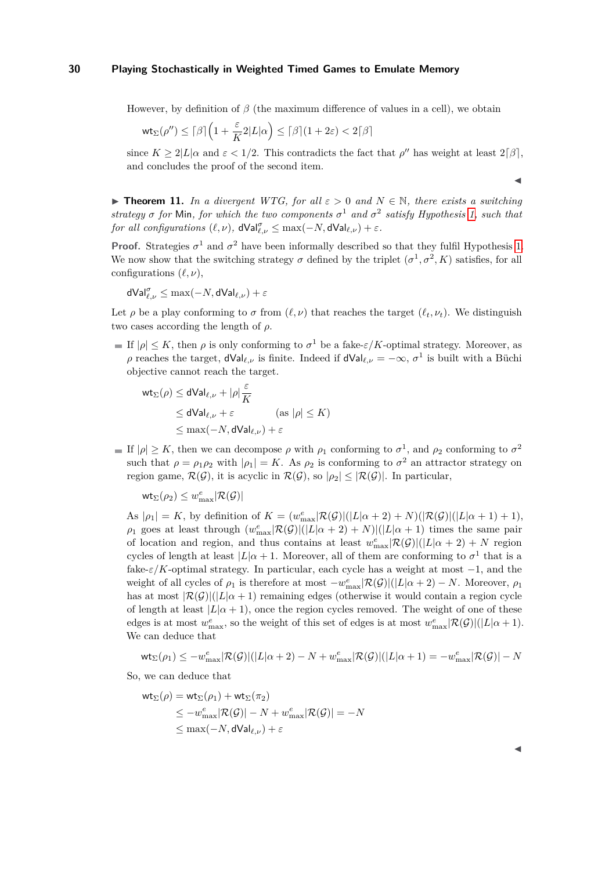However, by definition of *β* (the maximum difference of values in a cell), we obtain

$$
\text{wt}_\Sigma(\rho'')\leq \lceil \beta\rceil\Big(1+\frac{\varepsilon}{K}2|L|\alpha\Big)\leq \lceil \beta\rceil(1+2\varepsilon)<2\lceil \beta\rceil
$$

since  $K \geq 2|L|\alpha$  and  $\varepsilon < 1/2$ . This contradicts the fact that  $\rho''$  has weight at least  $2|\beta|$ , and concludes the proof of the second item.

**► Theorem 11.** *In a divergent WTG, for all*  $\varepsilon > 0$  *and*  $N \in \mathbb{N}$ *, there exists a switching strategy*  $\sigma$  *for* Min, *for which the two components*  $\sigma$ <sup>1</sup> *and*  $\sigma$ <sup>2</sup> *satisfy Hypothesis* [1,](#page-5-1) *such that for all configurations*  $(\ell, \nu)$ ,  $dVal_{\ell, \nu}^{\sigma} \leq max(-N, dVal_{\ell, \nu}) + \varepsilon$ .

**Proof.** Strategies  $\sigma^1$  and  $\sigma^2$  have been informally described so that they fulfil Hypothesis [1.](#page-5-1) We now show that the switching strategy  $\sigma$  defined by the triplet  $(\sigma^1, \sigma^2, K)$  satisfies, for all configurations (*ℓ, ν*),

$$
\mathsf{dVal}_{\ell,\nu}^{\sigma} \leq \max(-N, \mathsf{dVal}_{\ell,\nu}) + \varepsilon
$$

Let *ρ* be a play conforming to *σ* from  $(\ell, \nu)$  that reaches the target  $(\ell_t, \nu_t)$ . We distinguish two cases according the length of *ρ*.

If  $|\rho| \leq K$ , then  $\rho$  is only conforming to  $\sigma^1$  be a fake- $\varepsilon/K$ -optimal strategy. Moreover, as *ρ* reaches the target,  $dVal_{\ell,\nu}$  is finite. Indeed if  $dVal_{\ell,\nu} = -\infty$ ,  $\sigma^1$  is built with a Büchi objective cannot reach the target.

$$
wt_{\Sigma}(\rho) \le dVal_{\ell,\nu} + |\rho| \frac{\varepsilon}{K}
$$
  
\n
$$
\le dVal_{\ell,\nu} + \varepsilon \qquad \text{(as } |\rho| \le K)
$$
  
\n
$$
\le \max(-N, dVal_{\ell,\nu}) + \varepsilon
$$

If  $|\rho| \geq K$ , then we can decompose  $\rho$  with  $\rho_1$  conforming to  $\sigma^1$ , and  $\rho_2$  conforming to  $\sigma^2$ such that  $\rho = \rho_1 \rho_2$  with  $|\rho_1| = K$ . As  $\rho_2$  is conforming to  $\sigma^2$  an attractor strategy on region game,  $\mathcal{R}(\mathcal{G})$ , it is acyclic in  $\mathcal{R}(\mathcal{G})$ , so  $|\rho_2| \leq |\mathcal{R}(\mathcal{G})|$ . In particular,

 $\mathsf{wt}_\Sigma(\rho_2) \leq w_{\max}^e |\mathcal{R}(\mathcal{G})|$ 

As  $|\rho_1| = K$ , by definition of  $K = (w_{\text{max}}^e |\mathcal{R}(\mathcal{G})|(|L|\alpha + 2) + N)(|\mathcal{R}(\mathcal{G})|(|L|\alpha + 1) + 1),$  $\rho_1$  goes at least through  $(w_{\text{max}}^e | \mathcal{R}(\mathcal{G})|(|L| \alpha + 2) + N(|L| \alpha + 1)$  times the same pair of location and region, and thus contains at least  $w_{\text{max}}^e|\mathcal{R}(\mathcal{G})|(|L|\alpha + 2) + N$  region cycles of length at least  $|L| \alpha + 1$ . Moreover, all of them are conforming to  $\sigma^1$  that is a fake- $\varepsilon/K$ -optimal strategy. In particular, each cycle has a weight at most  $-1$ , and the weight of all cycles of  $\rho_1$  is therefore at most  $-w_{\text{max}}^e|\mathcal{R}(\mathcal{G})|(|L|\alpha+2) - N$ . Moreover,  $\rho_1$ has at most  $|\mathcal{R}(\mathcal{G})|(|L|\alpha + 1)$  remaining edges (otherwise it would contain a region cycle of length at least  $|L| \alpha + 1$ , once the region cycles removed. The weight of one of these edges is at most  $w_{\text{max}}^e$ , so the weight of this set of edges is at most  $w_{\text{max}}^e|\mathcal{R}(\mathcal{G})|(|L|\alpha+1)$ . We can deduce that

$$
\text{wt}_\Sigma(\rho_1)\leq -w^e_{\max}|\mathcal{R}(\mathcal{G})|(|L|\alpha+2)-N+w^e_{\max}|\mathcal{R}(\mathcal{G})|(|L|\alpha+1)=-w^e_{\max}|\mathcal{R}(\mathcal{G})|-N
$$

So, we can deduce that

$$
\mathsf{wt}_{\Sigma}(\rho) = \mathsf{wt}_{\Sigma}(\rho_1) + \mathsf{wt}_{\Sigma}(\pi_2)
$$
  
\n
$$
\leq -w_{\max}^e |\mathcal{R}(\mathcal{G})| - N + w_{\max}^e |\mathcal{R}(\mathcal{G})| = -N
$$
  
\n
$$
\leq \max(-N, d\mathsf{Val}_{\ell, \nu}) + \varepsilon
$$

◀

◀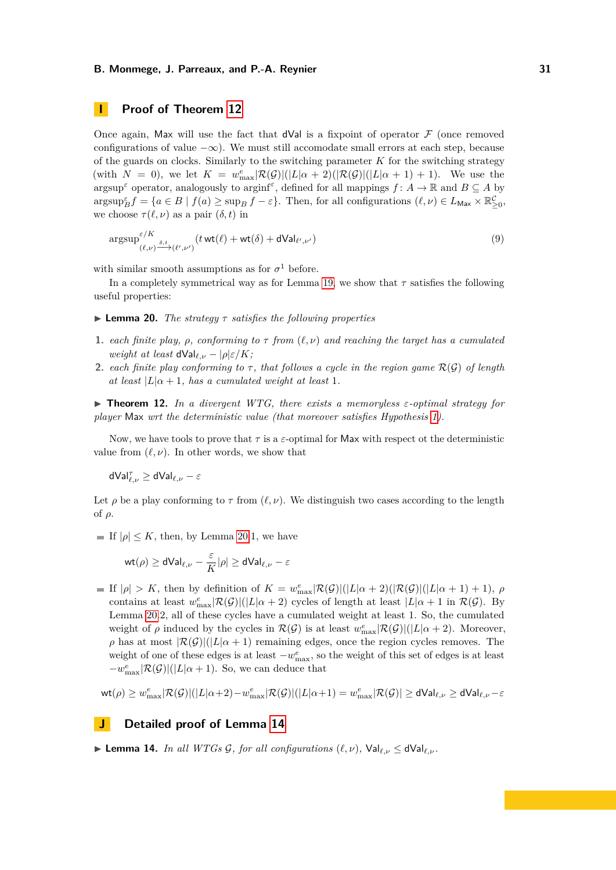# **I Proof of Theorem [12](#page-10-1)**

Once again, Max will use the fact that  $dVal$  is a fixpoint of operator  $\mathcal F$  (once removed configurations of value  $-\infty$ ). We must still accomodate small errors at each step, because of the guards on clocks. Similarly to the switching parameter *K* for the switching strategy (with  $N = 0$ ), we let  $K = w_{\text{max}}^e |\mathcal{R}(\mathcal{G})|(|L|\alpha + 2)(|\mathcal{R}(\mathcal{G})|(|L|\alpha + 1) + 1)$ . We use the  $\alpha$  argsup<sup> $\epsilon$ </sup> operator, analogously to arging *f*, defined for all mappings  $f: A \to \mathbb{R}$  and  $B \subseteq A$  by  $\arg \sup_{B} f = \{a \in B \mid f(a) \geq \sup_{B} f - \varepsilon\}.$  Then, for all configurations  $(\ell, \nu) \in L_{\text{Max}} \times \mathbb{R}_{\geq 0}^{\mathcal{C}},$ we choose  $\tau(\ell, \nu)$  as a pair  $(\delta, t)$  in

$$
\underset{(\ell,\nu)}{\operatorname{argsup}}^{\varepsilon/K} \xrightarrow{\delta,t} (\ell',\nu') \left( t \operatorname{wt}(\ell) + \operatorname{wt}(\delta) + \operatorname{dVal}_{\ell',\nu'} \right) \tag{9}
$$

with similar smooth assumptions as for  $\sigma^1$  before.

In a completely symmetrical way as for Lemma [19,](#page-27-0) we show that *τ* satisfies the following useful properties:

- $\blacktriangleright$  **Lemma 20.** *The strategy*  $\tau$  *satisfies the following properties*
- **1.** *each finite play,*  $\rho$ *, conforming to*  $\tau$  *from*  $(\ell, \nu)$  *and reaching the target has a cumulated weight at least*  $dVal_{\ell,\nu} - |\rho| \varepsilon/K$ ;
- <span id="page-30-0"></span>**2.** *each finite play conforming to*  $\tau$ , *that follows a cycle in the region game*  $\mathcal{R}(\mathcal{G})$  *of length at least*  $|L|_Q + 1$ *, has a cumulated weight at least* 1*.*

 $\triangleright$  **Theorem 12.** In a divergent WTG, there exists a memoryless  $\epsilon$ -optimal strategy for *player* Max *wrt the deterministic value (that moreover satisfies Hypothesis [1\)](#page-5-1).*

Now, we have tools to prove that  $\tau$  is a  $\varepsilon$ -optimal for Max with respect ot the deterministic value from  $(\ell, \nu)$ . In other words, we show that

dVal*<sup>τ</sup> ℓ,ν* ≥ dVal*ℓ,ν* − *ε*

Let  $\rho$  be a play conforming to  $\tau$  from  $(\ell, \nu)$ . We distinguish two cases according to the length of *ρ*.

If  $|\rho| \leq K$ , then, by Lemma [20.](#page-30-0)1, we have

$$
\text{wt}(\rho)\geq \text{dVal}_{\ell,\nu}-\frac{\varepsilon}{K}|\rho|\geq \text{dVal}_{\ell,\nu}-\varepsilon
$$

If  $|\rho| > K$ , then by definition of  $K = w_{\text{max}}^e |\mathcal{R}(\mathcal{G})|(|L|\alpha + 2)(|\mathcal{R}(\mathcal{G})|(|L|\alpha + 1) + 1)$ ,  $\rho$ contains at least  $w_{\text{max}}^e |\mathcal{R}(\mathcal{G})|(|L|\alpha + 2)$  cycles of length at least  $|L|\alpha + 1$  in  $\mathcal{R}(\mathcal{G})$ . By Lemma [20.](#page-30-0)2, all of these cycles have a cumulated weight at least 1. So, the cumulated weight of  $\rho$  induced by the cycles in  $\mathcal{R}(\mathcal{G})$  is at least  $w_{\text{max}}^e|\mathcal{R}(\mathcal{G})|(|L|\alpha+2)$ . Moreover, *ρ* has at most  $\mathcal{R}(G)|(|L|\alpha + 1)$  remaining edges, once the region cycles removes. The weight of one of these edges is at least  $-w_{\text{max}}^e$ , so the weight of this set of edges is at least  $-w_{\text{max}}^e$ | $\mathcal{R}(\mathcal{G})$ |(|L|*α* + 1). So, we can deduce that

$$
\text{wt}(\rho)\geq w_{\max}^{e}|\mathcal{R}(\mathcal{G})|(|L|\alpha+2)-w_{\max}^{e}|\mathcal{R}(\mathcal{G})|(|L|\alpha+1)=w_{\max}^{e}|\mathcal{R}(\mathcal{G})|\geq\mathsf{dVal}_{\ell,\nu}\geq\mathsf{dVal}_{\ell,\nu}-\varepsilon
$$

# **J Detailed proof of Lemma [14](#page-10-2)**

▶ **Lemma 14.** *In all WTGs G, for all configurations*  $(\ell, \nu)$ ,  $\forall$ al $_{\ell, \nu}$  ≤ d $\forall$ al $_{\ell, \nu}$ *.*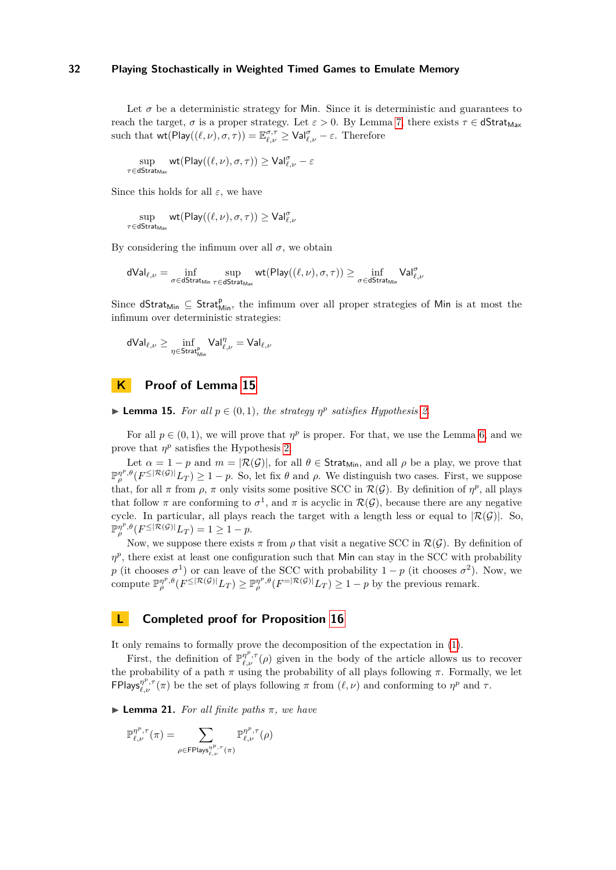Let  $\sigma$  be a deterministic strategy for Min. Since it is deterministic and guarantees to reach the target,  $\sigma$  is a proper strategy. Let  $\varepsilon > 0$ . By Lemma [7,](#page-7-1) there exists  $\tau \in \text{dStrat}_{\text{Max}}$ such that  $\text{wt}(\text{Play}((\ell, \nu), \sigma, \tau)) = \mathbb{E}_{\ell, \nu}^{\sigma, \tau} \geq \text{Val}_{\ell, \nu}^{\sigma} - \varepsilon$ . Therefore

$$
\sup_{\tau \in \mathsf{dStrat}_{\mathsf{Max}}} \mathsf{wt}(\mathsf{Play}((\ell,\nu),\sigma,\tau)) \geq \mathsf{Val}^{\sigma}_{\ell,\nu} - \varepsilon
$$

Since this holds for all  $\varepsilon$ , we have

$$
\sup_{\tau \in \mathrm{dStrat}_{\mathrm{Max}}} \mathrm{wt}(\mathrm{Play}((\ell, \nu), \sigma, \tau)) \geq \mathrm{Val}_{\ell, \nu}^{\sigma}
$$

By considering the infimum over all  $\sigma$ , we obtain

$$
\mathsf{dVal}_{\ell, \nu} = \inf_{\sigma \in \mathsf{dStrat}_{\mathsf{Min}}} \sup_{\tau \in \mathsf{dStrat}_{\mathsf{Max}}} \mathsf{wt}(\mathsf{Play}(\ell, \nu), \sigma, \tau)) \geq \inf_{\sigma \in \mathsf{dStrat}_{\mathsf{Min}}} \mathsf{Val}_{\ell, \nu}^{\sigma}
$$

Since  $dStrat_{Min} \subseteq Strat_{Min}^p$ , the infimum over all proper strategies of Min is at most the infimum over deterministic strategies:

$$
\mathsf{dVal}_{\ell,\nu} \geq \inf_{\eta \in \mathsf{Strat}_{\mathsf{Min}}^\mathsf{p}} \mathsf{Val}_{\ell,\nu}^\eta = \mathsf{Val}_{\ell,\nu}
$$

# **K Proof of Lemma [15](#page-11-0)**

▶ **Lemma 15.** *For all*  $p \in (0,1)$ *, the strategy*  $\eta^p$  *satisfies Hypothesis* [2.](#page-7-0)

For all  $p \in (0,1)$ , we will prove that  $\eta^p$  is proper. For that, we use the Lemma [6,](#page-7-2) and we prove that  $\eta^p$  satisfies the Hypothesis [2.](#page-7-0)

Let  $\alpha = 1 - p$  and  $m = |\mathcal{R}(\mathcal{G})|$ , for all  $\theta \in \mathsf{Strat}_{\mathsf{Min}}$ , and all  $\rho$  be a play, we prove that  $\mathbb{P}_{\rho}^{\eta^p,\theta}(F^{\leq |\mathcal{R}(\mathcal{G})|}L_T) \geq 1-p$ . So, let fix  $\theta$  and  $\rho$ . We distinguish two cases. First, we suppose that, for all  $\pi$  from  $\rho$ ,  $\pi$  only visits some positive SCC in  $\mathcal{R}(\mathcal{G})$ . By definition of  $\eta^p$ , all plays that follow  $\pi$  are conforming to  $\sigma^1$ , and  $\pi$  is acyclic in  $\mathcal{R}(\mathcal{G})$ , because there are any negative cycle. In particular, all plays reach the target with a length less or equal to  $|\mathcal{R}(\mathcal{G})|$ . So,  $\mathbb{P}_{\rho}^{\eta^p, \theta}(F^{\leq |\mathcal{R}(\mathcal{G})|}L_T) = 1 \geq 1 - p.$ 

Now, we suppose there exists  $\pi$  from  $\rho$  that visit a negative SCC in  $\mathcal{R}(\mathcal{G})$ . By definition of  $\eta^p$ , there exist at least one configuration such that Min can stay in the SCC with probability *p* (it chooses  $\sigma^1$ ) or can leave of the SCC with probability  $1 - p$  (it chooses  $\sigma^2$ ). Now, we compute  $\mathbb{P}_{\rho}^{n^p, \theta}(F^{\leq |\mathcal{R}(\mathcal{G})|}L_T) \geq \mathbb{P}_{\rho}^{n^p, \theta}(F^{\leq |\mathcal{R}(\mathcal{G})|}L_T) \geq 1-p$  by the previous remark.

# **L Completed proof for Proposition [16](#page-11-1)**

It only remains to formally prove the decomposition of the expectation in [\(1\)](#page-12-1).

First, the definition of  $\mathbb{P}_{\ell,\nu}^{\eta^p,\tau}(\rho)$  given in the body of the article allows us to recover the probability of a path  $\pi$  using the probability of all plays following  $\pi$ . Formally, we let **FPlays** $_{\ell,\nu}^{\eta^p,\tau}(\pi)$  be the set of plays following  $\pi$  from  $(\ell,\nu)$  and conforming to  $\eta^p$  and  $\tau$ .

<span id="page-31-0"></span> $\blacktriangleright$  **Lemma 21.** *For all finite paths*  $\pi$ *, we have* 

$$
\mathbb{P}_{\ell, \nu}^{\eta^p, \tau}(\pi) = \sum_{\rho \in \mathsf{FPlays}_{\ell, \nu}^{\eta^p, \tau}(\pi)} \mathbb{P}_{\ell, \nu}^{\eta^p, \tau}(\rho)
$$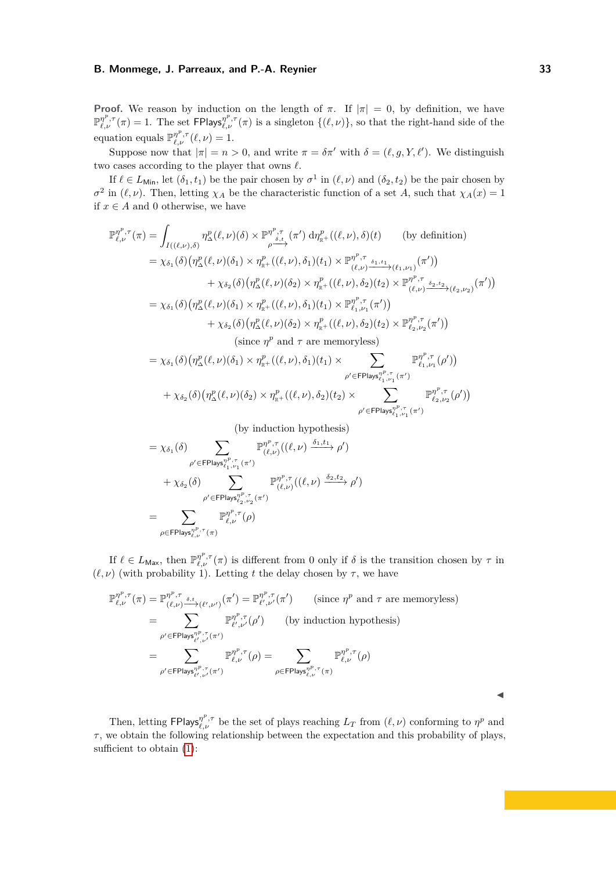**Proof.** We reason by induction on the length of  $\pi$ . If  $|\pi| = 0$ , by definition, we have  $\mathbb{P}_{\ell,\nu}^{\eta^p,\tau}(\pi) = 1$ . The set FPlays $\eta^{\nu,\tau}(\pi)$  is a singleton  $\{(\ell,\nu)\}\)$ , so that the right-hand side of the equation equals  $\mathbb{P}^{\eta^p,\tau}_{\ell,\nu}(\ell,\nu) = 1.$ 

Suppose now that  $|\pi| = n > 0$ , and write  $\pi = \delta \pi'$  with  $\delta = (\ell, g, Y, \ell')$ . We distinguish two cases according to the player that owns *ℓ*.

If  $\ell \in L_{\text{Min}}$ , let  $(\delta_1, t_1)$  be the pair chosen by  $\sigma^1$  in  $(\ell, \nu)$  and  $(\delta_2, t_2)$  be the pair chosen by  $\sigma^2$  in ( $\ell, \nu$ ). Then, letting  $\chi_A$  be the characteristic function of a set *A*, such that  $\chi_A(x) = 1$ if  $x \in A$  and 0 otherwise, we have

$$
\mathbb{P}_{\ell,\nu}^{\eta^{p},\tau}(\pi) = \int_{I((\ell,\nu),\delta)} \eta_{\Delta}^{p}(\ell,\nu)(\delta) \times \mathbb{P}_{\delta,t}^{\eta^{p},\tau}(\pi') d\eta_{\mathbb{R}^{+}}^{p}((\ell,\nu),\delta)(t) \qquad \text{(by definition)}
$$
\n
$$
= \chi_{\delta_{1}}(\delta) \big(\eta_{\Delta}^{p}(\ell,\nu)(\delta_{1}) \times \eta_{\mathbb{R}^{+}}^{p}((\ell,\nu),\delta_{1})(t_{1}) \times \mathbb{P}_{(\ell,\nu)}^{\eta^{p},\tau} \underline{\delta_{1},t_{1}}_{(\ell,\nu_{1})}(\pi')\big) \\
+ \chi_{\delta_{2}}(\delta) \big(\eta_{\Delta}^{p}(\ell,\nu)(\delta_{2}) \times \eta_{\mathbb{R}^{+}}^{p}((\ell,\nu),\delta_{2})(t_{2}) \times \mathbb{P}_{(\ell,\nu)}^{\eta^{p},\tau} \underline{\delta_{2},t_{2}}_{(\ell_{2},\nu_{2})}(\pi')\big) \\
= \chi_{\delta_{1}}(\delta) \big(\eta_{\Delta}^{p}(\ell,\nu)(\delta_{1}) \times \eta_{\mathbb{R}^{+}}^{p}((\ell,\nu),\delta_{1})(t_{1}) \times \mathbb{P}_{\ell_{1},\nu_{1}}^{\eta^{p},\tau}(\pi')\big) \\
+ \chi_{\delta_{2}}(\delta) \big(\eta_{\Delta}^{p}(\ell,\nu)(\delta_{2}) \times \eta_{\mathbb{R}^{+}}^{p}((\ell,\nu),\delta_{2})(t_{2}) \times \mathbb{P}_{\ell_{2},\nu_{2}}^{\eta^{p},\tau}(\pi')\big) \\
\text{(since } \eta^{p} \text{ and } \tau \text{ are memoryless}\n\big)
$$
\n
$$
= \chi_{\delta_{1}}(\delta) \big(\eta_{\Delta}^{p}(\ell,\nu)(\delta_{1}) \times \eta_{\mathbb{R}^{+}}^{p}((\ell,\nu),\delta_{1})(t_{1}) \times \sum_{\rho' \in \text{FPlay}_{\ell_{1},\nu_{1}}^{\eta^{p},\tau}(\pi')}\n\mathbb{P}_{\ell_{1},\nu_{1}}^{\eta^{p},\tau}(\rho')\big) \\
+ \chi_{\delta_{2}}(\delta) \big(\eta_{\Delta}^{p}(\ell,\nu)(\delta_{2}) \
$$

(by induction hypothesis)

$$
= \chi_{\delta_1}(\delta) \sum_{\rho' \in \text{FPlay}_{\ell_1, \nu_1}^{p, \tau}(\pi')} \mathbb{P}_{(\ell, \nu)}^{\eta^p, \tau}((\ell, \nu) \xrightarrow{\delta_1, t_1} \rho')
$$
  
+  $\chi_{\delta_2}(\delta) \sum_{\rho' \in \text{FPlay}_{\ell_2, \nu_2}^{p, \tau}(\pi')} \mathbb{P}_{(\ell, \nu)}^{\eta^p, \tau}((\ell, \nu) \xrightarrow{\delta_2, t_2} \rho')$   
= 
$$
\sum_{\rho \in \text{FPlay}_{\ell, \nu}^{p, \tau}(\pi)} \mathbb{P}_{\ell, \nu}^{\eta^p, \tau}(\rho)
$$

If  $\ell \in L_{\text{Max}}$ , then  $\mathbb{P}_{\ell,\nu}^{\eta^p,\tau}(\pi)$  is different from 0 only if  $\delta$  is the transition chosen by  $\tau$  in  $(\ell, \nu)$  (with probability 1). Letting t the delay chosen by  $\tau$ , we have

$$
\mathbb{P}_{\ell,\nu}^{\eta^p,\tau}(\pi) = \mathbb{P}_{(\ell,\nu)}^{\eta^p,\tau} \xrightarrow{\delta,t} (\ell',\nu')} (\pi') = \mathbb{P}_{\ell',\nu'}^{\eta^p,\tau}(\pi') \qquad \text{(since } \eta^p \text{ and } \tau \text{ are memoryless)}
$$
\n
$$
= \sum_{\rho' \in \text{FPlay}_{\ell',\nu'}^{\eta^p,\tau}(\pi')} \mathbb{P}_{\ell',\nu'}^{\eta^p,\tau}(\rho') \qquad \text{(by induction hypothesis)}
$$
\n
$$
= \sum_{\rho' \in \text{FPlay}_{\ell',\nu'}^{\eta^p,\tau}(\pi')} \mathbb{P}_{\ell,\nu}^{\eta^p,\tau}(\rho) = \sum_{\rho \in \text{FPlay}_{\ell,\nu}^{\eta^p,\tau}(\pi)} \mathbb{P}_{\ell,\nu}^{\eta^p,\tau}(\rho)
$$

Then, letting  $\mathsf{FPlays}_{\ell,\nu}^{\eta^p,\tau}$  be the set of plays reaching  $L_T$  from  $(\ell,\nu)$  conforming to  $\eta^p$  and *τ* , we obtain the following relationship between the expectation and this probability of plays, sufficient to obtain  $(1)$ :

◀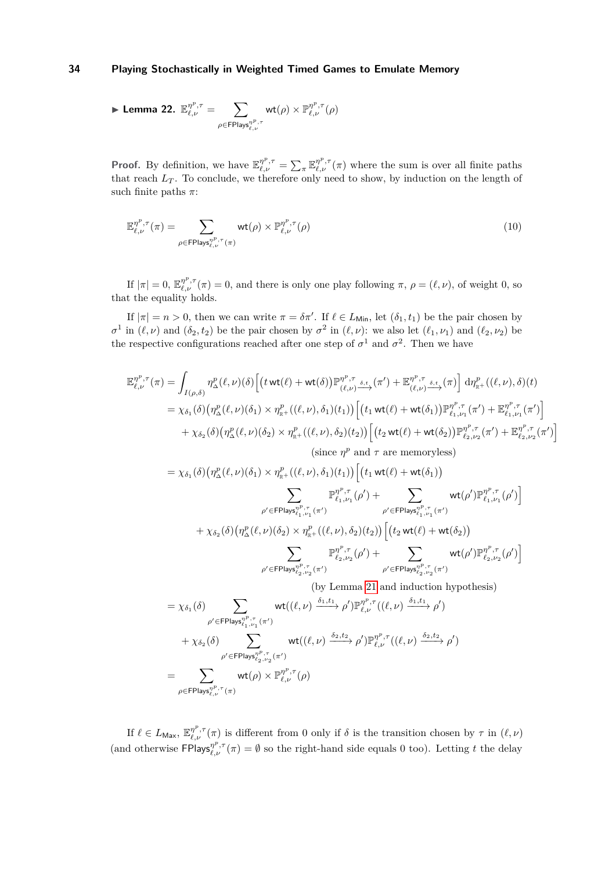$$
\blacktriangleright \textbf{ Lemma 22. } \mathbb{E}_{\ell,\nu}^{\eta^p,\tau} = \sum_{\rho \in \text{Flays}_{\ell,\nu}^{\eta^p,\tau}} \text{wt}(\rho) \times \mathbb{P}_{\ell,\nu}^{\eta^p,\tau}(\rho)
$$

**Proof.** By definition, we have  $\mathbb{E}_{\ell,\nu}^{\eta^p,\tau} = \sum_{\pi} \mathbb{E}_{\ell,\nu}^{\eta^p,\tau}(\pi)$  where the sum is over all finite paths that reach  $L_T$ . To conclude, we therefore only need to show, by induction on the length of such finite paths *π*:

$$
\mathbb{E}_{\ell,\nu}^{\eta^p,\tau}(\pi) = \sum_{\rho \in \text{FPlays}_{\ell,\nu}^{\eta^p,\tau}(\pi)} \text{wt}(\rho) \times \mathbb{P}_{\ell,\nu}^{\eta^p,\tau}(\rho) \tag{10}
$$

If  $|\pi| = 0$ ,  $\mathbb{E}_{\ell,\nu}^{\eta^p,\tau}(\pi) = 0$ , and there is only one play following  $\pi$ ,  $\rho = (\ell,\nu)$ , of weight 0, so that the equality holds.

If  $|\pi| = n > 0$ , then we can write  $\pi = \delta \pi'$ . If  $\ell \in L_{\text{Min}}$ , let  $(\delta_1, t_1)$  be the pair chosen by  $\sigma^1$  in  $(\ell, \nu)$  and  $(\delta_2, t_2)$  be the pair chosen by  $\sigma^2$  in  $(\ell, \nu)$ : we also let  $(\ell_1, \nu_1)$  and  $(\ell_2, \nu_2)$  be the respective configurations reached after one step of  $\sigma^1$  and  $\sigma^2$ . Then we have

$$
\mathbb{E}_{\ell,\nu}^{\eta^{p},\tau}(\pi) = \int_{I(\rho,\delta)} \eta_{\Delta}^{p}(\ell,\nu)(\delta) \Big[ \big( t \operatorname{wt}(\ell) + \operatorname{wt}(\delta) \big) \mathbb{P}_{(\ell,\nu)}^{\eta^{p},\tau} \underbrace{S_{\ell,\nu}}(\pi') + \mathbb{E}_{(\ell,\nu)}^{\eta^{p},\tau} \underbrace{S_{\ell,\nu}}(\pi) \Big] d\eta_{\mathbb{R}^{+}}^{\rho} \big( (\ell,\nu),\delta \big)(t) \n= \chi_{\delta_{1}}(\delta) \big( \eta_{\Delta}^{p}(\ell,\nu)(\delta_{1}) \times \eta_{\mathbb{R}^{+}}^{p} \big( (\ell,\nu),\delta_{1}) (t_{1}) \big) \Big[ \big( t_{1} \operatorname{wt}(\ell) + \operatorname{wt}(\delta_{1}) \big) \mathbb{P}_{\ell_{1},\nu_{1}}^{\eta^{p},\tau}(\pi') + \mathbb{E}_{\ell_{1},\nu_{1}}^{\eta^{p},\tau}(\pi') \Big] \n+ \chi_{\delta_{2}}(\delta) \big( \eta_{\Delta}^{p}(\ell,\nu)(\delta_{2}) \times \eta_{\mathbb{R}^{+}}^{p} \big( (\ell,\nu),\delta_{2}) (t_{2}) \big) \Big[ \big( t_{2} \operatorname{wt}(\ell) + \operatorname{wt}(\delta_{1}) \big) \mathbb{P}_{\ell_{2},\nu_{2}}^{\eta^{p},\tau}(\pi') + \mathbb{E}_{\ell_{2},\nu_{2}}^{\eta^{p},\tau}(\pi') \Big] \n(since \eta^{p} \text{ and } \tau \text{ are memoryless}) \n= \chi_{\delta_{1}}(\delta) \big( \eta_{\Delta}^{p}(\ell,\nu)(\delta_{1}) \times \eta_{\mathbb{R}^{+}}^{p} \big( (\ell,\nu),\delta_{1}) (t_{1}) \big) \Big[ \big( t_{1} \operatorname{wt}(\ell) + \operatorname{wt}(\delta_{1}) \big) \n+ \sum_{\rho' \in \mathsf{FPlay}_{\ell_{1},\nu_{1}}^{\eta^{p},\tau}(\rho') + \sum_{\rho' \in \mathsf{FPlay}_{\ell_{1},\nu_{1}}^{\eta^{p},\tau}(\pi')} \operatorname{wt}(\rho') \mathbb{P}_{\ell_{1},\
$$

If  $\ell \in L_{\text{Max}}$ ,  $\mathbb{E}_{\ell,\nu}^{\eta^p,\tau}(\pi)$  is different from 0 only if  $\delta$  is the transition chosen by  $\tau$  in  $(\ell,\nu)$ (and otherwise  $FPIays_{\ell,\nu}^{p^p,\tau}(\pi) = \emptyset$  so the right-hand side equals 0 too). Letting *t* the delay

 $ρ$ ∈FPlays $<sup>ηP,τ</sup>$ ,*τ* (*π*)</sup>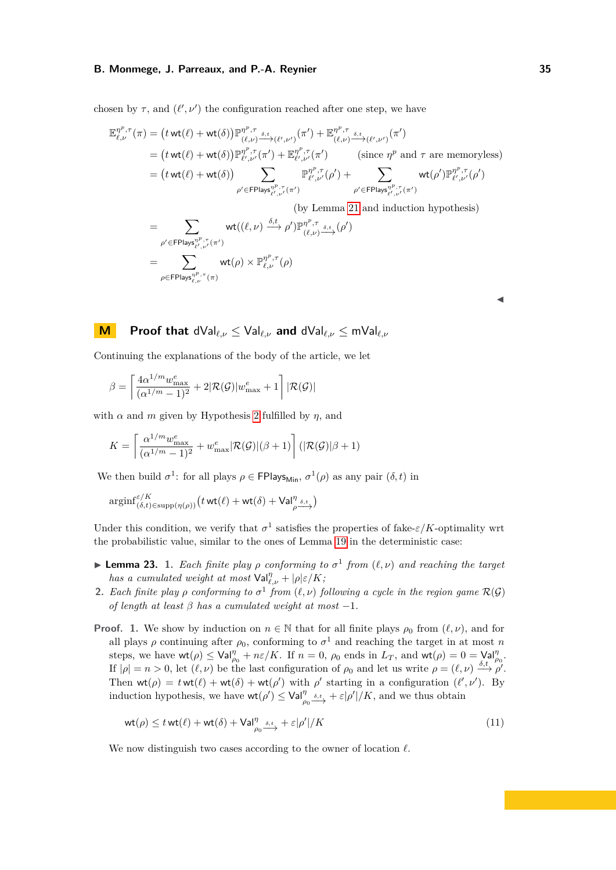chosen by  $\tau$ , and  $(\ell', \nu')$  the configuration reached after one step, we have

$$
\mathbb{E}_{\ell,\nu}^{\eta^p,\tau}(\pi) = \left(t \operatorname{wt}(\ell) + \operatorname{wt}(\delta)\right) \mathbb{P}_{(\ell,\nu)}^{\eta^p,\tau} \xrightarrow{\delta,t} (\ell',\nu') (\pi') + \mathbb{E}_{(\ell,\nu)}^{\eta^p,\tau} \xrightarrow{\delta,t} (\ell',\nu') (\pi')
$$
\n
$$
= \left(t \operatorname{wt}(\ell) + \operatorname{wt}(\delta)\right) \mathbb{P}_{\ell',\nu'}^{\eta^p,\tau}(\pi') + \mathbb{E}_{\ell',\nu'}^{\eta^p,\tau}(\pi') \qquad \left(\text{since } \eta^p \text{ and } \tau \text{ are memoryless}\right)
$$
\n
$$
= \left(t \operatorname{wt}(\ell) + \operatorname{wt}(\delta)\right) \sum_{\rho' \in \text{FPlay}_{\ell',\nu'}^{\eta^p,\tau}(\pi')} \mathbb{P}_{\ell',\nu'}^{\eta^p,\tau}(\rho') + \sum_{\rho' \in \text{FPlay}_{\ell',\nu'}^{\eta^p,\tau}(\pi')} \operatorname{wt}(\rho') \mathbb{P}_{\ell',\nu'}^{\eta^p,\tau}(\rho')
$$

(by Lemma [21](#page-31-0) and induction hypothesis)

$$
= \sum_{\rho' \in \text{FPlays}_{\ell',\nu'}^{\eta^p, \tau}(\pi')} \text{wt}((\ell, \nu) \xrightarrow{\delta, t} \rho') \mathbb{P}_{(\ell, \nu)}^{\eta^p, \tau} \xrightarrow{\delta, t} (\rho')
$$

$$
= \sum_{\rho \in \text{FPlays}_{\ell, \nu}^{\eta^p, \tau}(\pi)} \text{wt}(\rho) \times \mathbb{P}_{\ell, \nu}^{\eta^p, \tau}(\rho)
$$

| ٠<br>M. |
|---------|
|         |

# **M Proof that** dVal*ℓ,ν* ≤ Val*ℓ,ν* **and** dVal*ℓ,ν* ≤ mVal*ℓ,ν*

Continuing the explanations of the body of the article, we let

$$
\beta = \left\lceil \frac{4\alpha^{1/m} w^e_{\max}}{(\alpha^{1/m} - 1)^2} + 2|\mathcal{R}(\mathcal{G})| w^e_{\max} + 1 \right\rceil |\mathcal{R}(\mathcal{G})|
$$

with  $\alpha$  and  $m$  given by Hypothesis [2](#page-7-0) fulfilled by  $\eta$ , and

$$
K = \left\lceil \frac{\alpha^{1/m} w^e_{\max}}{(\alpha^{1/m}-1)^2} + w^e_{\max} |\mathcal{R}(\mathcal{G})|(\beta+1) \right\rceil (|\mathcal{R}(\mathcal{G})| \beta+1)
$$

We then build  $\sigma^1$ : for all plays  $\rho \in \text{FPlays}_{\text{Min}}$ ,  $\sigma^1(\rho)$  as any pair  $(\delta, t)$  in

$$
\mathrm{arginf}_{(\delta,t)\in\mathrm{supp}(\eta(\rho))}^{\varepsilon/K}(t\,\mathrm{wt}(\ell)+\mathrm{wt}(\delta)+\mathsf{Val}_{\rho\frac{\delta,t}{\varepsilon}})
$$

Under this condition, we verify that  $\sigma^1$  satisfies the properties of fake- $\varepsilon/K$ -optimality wrt the probabilistic value, similar to the ones of Lemma [19](#page-27-0) in the deterministic case:

- **Example 23.** 1. *Each finite play*  $\rho$  *conforming to*  $\sigma^1$  *from*  $(\ell, \nu)$  *and reaching the target has a cumulated weight at most*  $\mathsf{Val}_{\ell,\nu}^{\eta} + |\rho| \varepsilon / K$ ;
- <span id="page-34-1"></span>**2.** *Each finite play*  $\rho$  *conforming to*  $\sigma^1$  *from*  $(\ell, \nu)$  *following a cycle in the region game*  $\mathcal{R}(\mathcal{G})$ *of length at least β has a cumulated weight at most* −1*.*
- **Proof. 1.** We show by induction on  $n \in \mathbb{N}$  that for all finite plays  $\rho_0$  from  $(\ell, \nu)$ , and for all plays  $\rho$  continuing after  $\rho_0$ , conforming to  $\sigma^1$  and reaching the target in at most *n* steps, we have  $\mathsf{wt}(\rho) \leq \mathsf{Val}_{\rho_0}^{\eta} + n\varepsilon/K$ . If  $n = 0$ ,  $\rho_0$  ends in  $L_T$ , and  $\mathsf{wt}(\rho) = 0 = \mathsf{Val}_{\rho_0}^{\eta}$ . If  $|\rho| = n > 0$ , let  $(\ell, \nu)$  be the last configuration of  $\rho_0$  and let us write  $\rho = (\ell, \nu) \stackrel{\delta, t}{\longrightarrow} \rho'$ . Then  $wt(\rho) = twt(\ell) + wt(\delta) + wt(\rho')$  with  $\rho'$  starting in a configuration  $(\ell', \nu')$ . By induction hypothesis, we have  $\mathsf{wt}(\rho') \leq \mathsf{Val}_{\rho_0}^{\eta} \xrightarrow{\delta,t} + \varepsilon |\rho'|/K$ , and we thus obtain

<span id="page-34-0"></span>
$$
\operatorname{wt}(\rho) \le t \operatorname{wt}(\ell) + \operatorname{wt}(\delta) + \operatorname{Val}_{\rho_0}^{\eta} \xrightarrow{\delta, t} + \varepsilon |\rho'| / K \tag{11}
$$

We now distinguish two cases according to the owner of location *ℓ*.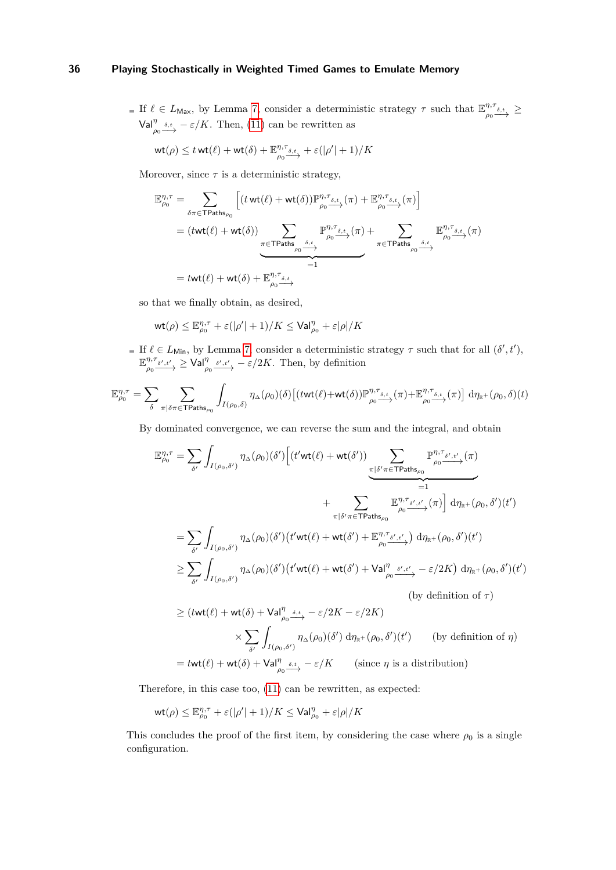If  $\ell \in L_{\text{Max}}$ , by Lemma [7,](#page-7-1) consider a deterministic strategy  $\tau$  such that  $\mathbb{E}_{\infty}^{\eta,\tau}$  $\frac{\eta,\tau_{\delta,t}}{\rho_0 \stackrel{\sim}{\longrightarrow}} \geq$  $\text{Val}_{\rho_0}^{\eta} \xrightarrow{\delta, t} -\varepsilon/K$ . Then, [\(11\)](#page-34-0) can be rewritten as

$$
\mathsf{wt}(\rho) \leq t \mathsf{wt}(\ell) + \mathsf{wt}(\delta) + \mathbb{E}_{\rho_0 \to \mathcal{S}, t}^{\eta, \tau_{\delta, t}} + \varepsilon(|\rho'| + 1) / K
$$

Moreover, since  $\tau$  is a deterministic strategy,

$$
\mathbb{E}_{\rho_0}^{\eta,\tau} = \sum_{\delta \pi \in \text{TPaths}_{\rho_0}} \left[ (t \text{ wt}(\ell) + \text{ wt}(\delta)) \mathbb{P}_{\rho_0}^{\eta,\tau_{\delta,t}}(\pi) + \mathbb{E}_{\rho_0}^{\eta,\tau_{\delta,t}}(\pi) \right]
$$
  
=  $(t \text{ wt}(\ell) + \text{ wt}(\delta)) \sum_{\substack{\pi \in \text{TPaths}_{\rho_0} \xrightarrow{\delta,t} \\ \rho_0 \longrightarrow \rho_0}} \mathbb{P}_{\rho_0, \xi, \xi}^{\eta, \tau_{\delta,t}}(\pi) + \sum_{\pi \in \text{TPaths}_{\rho_0} \xrightarrow{\delta,t} \rho_0} \mathbb{E}_{\rho_0, \xi, \xi}^{\eta, \tau_{\delta,t}}(\pi)$   
=  $t \text{ wt}(\ell) + \text{ wt}(\delta) + \mathbb{E}_{\rho_0, \xi, \xi}^{\eta, \tau_{\delta,t}}$ 

so that we finally obtain, as desired,

$$
\text{wt}(\rho) \leq \mathbb{E}_{\rho_0}^{\eta,\tau} + \varepsilon(|\rho'| + 1)/K \leq \text{Val}_{\rho_0}^{\eta} + \varepsilon |\rho|/K
$$

If  $\ell \in L_{\text{Min}}$ , by Lemma [7,](#page-7-1) consider a deterministic strategy  $\tau$  such that for all  $(\delta', t')$ , E *η,τ*  $\frac{\eta,\tau_{\delta',t'}}{\rho_0 \to 0} \geq \text{Val}_{\rho_0}^{\eta} \frac{\delta',t'}{\to} -\varepsilon/2K$ . Then, by definition

$$
\mathbb{E}_{\rho_0}^{\eta,\tau} = \sum_{\delta} \sum_{\pi | \delta \pi \in \text{TPaths}_{\rho_0}} \int_{I(\rho_0,\delta)} \eta_{\Delta}(\rho_0)(\delta) \left[ \left( t \text{wt}(\ell) + \text{wt}(\delta) \right) \mathbb{P}_{\rho_0}^{\eta,\tau_{\delta,t}}(\pi) + \mathbb{E}_{\rho_0}^{\eta,\tau_{\delta,t}}(\pi) \right] d\eta_{\mathbb{R}^+}(\rho_0,\delta)(t)
$$

By dominated convergence, we can reverse the sum and the integral, and obtain

$$
\mathbb{E}_{\rho_{0}}^{\eta,\tau} = \sum_{\delta'} \int_{I(\rho_{0},\delta')} \eta_{\Delta}(\rho_{0})(\delta') \Big[ (t'wt(\ell) + wt(\delta')) \sum_{\substack{\pi \mid \delta' \pi \in \text{TPaths}_{\rho_{0}}} \mathbb{P}_{\rho_{0} \to \delta',t' \to \pi}}^{\eta,\tau_{\delta',t'}}(\pi) + \sum_{\substack{\pi \mid \delta' \pi \in \text{TPaths}_{\rho_{0}}} \mathbb{E}_{\rho_{0} \to \delta',t' \to \pi}}^{\eta,\tau_{\delta',t'}}(\pi) \Big] d\eta_{\mathbb{R}^{+}}(\rho_{0},\delta')(t')
$$
  
\n
$$
= \sum_{\delta'} \int_{I(\rho_{0},\delta')} \eta_{\Delta}(\rho_{0})(\delta') (t'wt(\ell) + wt(\delta') + \mathbb{E}_{\rho_{0} \to \delta',t' \to \pi}^{\eta,\tau_{\delta',t'}}(\pi) d\eta_{\mathbb{R}^{+}}(\rho_{0},\delta')(t')
$$
  
\n
$$
\geq \sum_{\delta'} \int_{I(\rho_{0},\delta')} \eta_{\Delta}(\rho_{0})(\delta') (t'wt(\ell) + wt(\delta') + \text{Val}_{\rho_{0} \to \delta',t' \to \pi}^{\eta,\tau_{\delta',t'}} - \varepsilon/2K) d\eta_{\mathbb{R}^{+}}(\rho_{0},\delta')(t')
$$
  
\n(by definition of  $\tau$ )  
\n
$$
\times \sum_{\delta'} \int_{I(\rho_{0},\delta')} \eta_{\Delta}(\rho_{0})(\delta') d\eta_{\mathbb{R}^{+}}(\rho_{0},\delta')(t')
$$
 (by definition of  $\eta$ )

 $=$  *t*wt( $\ell$ ) + wt( $\delta$ ) + Val<sup> $\eta$ </sup><sub>*ρ*0</sub>  $\xrightarrow{\delta}$  -  $\varepsilon/K$  (since  $\eta$  is a distribution)

Therefore, in this case too, [\(11\)](#page-34-0) can be rewritten, as expected:

$$
\mathrm{wt}(\rho) \leq \mathbb{E}_{\rho_0}^{\eta,\tau} + \varepsilon(|\rho'| + 1)/K \leq \mathrm{Val}_{\rho_0}^{\eta} + \varepsilon |\rho|/K
$$

This concludes the proof of the first item, by considering the case where  $\rho_0$  is a single configuration.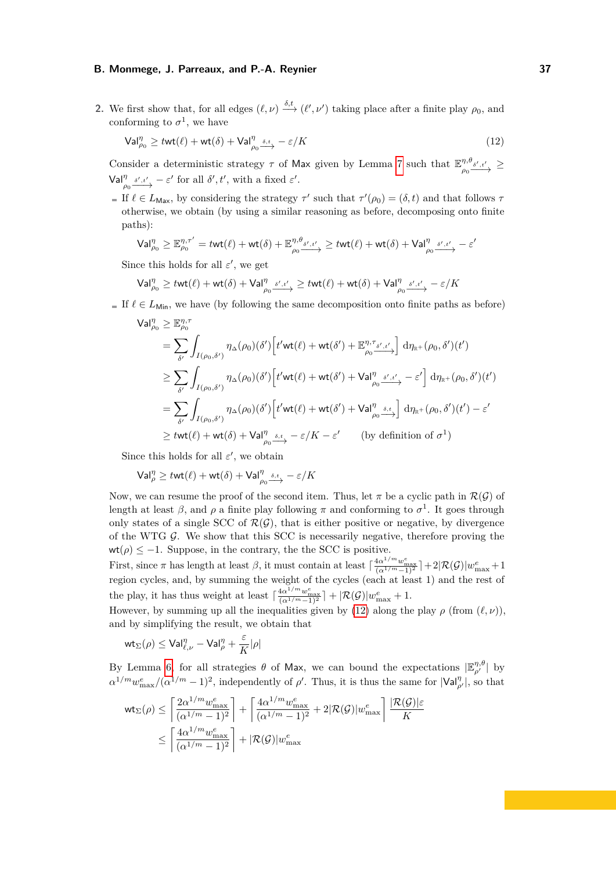**2.** We first show that, for all edges  $(\ell, \nu) \xrightarrow{\delta, t} (\ell', \nu')$  taking place after a finite play  $\rho_0$ , and conforming to  $\sigma^1$ , we have

<span id="page-36-0"></span>
$$
\mathsf{Val}_{\rho_0}^{\eta} \ge \text{twt}(\ell) + \text{wt}(\delta) + \mathsf{Val}_{\rho_0}^{\eta} \xrightarrow{\delta, t} - \varepsilon/K \tag{12}
$$

Consider a deterministic strategy  $\tau$  of Max given by Lemma [7](#page-7-1) such that  $\mathbb{E}^{\eta,\theta}$  $\frac{\eta,\theta_{\delta',\hskip.03cm t'}}{\rho_0\qquadlongrightarrow}$  >  $\mathsf{Val}_{\rho_0}^{\eta} \xrightarrow{\delta', t'} - \varepsilon'$  for all  $\delta', t'$ , with a fixed  $\varepsilon'$ .

If  $\ell \in L_{\text{Max}}$ , by considering the strategy  $\tau'$  such that  $\tau'(\rho_0) = (\delta, t)$  and that follows  $\tau$ otherwise, we obtain (by using a similar reasoning as before, decomposing onto finite paths):

$$
\mathsf{Val}^{\eta}_{\rho_0} \geq \mathbb{E}^{\eta,\tau'}_{\rho_0} = t \mathsf{wt}(\ell) + \mathsf{wt}(\delta) + \mathbb{E}^{\eta,\theta_{\delta',t'}}_{\rho_0} \geq t \mathsf{wt}(\ell) + \mathsf{wt}(\delta) + \mathsf{Val}^{\eta}_{\rho_0} \xrightarrow{s',t'} - \varepsilon'
$$

Since this holds for all  $\varepsilon'$ , we get

$$
\mathsf{Val}_{\rho_0}^\eta \geq \mathit{twt}(\ell) + \mathsf{wt}(\delta) + \mathsf{Val}_{\rho_0}^\eta \xrightarrow{\delta', \iota'} \geq \mathit{twt}(\ell) + \mathsf{wt}(\delta) + \mathsf{Val}_{\rho_0}^\eta \xrightarrow{\delta', \iota'} - \varepsilon/K
$$

If  $\ell \in L_{\text{Min}}$ , we have (by following the same decomposition onto finite paths as before)

$$
\begin{split} \mathsf{Val}_{\rho_{0}}^{\eta}&\geq \mathbb{E}_{\rho_{0}}^{\eta,\tau} \\ &=\sum_{\delta'}\int_{I(\rho_{0},\delta')} \eta_{\Delta}(\rho_{0})(\delta')\Big[t'\mathsf{wt}(\ell)+\mathsf{wt}(\delta')+\mathbb{E}_{\rho_{0}}^{\eta,\tau_{\delta',t'}}\Big] \; \mathrm{d}\eta_{\mathbb{R}^{+}}(\rho_{0},\delta')(t') \\ &\geq \sum_{\delta'}\int_{I(\rho_{0},\delta')} \eta_{\Delta}(\rho_{0})(\delta')\Big[t'\mathsf{wt}(\ell)+\mathsf{wt}(\delta')+ \mathsf{Val}_{\rho_{0}}^{\eta}\xrightarrow{s',t'}-\varepsilon'\Big] \; \mathrm{d}\eta_{\mathbb{R}^{+}}(\rho_{0},\delta')(t') \\ &=\sum_{\delta'}\int_{I(\rho_{0},\delta')} \eta_{\Delta}(\rho_{0})(\delta')\Big[t'\mathsf{wt}(\ell)+\mathsf{wt}(\delta')+ \mathsf{Val}_{\rho_{0}}^{\eta}\xrightarrow{s,t}\Big] \; \mathrm{d}\eta_{\mathbb{R}^{+}}(\rho_{0},\delta')(t')-\varepsilon' \\ &\geq t\mathsf{wt}(\ell)+\mathsf{wt}(\delta)+\mathsf{Val}_{\rho_{0}}^{\eta}\xrightarrow{s,t}-\varepsilon/K-\varepsilon' \qquad \text{(by definition of } \sigma^{1}\text{)} \end{split}
$$

Since this holds for all  $\varepsilon'$ , we obtain

$$
\mathsf{Val}_\rho^\eta \geq t \mathsf{wt}(\ell) + \mathsf{wt}(\delta) + \mathsf{Val}_{\rho_0}^\eta \xrightarrow{\delta,t} - \varepsilon/K
$$

Now, we can resume the proof of the second item. Thus, let  $\pi$  be a cyclic path in  $\mathcal{R}(\mathcal{G})$  of length at least  $\beta$ , and  $\rho$  a finite play following  $\pi$  and conforming to  $\sigma^1$ . It goes through only states of a single SCC of  $\mathcal{R}(\mathcal{G})$ , that is either positive or negative, by divergence of the WTG  $G$ . We show that this SCC is necessarily negative, therefore proving the  $\mathsf{wt}(\rho)\leq -1.$  Suppose, in the contrary, the the SCC is positive.

First, since  $\pi$  has length at least  $\beta$ , it must contain at least  $\lceil \frac{4\alpha^{1/m} w_{\max}^e}{(\alpha^{1/m}-1)^2} \rceil + 2|\mathcal{R}(\mathcal{G})|w_{\max}^e + 1$ region cycles, and, by summing the weight of the cycles (each at least 1) and the rest of the play, it has thus weight at least  $\lceil \frac{4\alpha^{1/m} w_{\max}^e}{(\alpha^{1/m}-1)^2} \rceil + \lvert \mathcal{R}(\mathcal{G}) \rvert w_{\max}^e + 1$ .

However, by summing up all the inequalities given by [\(12\)](#page-36-0) along the play  $\rho$  (from  $(\ell, \nu)$ ), and by simplifying the result, we obtain that

$$
\mathsf{wt}_\Sigma(\rho) \leq \mathsf{Val}^\eta_{\ell,\nu} - \mathsf{Val}^\eta_\rho + \frac{\varepsilon}{K}|\rho|
$$

By Lemma [6,](#page-7-2) for all strategies  $\theta$  of Max, we can bound the expectations  $|\mathbb{E}_{\rho'}^{\eta,\theta}|$  by  $\alpha^{1/m} w_{\text{max}}^e/(\alpha^{1/m}-1)^2$ , independently of *ρ*'. Thus, it is thus the same for  $|\text{Val}_{\rho'}^{\eta}|$ , so that

$$
\begin{split} \mathsf{wt}_\Sigma(\rho) &\leq \left\lceil \frac{2\alpha^{1/m} w_{\max}^e}{(\alpha^{1/m}-1)^2} \right\rceil + \left\lceil \frac{4\alpha^{1/m} w_{\max}^e}{(\alpha^{1/m}-1)^2} + 2|\mathcal{R}(\mathcal{G})| w_{\max}^e \right\rceil \frac{|\mathcal{R}(\mathcal{G})| \varepsilon}{K} \\ &\leq \left\lceil \frac{4\alpha^{1/m} w_{\max}^e}{(\alpha^{1/m}-1)^2} \right\rceil + |\mathcal{R}(\mathcal{G})| w_{\max}^e \end{split}
$$